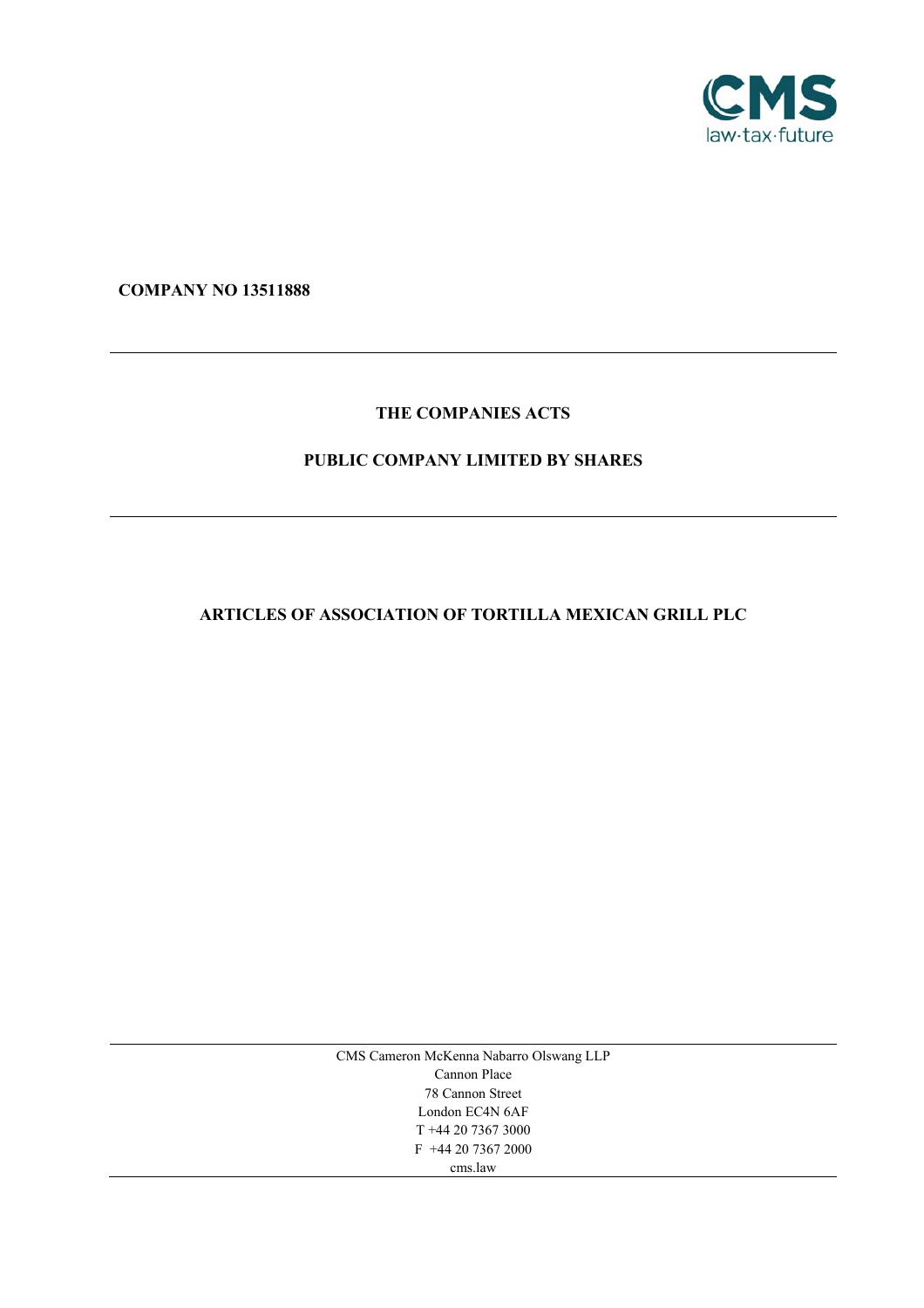

**COMPANY NO 13511888** 

# **THE COMPANIES ACTS**

# **PUBLIC COMPANY LIMITED BY SHARES**

# **ARTICLES OF ASSOCIATION OF TORTILLA MEXICAN GRILL PLC**

CMS Cameron McKenna Nabarro Olswang LLP Cannon Place 78 Cannon Street London EC4N 6AF T +44 20 7367 3000 F +44 20 7367 2000 cms.law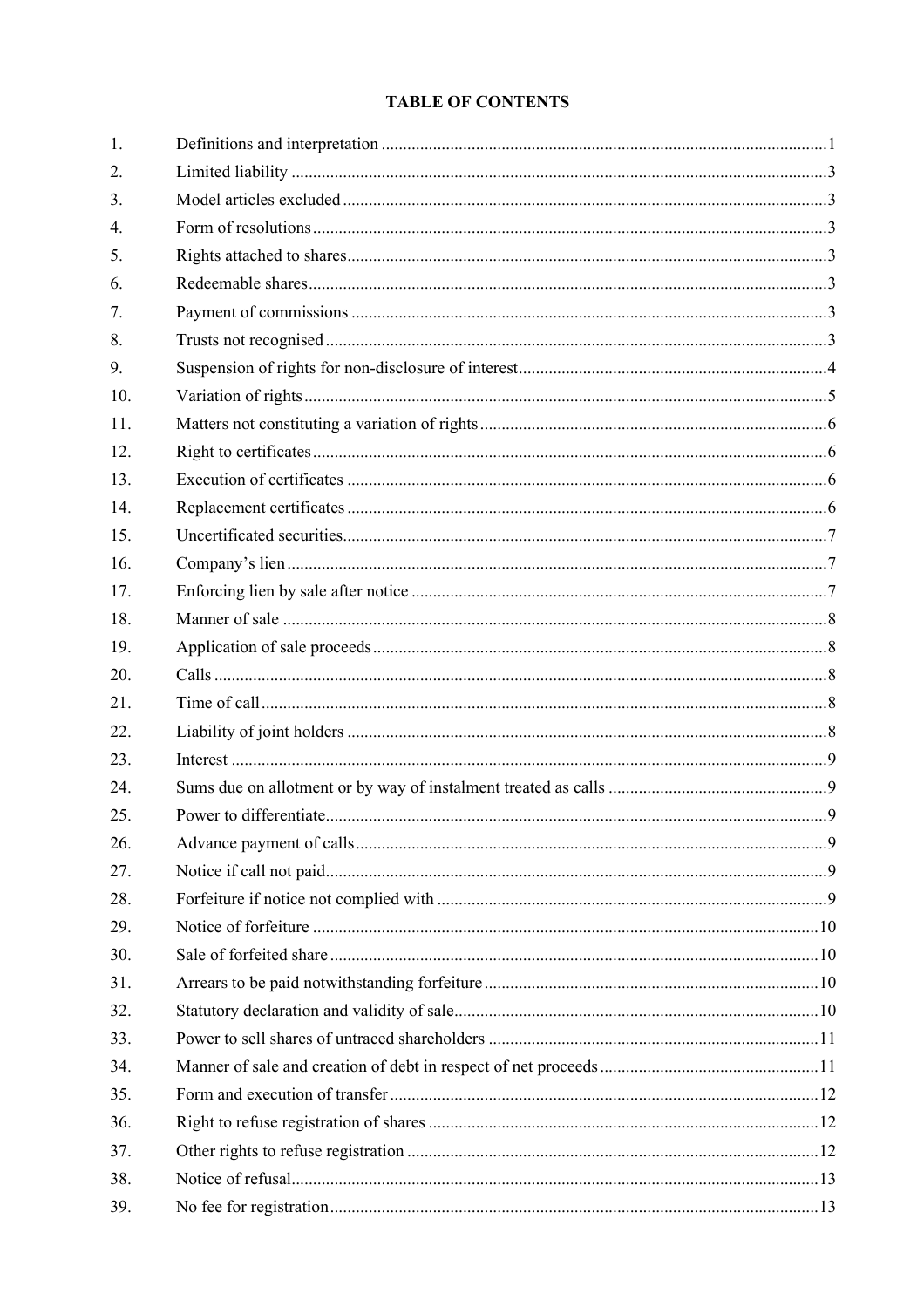# **TABLE OF CONTENTS**

| 1.  |  |
|-----|--|
| 2.  |  |
| 3.  |  |
| 4.  |  |
| 5.  |  |
| 6.  |  |
| 7.  |  |
| 8.  |  |
| 9.  |  |
| 10. |  |
| 11. |  |
| 12. |  |
| 13. |  |
| 14. |  |
| 15. |  |
| 16. |  |
| 17. |  |
| 18. |  |
| 19. |  |
| 20. |  |
| 21. |  |
| 22. |  |
| 23. |  |
| 24. |  |
| 25. |  |
| 26. |  |
| 27. |  |
| 28. |  |
| 29. |  |
| 30. |  |
| 31. |  |
| 32. |  |
| 33. |  |
| 34. |  |
| 35. |  |
| 36. |  |
| 37. |  |
| 38. |  |
| 39. |  |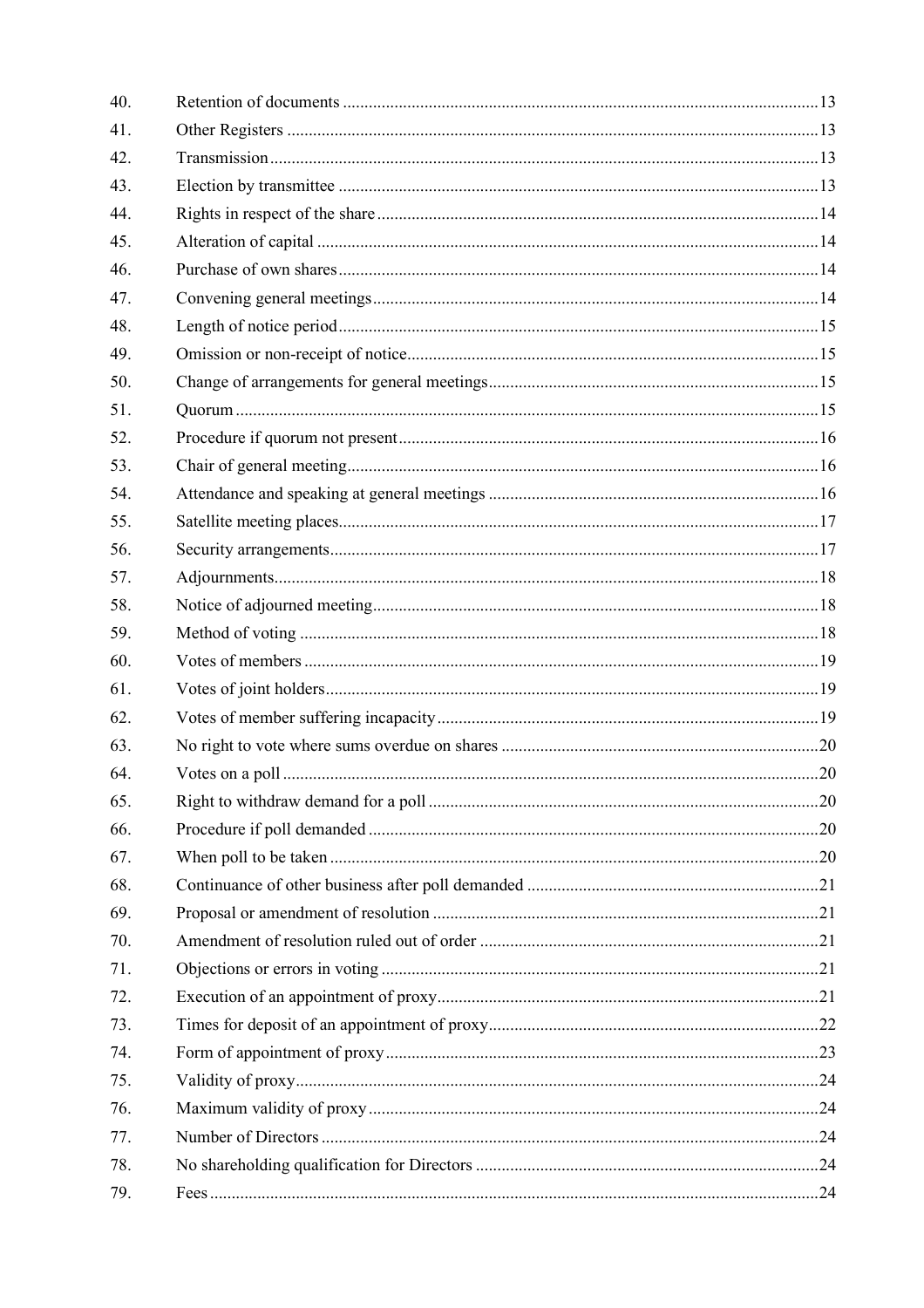| 40. |  |
|-----|--|
| 41. |  |
| 42. |  |
| 43. |  |
| 44. |  |
| 45. |  |
| 46. |  |
| 47. |  |
| 48. |  |
| 49. |  |
| 50. |  |
| 51. |  |
| 52. |  |
| 53. |  |
| 54. |  |
| 55. |  |
| 56. |  |
| 57. |  |
| 58. |  |
| 59. |  |
| 60. |  |
| 61. |  |
| 62. |  |
| 63. |  |
| 64. |  |
| 65. |  |
| 66. |  |
| 67. |  |
| 68. |  |
| 69. |  |
| 70. |  |
| 71. |  |
| 72. |  |
| 73. |  |
| 74. |  |
| 75. |  |
| 76. |  |
| 77. |  |
| 78. |  |
| 79. |  |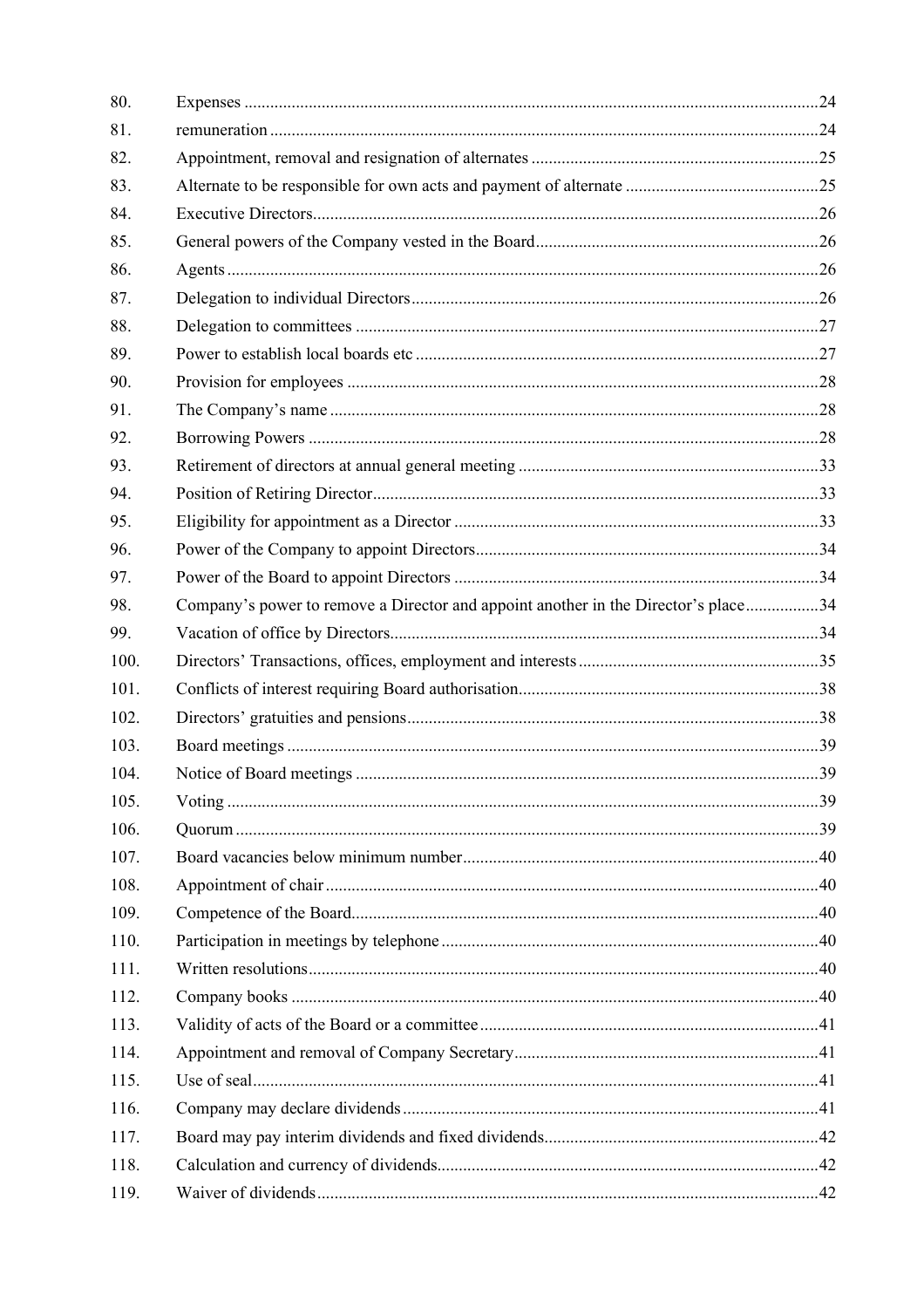| 80.  |                                                                                    |  |
|------|------------------------------------------------------------------------------------|--|
| 81.  |                                                                                    |  |
| 82.  |                                                                                    |  |
| 83.  |                                                                                    |  |
| 84.  |                                                                                    |  |
| 85.  |                                                                                    |  |
| 86.  |                                                                                    |  |
| 87.  |                                                                                    |  |
| 88.  |                                                                                    |  |
| 89.  |                                                                                    |  |
| 90.  |                                                                                    |  |
| 91.  |                                                                                    |  |
| 92.  |                                                                                    |  |
| 93.  |                                                                                    |  |
| 94.  |                                                                                    |  |
| 95.  |                                                                                    |  |
| 96.  |                                                                                    |  |
| 97.  |                                                                                    |  |
| 98.  | Company's power to remove a Director and appoint another in the Director's place34 |  |
| 99.  |                                                                                    |  |
| 100. |                                                                                    |  |
| 101. |                                                                                    |  |
| 102. |                                                                                    |  |
| 103. |                                                                                    |  |
| 104. |                                                                                    |  |
| 105. |                                                                                    |  |
| 106. |                                                                                    |  |
| 107. |                                                                                    |  |
| 108. |                                                                                    |  |
| 109. |                                                                                    |  |
| 110. |                                                                                    |  |
| 111. |                                                                                    |  |
| 112. |                                                                                    |  |
| 113. |                                                                                    |  |
| 114. |                                                                                    |  |
| 115. |                                                                                    |  |
| 116. |                                                                                    |  |
| 117. |                                                                                    |  |
| 118. |                                                                                    |  |
| 119. |                                                                                    |  |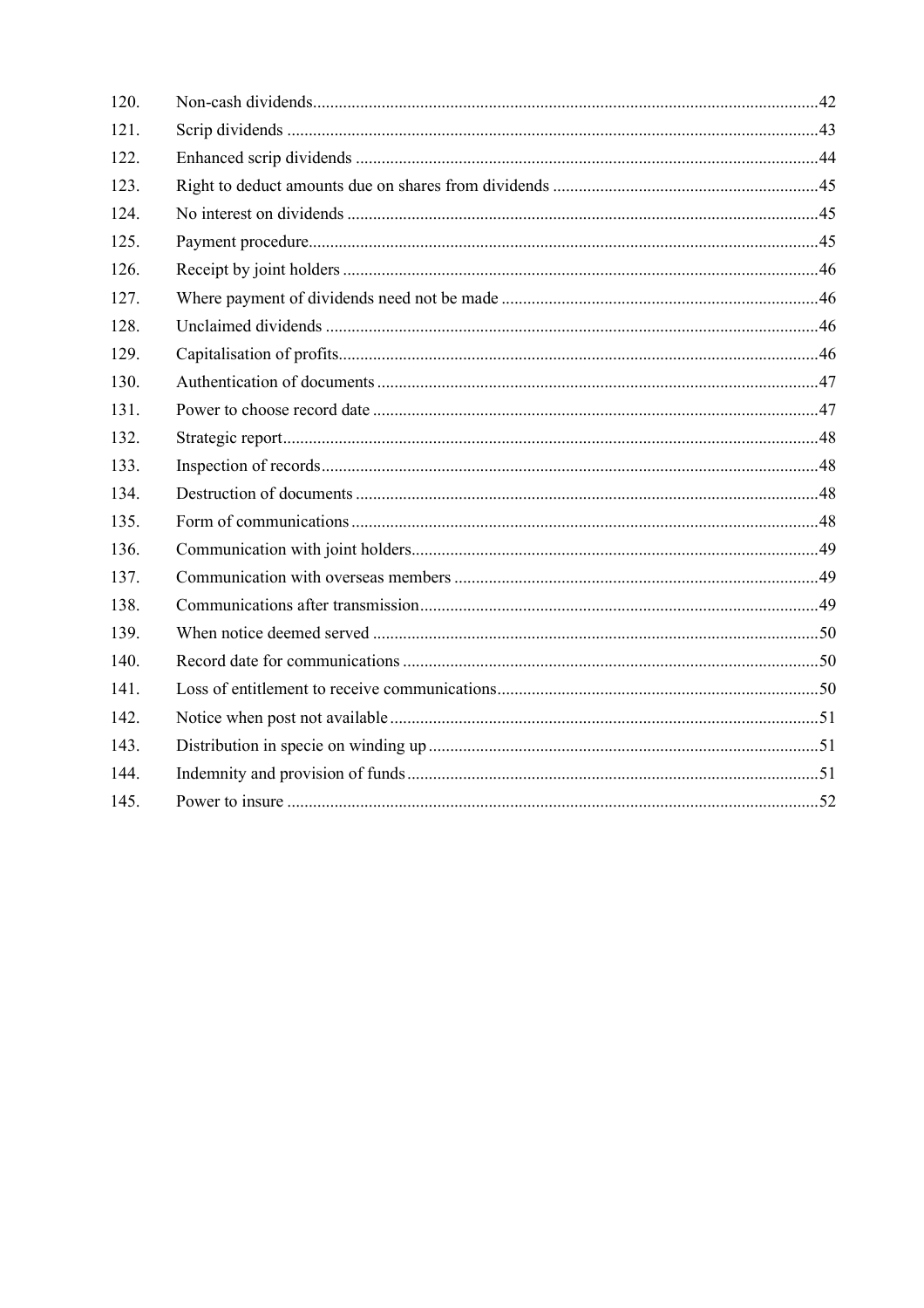| 120. |  |
|------|--|
| 121. |  |
| 122. |  |
| 123. |  |
| 124. |  |
| 125. |  |
| 126. |  |
| 127. |  |
| 128. |  |
| 129. |  |
| 130. |  |
| 131. |  |
| 132. |  |
| 133. |  |
| 134. |  |
| 135. |  |
| 136. |  |
| 137. |  |
| 138. |  |
| 139. |  |
| 140. |  |
| 141. |  |
| 142. |  |
| 143. |  |
| 144. |  |
| 145. |  |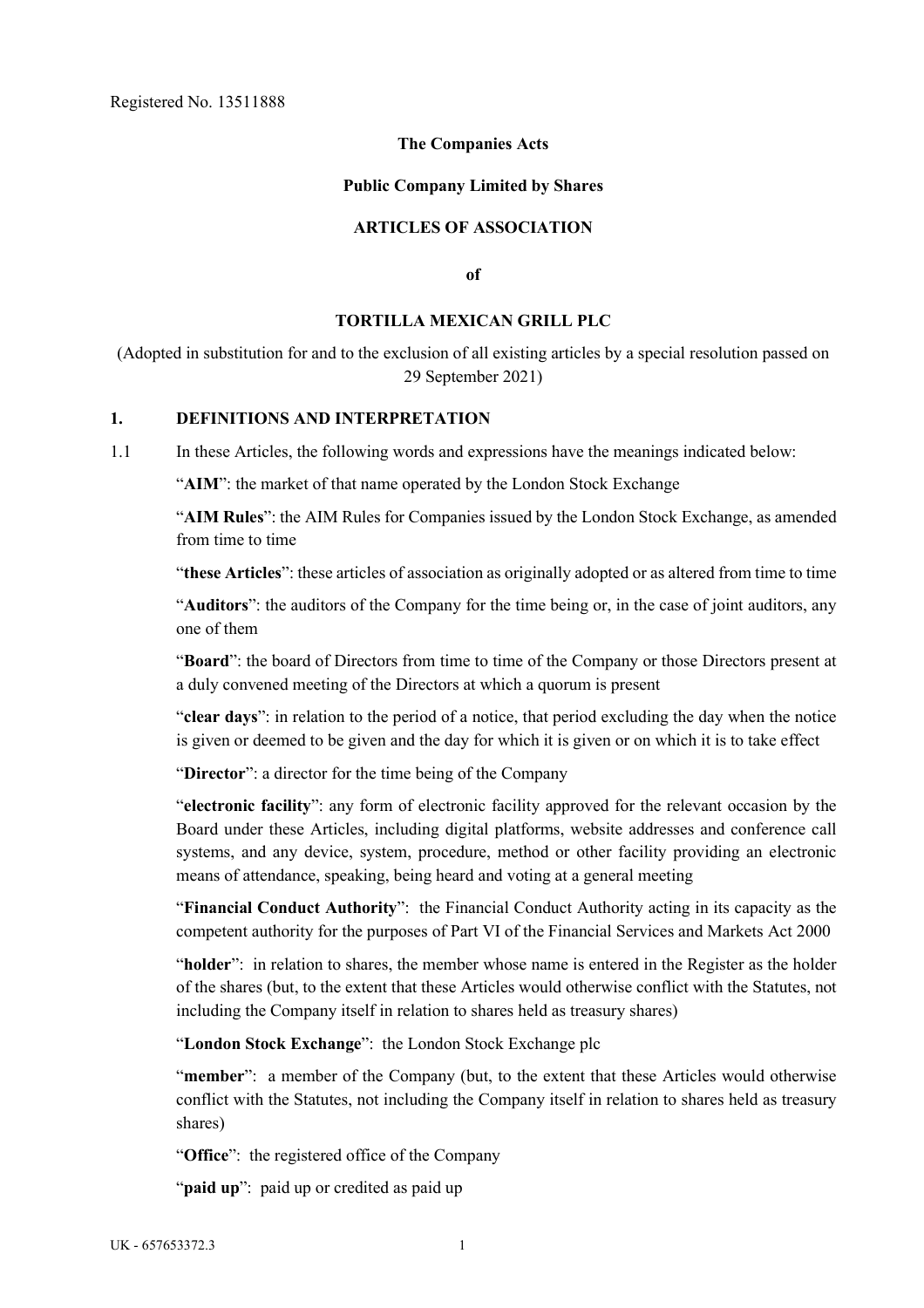### **The Companies Acts**

#### **Public Company Limited by Shares**

### **ARTICLES OF ASSOCIATION**

**of** 

#### **TORTILLA MEXICAN GRILL PLC**

(Adopted in substitution for and to the exclusion of all existing articles by a special resolution passed on 29 September 2021)

### **1. DEFINITIONS AND INTERPRETATION**

1.1 In these Articles, the following words and expressions have the meanings indicated below:

"**AIM**": the market of that name operated by the London Stock Exchange

"**AIM Rules**": the AIM Rules for Companies issued by the London Stock Exchange, as amended from time to time

"**these Articles**": these articles of association as originally adopted or as altered from time to time

"**Auditors**": the auditors of the Company for the time being or, in the case of joint auditors, any one of them

"**Board**": the board of Directors from time to time of the Company or those Directors present at a duly convened meeting of the Directors at which a quorum is present

"**clear days**": in relation to the period of a notice, that period excluding the day when the notice is given or deemed to be given and the day for which it is given or on which it is to take effect

"**Director**": a director for the time being of the Company

"**electronic facility**": any form of electronic facility approved for the relevant occasion by the Board under these Articles, including digital platforms, website addresses and conference call systems, and any device, system, procedure, method or other facility providing an electronic means of attendance, speaking, being heard and voting at a general meeting

"**Financial Conduct Authority**": the Financial Conduct Authority acting in its capacity as the competent authority for the purposes of Part VI of the Financial Services and Markets Act 2000

"holder": in relation to shares, the member whose name is entered in the Register as the holder of the shares (but, to the extent that these Articles would otherwise conflict with the Statutes, not including the Company itself in relation to shares held as treasury shares)

"**London Stock Exchange**": the London Stock Exchange plc

"**member**": a member of the Company (but, to the extent that these Articles would otherwise conflict with the Statutes, not including the Company itself in relation to shares held as treasury shares)

"**Office**": the registered office of the Company

"paid up": paid up or credited as paid up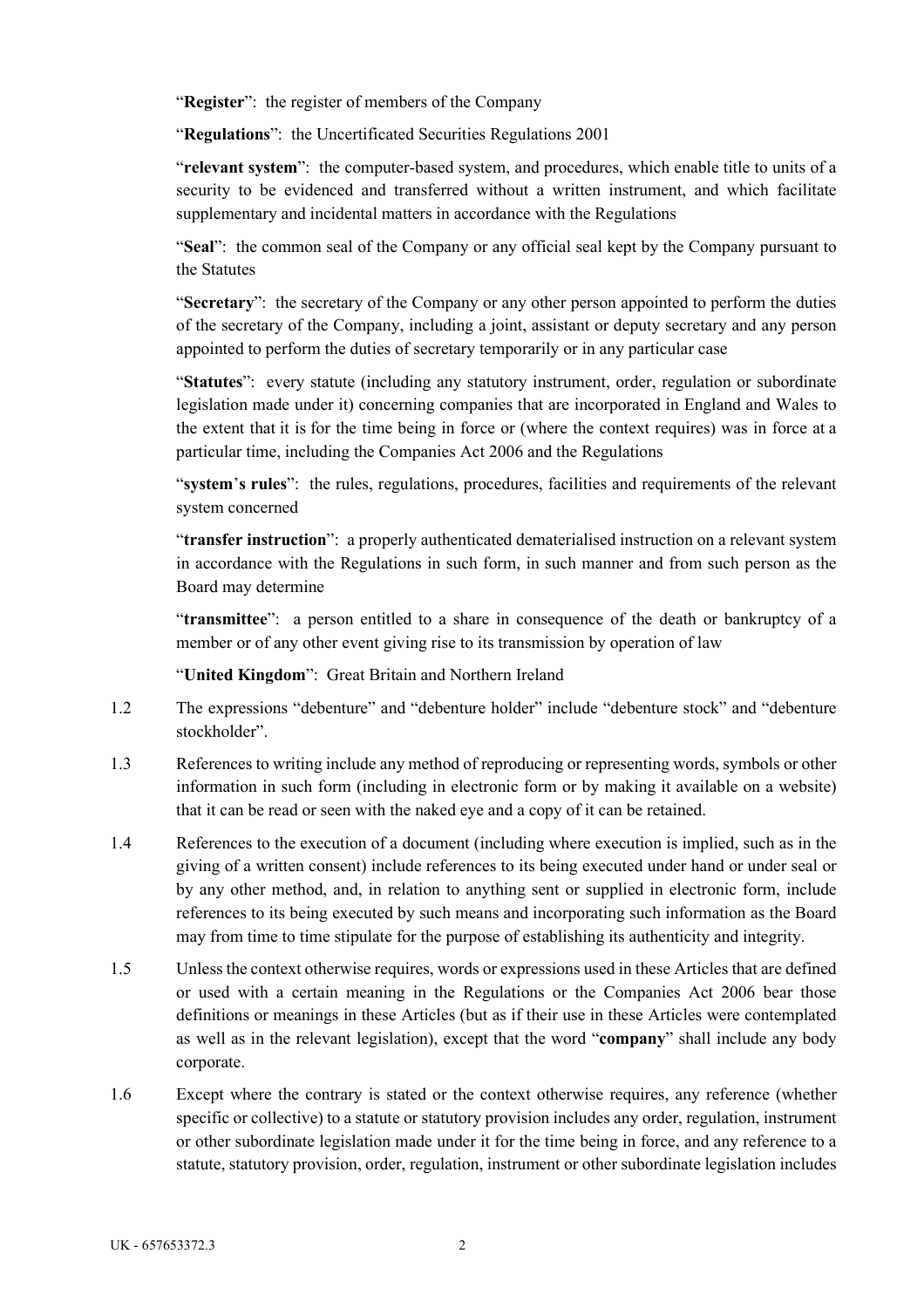"**Register**": the register of members of the Company

"**Regulations**": the Uncertificated Securities Regulations 2001

"**relevant system**": the computer-based system, and procedures, which enable title to units of a security to be evidenced and transferred without a written instrument, and which facilitate supplementary and incidental matters in accordance with the Regulations

"**Seal**": the common seal of the Company or any official seal kept by the Company pursuant to the Statutes

"**Secretary**": the secretary of the Company or any other person appointed to perform the duties of the secretary of the Company, including a joint, assistant or deputy secretary and any person appointed to perform the duties of secretary temporarily or in any particular case

"**Statutes**": every statute (including any statutory instrument, order, regulation or subordinate legislation made under it) concerning companies that are incorporated in England and Wales to the extent that it is for the time being in force or (where the context requires) was in force at a particular time, including the Companies Act 2006 and the Regulations

"**system**'**s rules**": the rules, regulations, procedures, facilities and requirements of the relevant system concerned

"**transfer instruction**": a properly authenticated dematerialised instruction on a relevant system in accordance with the Regulations in such form, in such manner and from such person as the Board may determine

"**transmittee**": a person entitled to a share in consequence of the death or bankruptcy of a member or of any other event giving rise to its transmission by operation of law

"**United Kingdom**": Great Britain and Northern Ireland

- 1.2 The expressions "debenture" and "debenture holder" include "debenture stock" and "debenture stockholder".
- 1.3 References to writing include any method of reproducing or representing words, symbols or other information in such form (including in electronic form or by making it available on a website) that it can be read or seen with the naked eye and a copy of it can be retained.
- 1.4 References to the execution of a document (including where execution is implied, such as in the giving of a written consent) include references to its being executed under hand or under seal or by any other method, and, in relation to anything sent or supplied in electronic form, include references to its being executed by such means and incorporating such information as the Board may from time to time stipulate for the purpose of establishing its authenticity and integrity.
- 1.5 Unless the context otherwise requires, words or expressions used in these Articles that are defined or used with a certain meaning in the Regulations or the Companies Act 2006 bear those definitions or meanings in these Articles (but as if their use in these Articles were contemplated as well as in the relevant legislation), except that the word "**company**" shall include any body corporate.
- 1.6 Except where the contrary is stated or the context otherwise requires, any reference (whether specific or collective) to a statute or statutory provision includes any order, regulation, instrument or other subordinate legislation made under it for the time being in force, and any reference to a statute, statutory provision, order, regulation, instrument or other subordinate legislation includes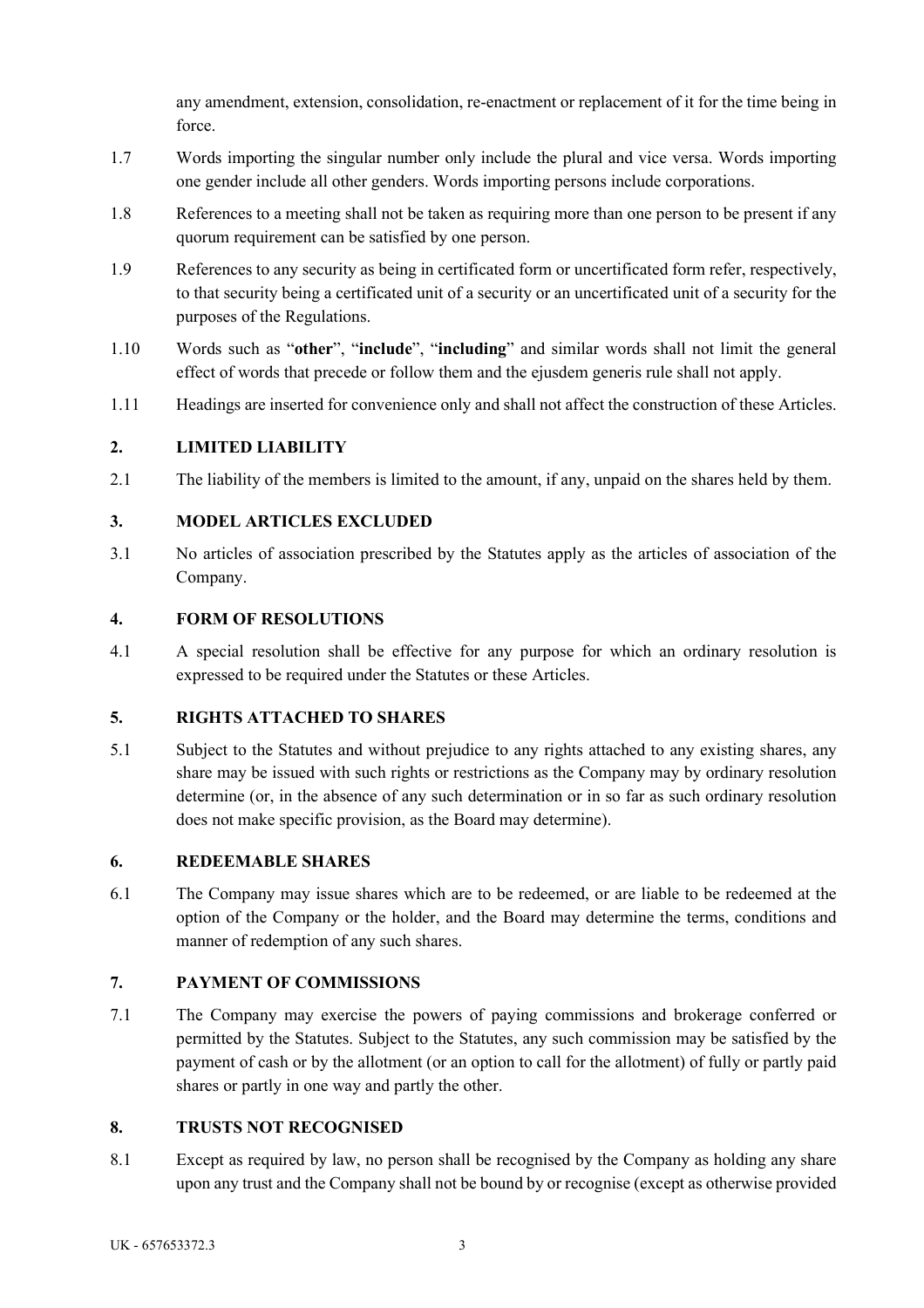any amendment, extension, consolidation, re-enactment or replacement of it for the time being in force.

- 1.7 Words importing the singular number only include the plural and vice versa. Words importing one gender include all other genders. Words importing persons include corporations.
- 1.8 References to a meeting shall not be taken as requiring more than one person to be present if any quorum requirement can be satisfied by one person.
- 1.9 References to any security as being in certificated form or uncertificated form refer, respectively, to that security being a certificated unit of a security or an uncertificated unit of a security for the purposes of the Regulations.
- 1.10 Words such as "**other**", "**include**", "**including**" and similar words shall not limit the general effect of words that precede or follow them and the ejusdem generis rule shall not apply.
- 1.11 Headings are inserted for convenience only and shall not affect the construction of these Articles.

# **2. LIMITED LIABILITY**

2.1 The liability of the members is limited to the amount, if any, unpaid on the shares held by them.

# **3. MODEL ARTICLES EXCLUDED**

3.1 No articles of association prescribed by the Statutes apply as the articles of association of the Company.

## **4. FORM OF RESOLUTIONS**

4.1 A special resolution shall be effective for any purpose for which an ordinary resolution is expressed to be required under the Statutes or these Articles.

### **5. RIGHTS ATTACHED TO SHARES**

5.1 Subject to the Statutes and without prejudice to any rights attached to any existing shares, any share may be issued with such rights or restrictions as the Company may by ordinary resolution determine (or, in the absence of any such determination or in so far as such ordinary resolution does not make specific provision, as the Board may determine).

## **6. REDEEMABLE SHARES**

6.1 The Company may issue shares which are to be redeemed, or are liable to be redeemed at the option of the Company or the holder, and the Board may determine the terms, conditions and manner of redemption of any such shares.

# **7. PAYMENT OF COMMISSIONS**

7.1 The Company may exercise the powers of paying commissions and brokerage conferred or permitted by the Statutes. Subject to the Statutes, any such commission may be satisfied by the payment of cash or by the allotment (or an option to call for the allotment) of fully or partly paid shares or partly in one way and partly the other.

### **8. TRUSTS NOT RECOGNISED**

8.1 Except as required by law, no person shall be recognised by the Company as holding any share upon any trust and the Company shall not be bound by or recognise (except as otherwise provided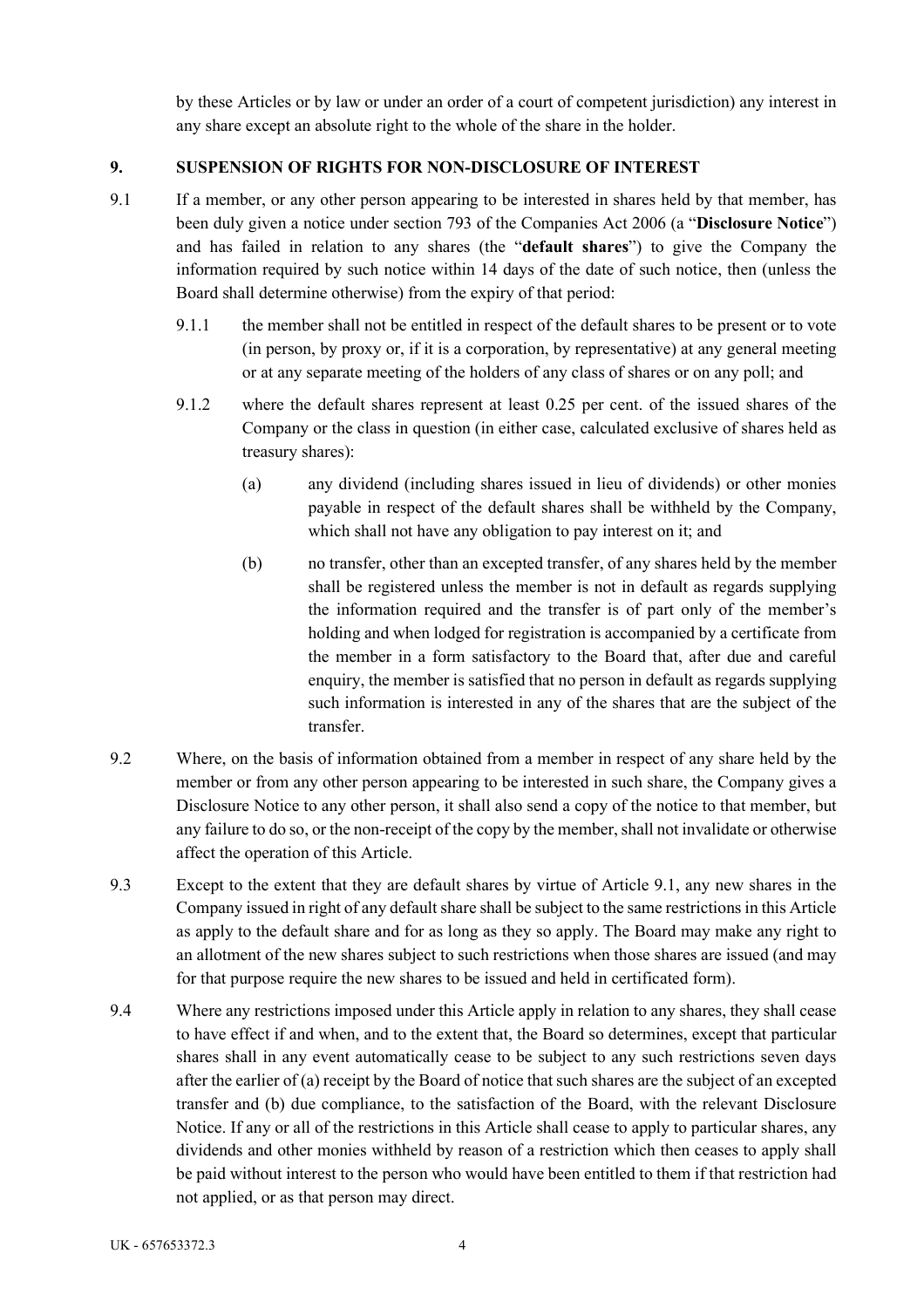by these Articles or by law or under an order of a court of competent jurisdiction) any interest in any share except an absolute right to the whole of the share in the holder.

# **9. SUSPENSION OF RIGHTS FOR NON-DISCLOSURE OF INTEREST**

- 9.1 If a member, or any other person appearing to be interested in shares held by that member, has been duly given a notice under section 793 of the Companies Act 2006 (a "**Disclosure Notice**") and has failed in relation to any shares (the "**default shares**") to give the Company the information required by such notice within 14 days of the date of such notice, then (unless the Board shall determine otherwise) from the expiry of that period:
	- 9.1.1 the member shall not be entitled in respect of the default shares to be present or to vote (in person, by proxy or, if it is a corporation, by representative) at any general meeting or at any separate meeting of the holders of any class of shares or on any poll; and
	- 9.1.2 where the default shares represent at least 0.25 per cent. of the issued shares of the Company or the class in question (in either case, calculated exclusive of shares held as treasury shares):
		- (a) any dividend (including shares issued in lieu of dividends) or other monies payable in respect of the default shares shall be withheld by the Company, which shall not have any obligation to pay interest on it; and
		- (b) no transfer, other than an excepted transfer, of any shares held by the member shall be registered unless the member is not in default as regards supplying the information required and the transfer is of part only of the member's holding and when lodged for registration is accompanied by a certificate from the member in a form satisfactory to the Board that, after due and careful enquiry, the member is satisfied that no person in default as regards supplying such information is interested in any of the shares that are the subject of the transfer.
- 9.2 Where, on the basis of information obtained from a member in respect of any share held by the member or from any other person appearing to be interested in such share, the Company gives a Disclosure Notice to any other person, it shall also send a copy of the notice to that member, but any failure to do so, or the non-receipt of the copy by the member, shall not invalidate or otherwise affect the operation of this Article.
- 9.3 Except to the extent that they are default shares by virtue of Article 9.1, any new shares in the Company issued in right of any default share shall be subject to the same restrictions in this Article as apply to the default share and for as long as they so apply. The Board may make any right to an allotment of the new shares subject to such restrictions when those shares are issued (and may for that purpose require the new shares to be issued and held in certificated form).
- 9.4 Where any restrictions imposed under this Article apply in relation to any shares, they shall cease to have effect if and when, and to the extent that, the Board so determines, except that particular shares shall in any event automatically cease to be subject to any such restrictions seven days after the earlier of (a) receipt by the Board of notice that such shares are the subject of an excepted transfer and (b) due compliance, to the satisfaction of the Board, with the relevant Disclosure Notice. If any or all of the restrictions in this Article shall cease to apply to particular shares, any dividends and other monies withheld by reason of a restriction which then ceases to apply shall be paid without interest to the person who would have been entitled to them if that restriction had not applied, or as that person may direct.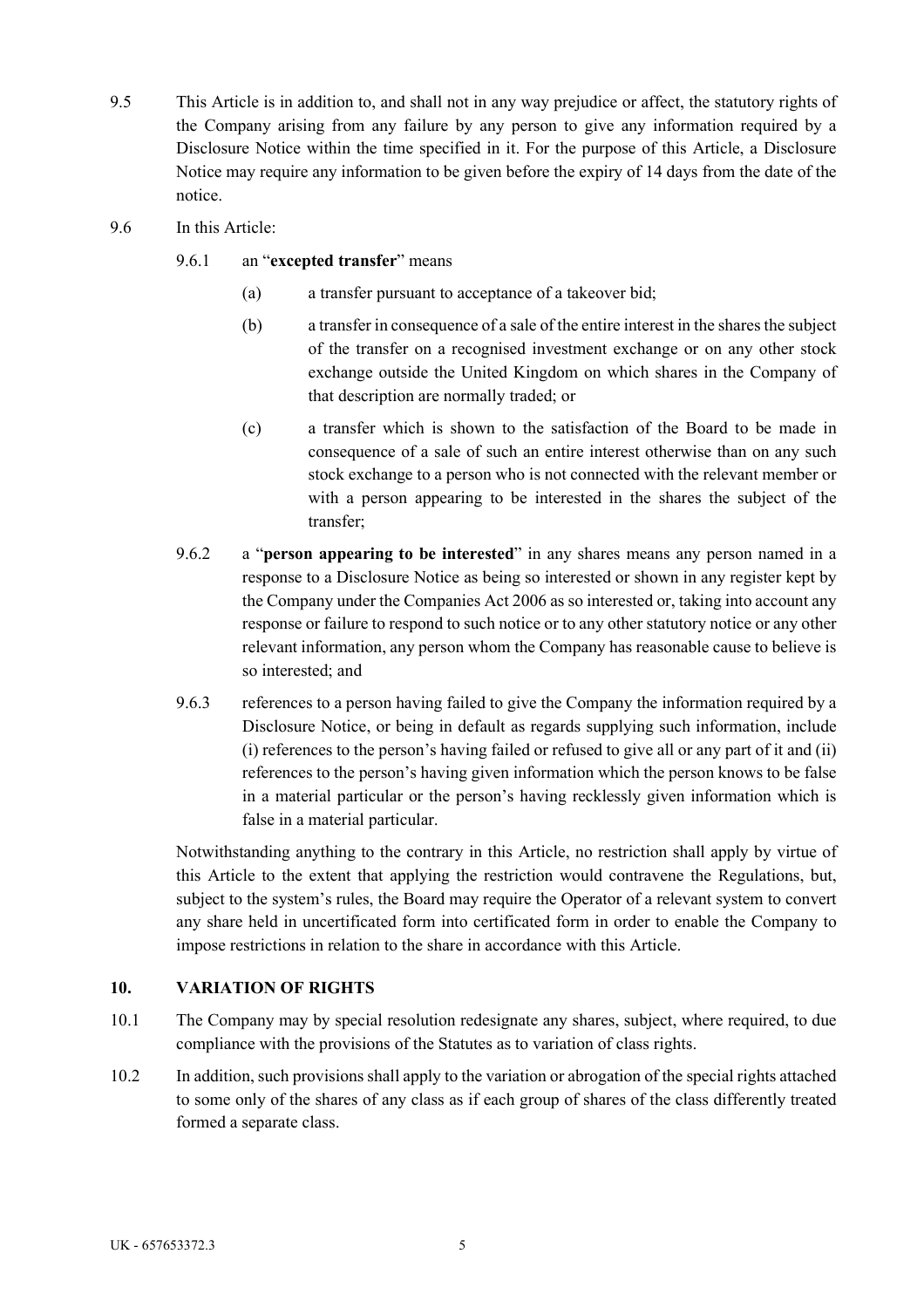- 9.5 This Article is in addition to, and shall not in any way prejudice or affect, the statutory rights of the Company arising from any failure by any person to give any information required by a Disclosure Notice within the time specified in it. For the purpose of this Article, a Disclosure Notice may require any information to be given before the expiry of 14 days from the date of the notice.
- 9.6 In this Article:
	- 9.6.1 an "**excepted transfer**" means
		- (a) a transfer pursuant to acceptance of a takeover bid;
		- (b) a transfer in consequence of a sale of the entire interest in the shares the subject of the transfer on a recognised investment exchange or on any other stock exchange outside the United Kingdom on which shares in the Company of that description are normally traded; or
		- (c) a transfer which is shown to the satisfaction of the Board to be made in consequence of a sale of such an entire interest otherwise than on any such stock exchange to a person who is not connected with the relevant member or with a person appearing to be interested in the shares the subject of the transfer;
	- 9.6.2 a "**person appearing to be interested**" in any shares means any person named in a response to a Disclosure Notice as being so interested or shown in any register kept by the Company under the Companies Act 2006 as so interested or, taking into account any response or failure to respond to such notice or to any other statutory notice or any other relevant information, any person whom the Company has reasonable cause to believe is so interested; and
	- 9.6.3 references to a person having failed to give the Company the information required by a Disclosure Notice, or being in default as regards supplying such information, include (i) references to the person's having failed or refused to give all or any part of it and (ii) references to the person's having given information which the person knows to be false in a material particular or the person's having recklessly given information which is false in a material particular.

Notwithstanding anything to the contrary in this Article, no restriction shall apply by virtue of this Article to the extent that applying the restriction would contravene the Regulations, but, subject to the system's rules, the Board may require the Operator of a relevant system to convert any share held in uncertificated form into certificated form in order to enable the Company to impose restrictions in relation to the share in accordance with this Article.

### **10. VARIATION OF RIGHTS**

- 10.1 The Company may by special resolution redesignate any shares, subject, where required, to due compliance with the provisions of the Statutes as to variation of class rights.
- 10.2 In addition, such provisions shall apply to the variation or abrogation of the special rights attached to some only of the shares of any class as if each group of shares of the class differently treated formed a separate class.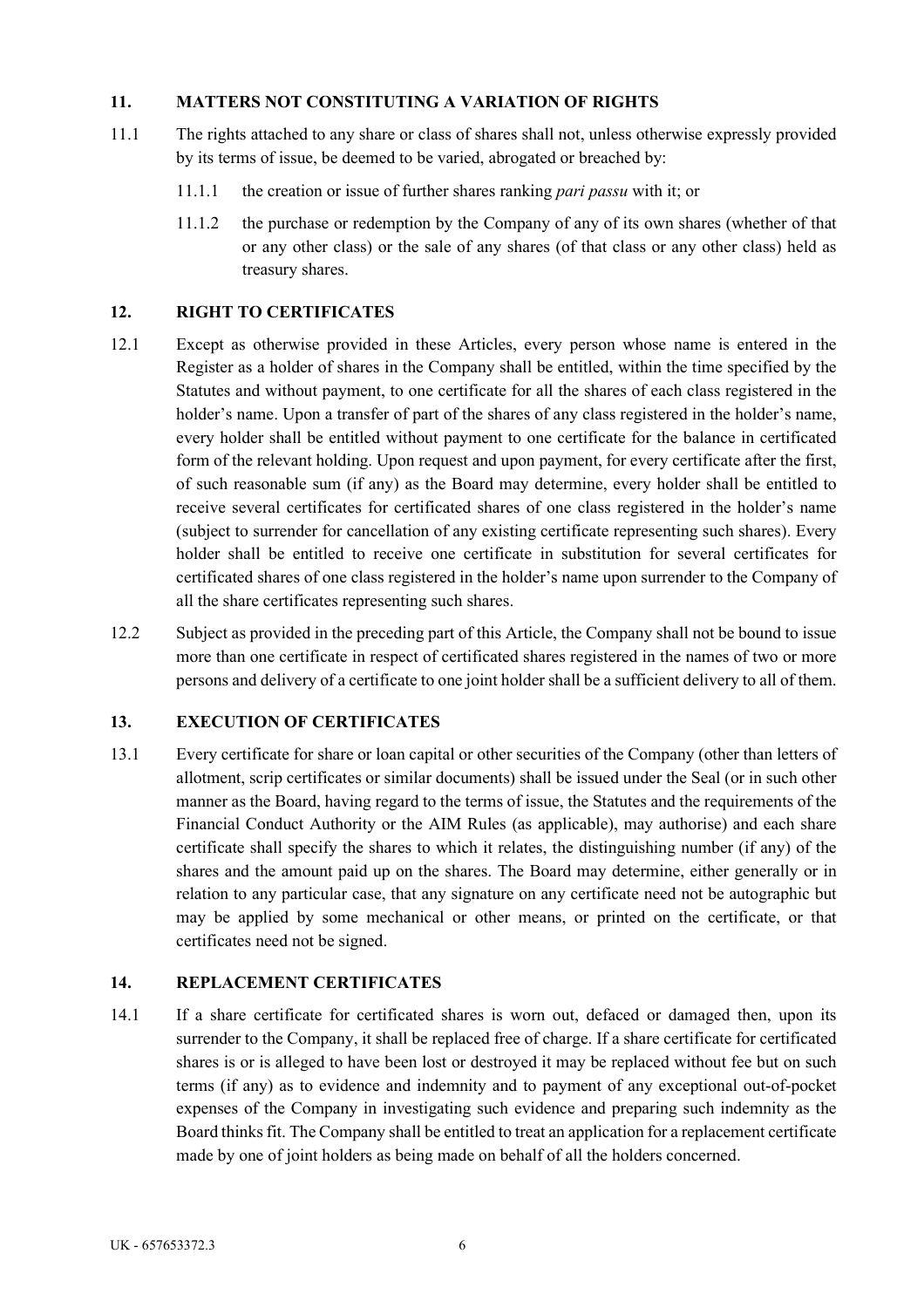## **11. MATTERS NOT CONSTITUTING A VARIATION OF RIGHTS**

- 11.1 The rights attached to any share or class of shares shall not, unless otherwise expressly provided by its terms of issue, be deemed to be varied, abrogated or breached by:
	- 11.1.1 the creation or issue of further shares ranking *pari passu* with it; or
	- 11.1.2 the purchase or redemption by the Company of any of its own shares (whether of that or any other class) or the sale of any shares (of that class or any other class) held as treasury shares.

## **12. RIGHT TO CERTIFICATES**

- 12.1 Except as otherwise provided in these Articles, every person whose name is entered in the Register as a holder of shares in the Company shall be entitled, within the time specified by the Statutes and without payment, to one certificate for all the shares of each class registered in the holder's name. Upon a transfer of part of the shares of any class registered in the holder's name, every holder shall be entitled without payment to one certificate for the balance in certificated form of the relevant holding. Upon request and upon payment, for every certificate after the first, of such reasonable sum (if any) as the Board may determine, every holder shall be entitled to receive several certificates for certificated shares of one class registered in the holder's name (subject to surrender for cancellation of any existing certificate representing such shares). Every holder shall be entitled to receive one certificate in substitution for several certificates for certificated shares of one class registered in the holder's name upon surrender to the Company of all the share certificates representing such shares.
- 12.2 Subject as provided in the preceding part of this Article, the Company shall not be bound to issue more than one certificate in respect of certificated shares registered in the names of two or more persons and delivery of a certificate to one joint holder shall be a sufficient delivery to all of them.

## **13. EXECUTION OF CERTIFICATES**

13.1 Every certificate for share or loan capital or other securities of the Company (other than letters of allotment, scrip certificates or similar documents) shall be issued under the Seal (or in such other manner as the Board, having regard to the terms of issue, the Statutes and the requirements of the Financial Conduct Authority or the AIM Rules (as applicable), may authorise) and each share certificate shall specify the shares to which it relates, the distinguishing number (if any) of the shares and the amount paid up on the shares. The Board may determine, either generally or in relation to any particular case, that any signature on any certificate need not be autographic but may be applied by some mechanical or other means, or printed on the certificate, or that certificates need not be signed.

### **14. REPLACEMENT CERTIFICATES**

14.1 If a share certificate for certificated shares is worn out, defaced or damaged then, upon its surrender to the Company, it shall be replaced free of charge. If a share certificate for certificated shares is or is alleged to have been lost or destroyed it may be replaced without fee but on such terms (if any) as to evidence and indemnity and to payment of any exceptional out-of-pocket expenses of the Company in investigating such evidence and preparing such indemnity as the Board thinks fit. The Company shall be entitled to treat an application for a replacement certificate made by one of joint holders as being made on behalf of all the holders concerned.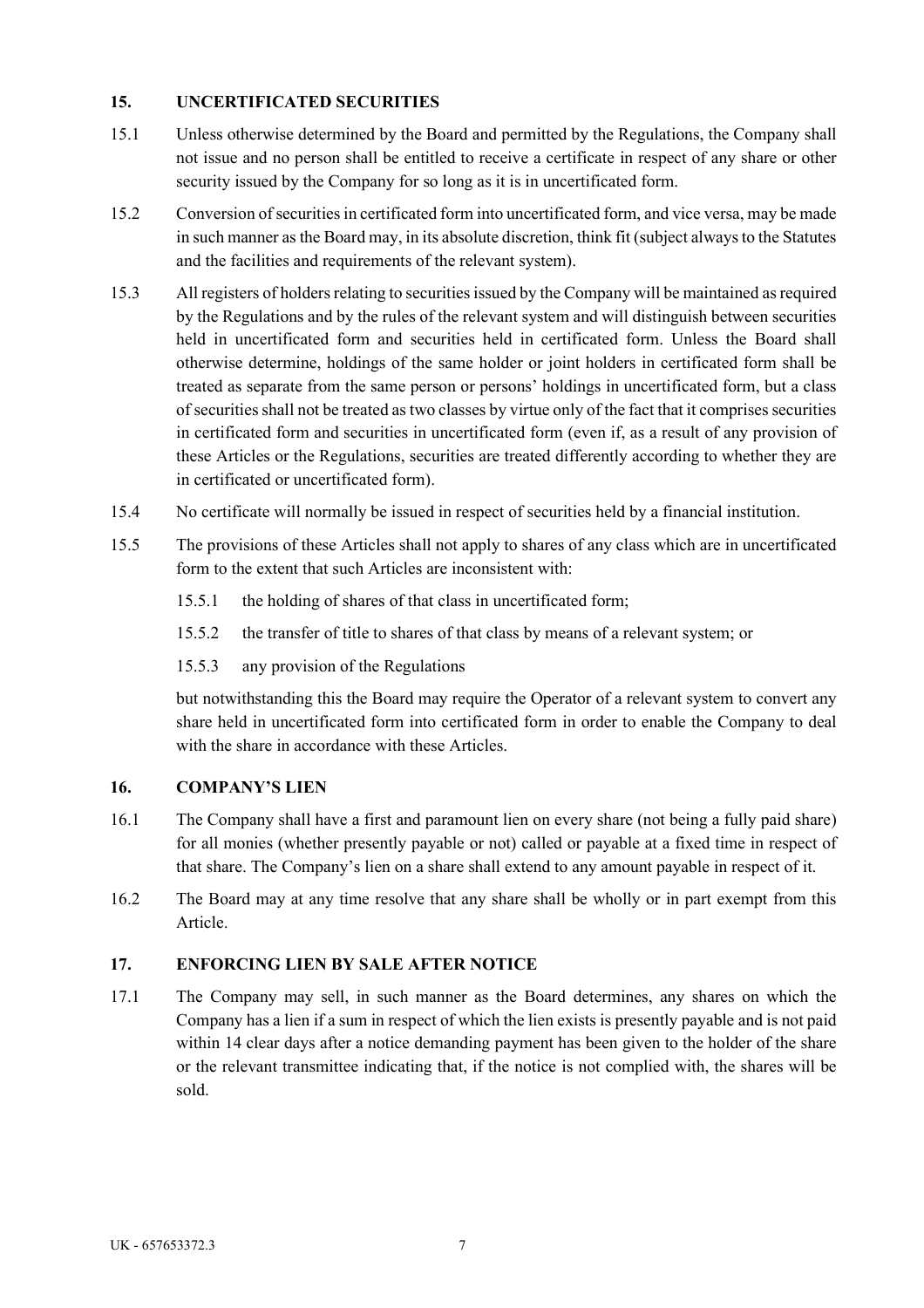## **15. UNCERTIFICATED SECURITIES**

- 15.1 Unless otherwise determined by the Board and permitted by the Regulations, the Company shall not issue and no person shall be entitled to receive a certificate in respect of any share or other security issued by the Company for so long as it is in uncertificated form.
- 15.2 Conversion of securities in certificated form into uncertificated form, and vice versa, may be made in such manner as the Board may, in its absolute discretion, think fit (subject always to the Statutes and the facilities and requirements of the relevant system).
- 15.3 All registers of holders relating to securities issued by the Company will be maintained as required by the Regulations and by the rules of the relevant system and will distinguish between securities held in uncertificated form and securities held in certificated form. Unless the Board shall otherwise determine, holdings of the same holder or joint holders in certificated form shall be treated as separate from the same person or persons' holdings in uncertificated form, but a class of securities shall not be treated as two classes by virtue only of the fact that it comprises securities in certificated form and securities in uncertificated form (even if, as a result of any provision of these Articles or the Regulations, securities are treated differently according to whether they are in certificated or uncertificated form).
- 15.4 No certificate will normally be issued in respect of securities held by a financial institution.
- 15.5 The provisions of these Articles shall not apply to shares of any class which are in uncertificated form to the extent that such Articles are inconsistent with:
	- 15.5.1 the holding of shares of that class in uncertificated form;
	- 15.5.2 the transfer of title to shares of that class by means of a relevant system; or
	- 15.5.3 any provision of the Regulations

but notwithstanding this the Board may require the Operator of a relevant system to convert any share held in uncertificated form into certificated form in order to enable the Company to deal with the share in accordance with these Articles.

### **16. COMPANY'S LIEN**

- 16.1 The Company shall have a first and paramount lien on every share (not being a fully paid share) for all monies (whether presently payable or not) called or payable at a fixed time in respect of that share. The Company's lien on a share shall extend to any amount payable in respect of it.
- 16.2 The Board may at any time resolve that any share shall be wholly or in part exempt from this Article.

### **17. ENFORCING LIEN BY SALE AFTER NOTICE**

17.1 The Company may sell, in such manner as the Board determines, any shares on which the Company has a lien if a sum in respect of which the lien exists is presently payable and is not paid within 14 clear days after a notice demanding payment has been given to the holder of the share or the relevant transmittee indicating that, if the notice is not complied with, the shares will be sold.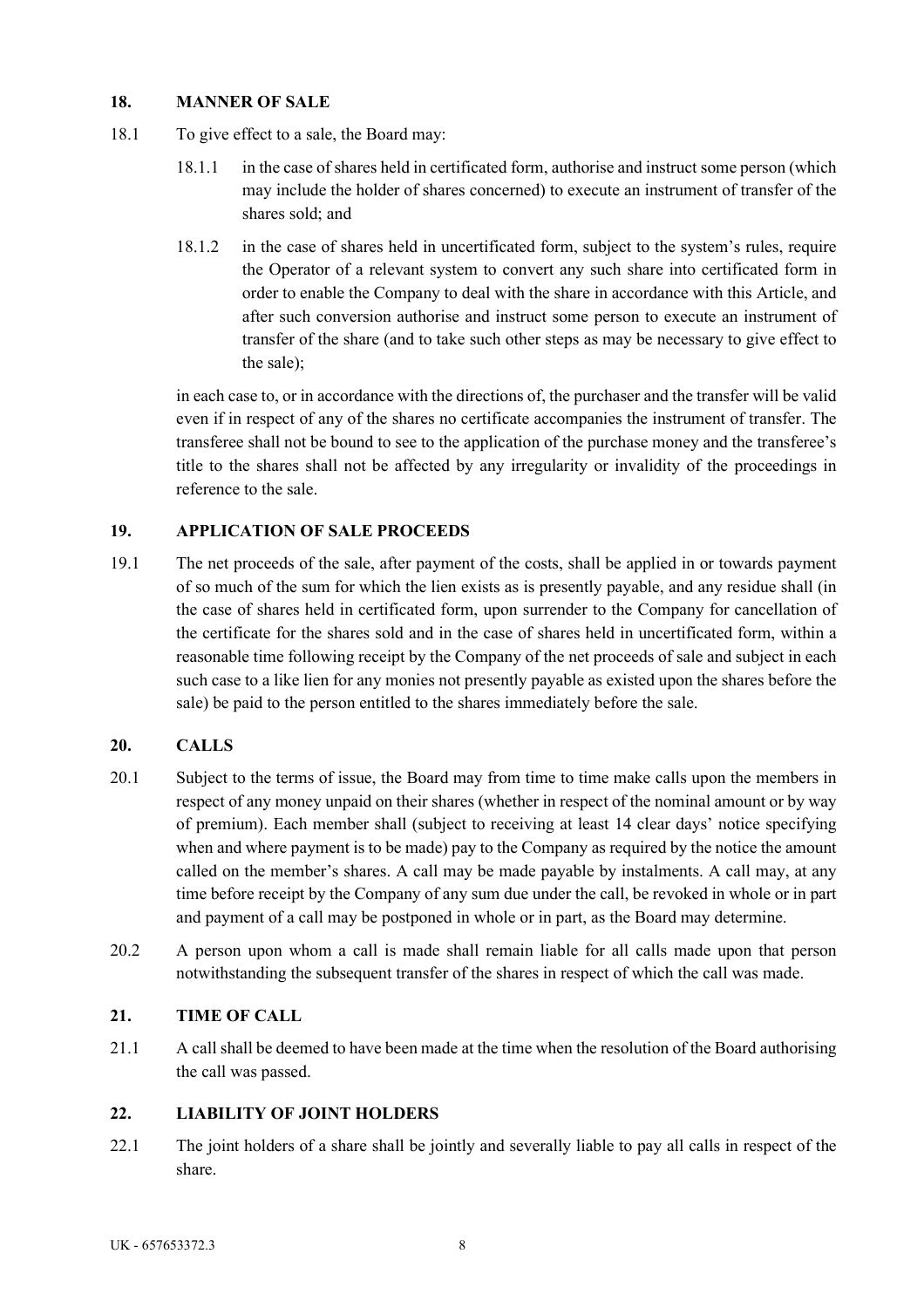## **18. MANNER OF SALE**

- 18.1 To give effect to a sale, the Board may:
	- 18.1.1 in the case of shares held in certificated form, authorise and instruct some person (which may include the holder of shares concerned) to execute an instrument of transfer of the shares sold; and
	- 18.1.2 in the case of shares held in uncertificated form, subject to the system's rules, require the Operator of a relevant system to convert any such share into certificated form in order to enable the Company to deal with the share in accordance with this Article, and after such conversion authorise and instruct some person to execute an instrument of transfer of the share (and to take such other steps as may be necessary to give effect to the sale);

in each case to, or in accordance with the directions of, the purchaser and the transfer will be valid even if in respect of any of the shares no certificate accompanies the instrument of transfer. The transferee shall not be bound to see to the application of the purchase money and the transferee's title to the shares shall not be affected by any irregularity or invalidity of the proceedings in reference to the sale.

## **19. APPLICATION OF SALE PROCEEDS**

19.1 The net proceeds of the sale, after payment of the costs, shall be applied in or towards payment of so much of the sum for which the lien exists as is presently payable, and any residue shall (in the case of shares held in certificated form, upon surrender to the Company for cancellation of the certificate for the shares sold and in the case of shares held in uncertificated form, within a reasonable time following receipt by the Company of the net proceeds of sale and subject in each such case to a like lien for any monies not presently payable as existed upon the shares before the sale) be paid to the person entitled to the shares immediately before the sale.

### **20. CALLS**

- 20.1 Subject to the terms of issue, the Board may from time to time make calls upon the members in respect of any money unpaid on their shares (whether in respect of the nominal amount or by way of premium). Each member shall (subject to receiving at least 14 clear days' notice specifying when and where payment is to be made) pay to the Company as required by the notice the amount called on the member's shares. A call may be made payable by instalments. A call may, at any time before receipt by the Company of any sum due under the call, be revoked in whole or in part and payment of a call may be postponed in whole or in part, as the Board may determine.
- 20.2 A person upon whom a call is made shall remain liable for all calls made upon that person notwithstanding the subsequent transfer of the shares in respect of which the call was made.

### **21. TIME OF CALL**

21.1 A call shall be deemed to have been made at the time when the resolution of the Board authorising the call was passed.

# **22. LIABILITY OF JOINT HOLDERS**

22.1 The joint holders of a share shall be jointly and severally liable to pay all calls in respect of the share.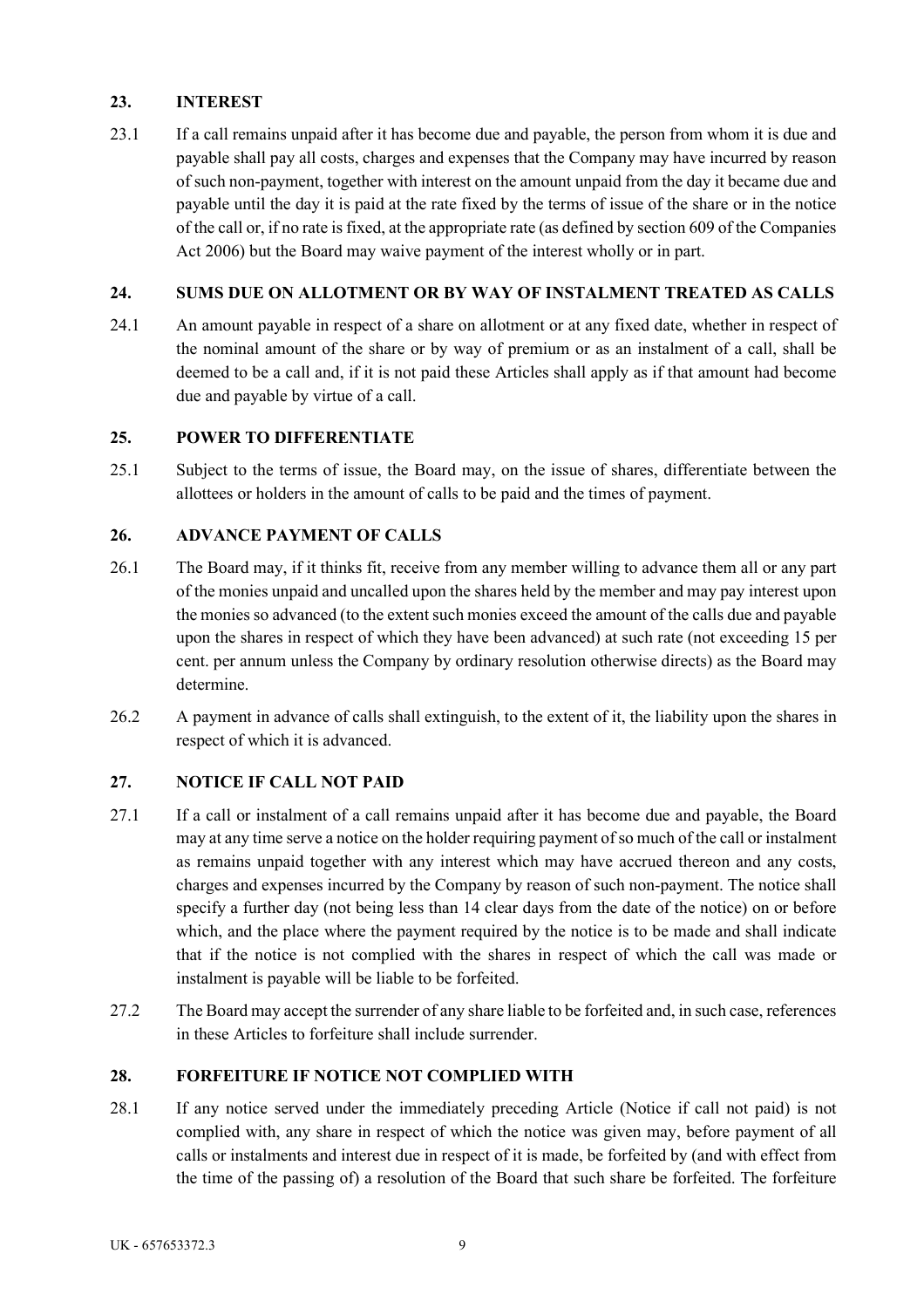# **23. INTEREST**

23.1 If a call remains unpaid after it has become due and payable, the person from whom it is due and payable shall pay all costs, charges and expenses that the Company may have incurred by reason of such non-payment, together with interest on the amount unpaid from the day it became due and payable until the day it is paid at the rate fixed by the terms of issue of the share or in the notice of the call or, if no rate is fixed, at the appropriate rate (as defined by section 609 of the Companies Act 2006) but the Board may waive payment of the interest wholly or in part.

# **24. SUMS DUE ON ALLOTMENT OR BY WAY OF INSTALMENT TREATED AS CALLS**

24.1 An amount payable in respect of a share on allotment or at any fixed date, whether in respect of the nominal amount of the share or by way of premium or as an instalment of a call, shall be deemed to be a call and, if it is not paid these Articles shall apply as if that amount had become due and payable by virtue of a call.

# **25. POWER TO DIFFERENTIATE**

25.1 Subject to the terms of issue, the Board may, on the issue of shares, differentiate between the allottees or holders in the amount of calls to be paid and the times of payment.

# **26. ADVANCE PAYMENT OF CALLS**

- 26.1 The Board may, if it thinks fit, receive from any member willing to advance them all or any part of the monies unpaid and uncalled upon the shares held by the member and may pay interest upon the monies so advanced (to the extent such monies exceed the amount of the calls due and payable upon the shares in respect of which they have been advanced) at such rate (not exceeding 15 per cent. per annum unless the Company by ordinary resolution otherwise directs) as the Board may determine.
- 26.2 A payment in advance of calls shall extinguish, to the extent of it, the liability upon the shares in respect of which it is advanced.

# **27. NOTICE IF CALL NOT PAID**

- 27.1 If a call or instalment of a call remains unpaid after it has become due and payable, the Board may at any time serve a notice on the holder requiring payment of so much of the call or instalment as remains unpaid together with any interest which may have accrued thereon and any costs, charges and expenses incurred by the Company by reason of such non-payment. The notice shall specify a further day (not being less than 14 clear days from the date of the notice) on or before which, and the place where the payment required by the notice is to be made and shall indicate that if the notice is not complied with the shares in respect of which the call was made or instalment is payable will be liable to be forfeited.
- 27.2 The Board may accept the surrender of any share liable to be forfeited and, in such case, references in these Articles to forfeiture shall include surrender.

# **28. FORFEITURE IF NOTICE NOT COMPLIED WITH**

28.1 If any notice served under the immediately preceding Article (Notice if call not paid) is not complied with, any share in respect of which the notice was given may, before payment of all calls or instalments and interest due in respect of it is made, be forfeited by (and with effect from the time of the passing of) a resolution of the Board that such share be forfeited. The forfeiture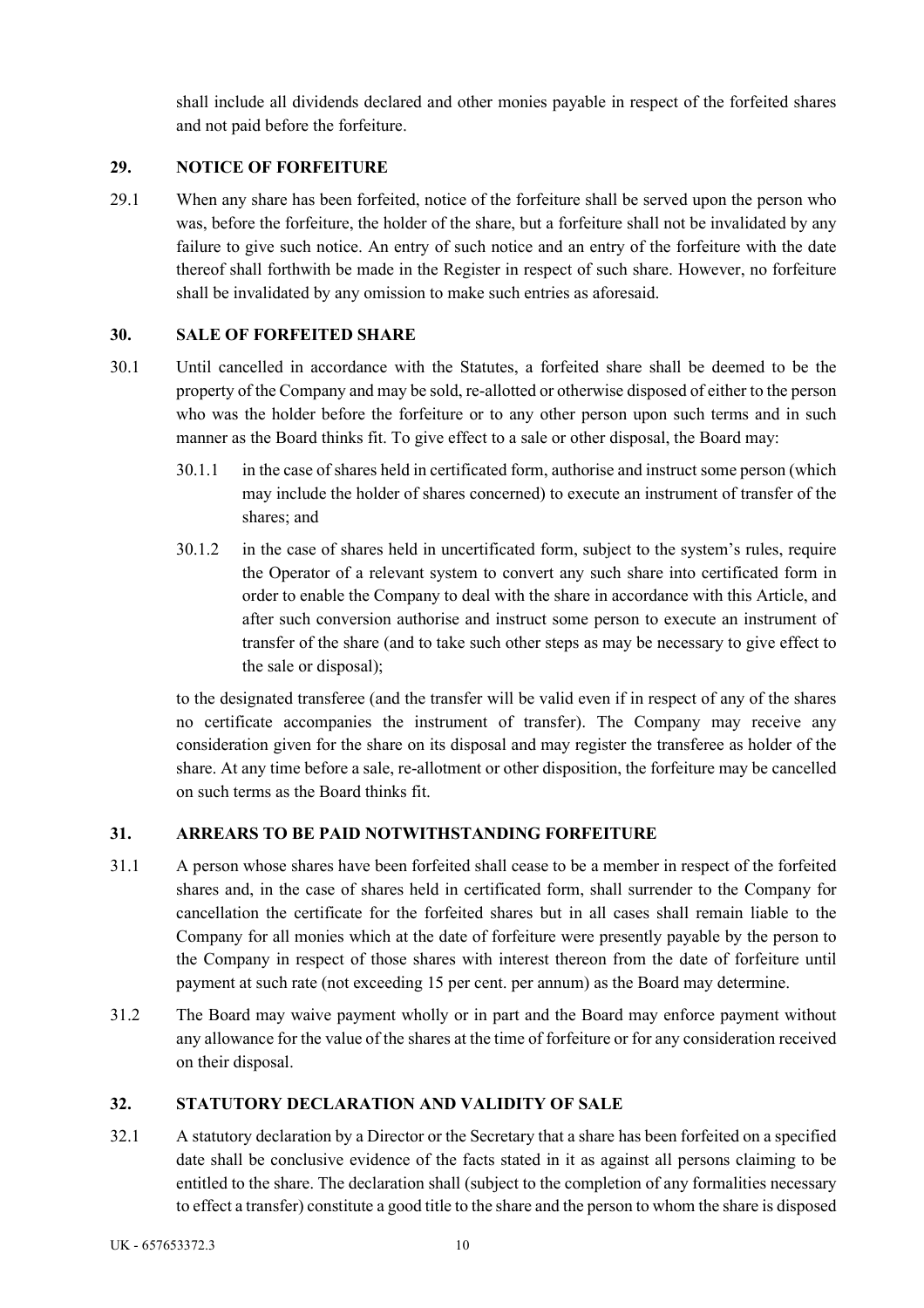shall include all dividends declared and other monies payable in respect of the forfeited shares and not paid before the forfeiture.

# **29. NOTICE OF FORFEITURE**

29.1 When any share has been forfeited, notice of the forfeiture shall be served upon the person who was, before the forfeiture, the holder of the share, but a forfeiture shall not be invalidated by any failure to give such notice. An entry of such notice and an entry of the forfeiture with the date thereof shall forthwith be made in the Register in respect of such share. However, no forfeiture shall be invalidated by any omission to make such entries as aforesaid.

# **30. SALE OF FORFEITED SHARE**

- 30.1 Until cancelled in accordance with the Statutes, a forfeited share shall be deemed to be the property of the Company and may be sold, re-allotted or otherwise disposed of either to the person who was the holder before the forfeiture or to any other person upon such terms and in such manner as the Board thinks fit. To give effect to a sale or other disposal, the Board may:
	- 30.1.1 in the case of shares held in certificated form, authorise and instruct some person (which may include the holder of shares concerned) to execute an instrument of transfer of the shares; and
	- 30.1.2 in the case of shares held in uncertificated form, subject to the system's rules, require the Operator of a relevant system to convert any such share into certificated form in order to enable the Company to deal with the share in accordance with this Article, and after such conversion authorise and instruct some person to execute an instrument of transfer of the share (and to take such other steps as may be necessary to give effect to the sale or disposal);

to the designated transferee (and the transfer will be valid even if in respect of any of the shares no certificate accompanies the instrument of transfer). The Company may receive any consideration given for the share on its disposal and may register the transferee as holder of the share. At any time before a sale, re-allotment or other disposition, the forfeiture may be cancelled on such terms as the Board thinks fit.

# **31. ARREARS TO BE PAID NOTWITHSTANDING FORFEITURE**

- 31.1 A person whose shares have been forfeited shall cease to be a member in respect of the forfeited shares and, in the case of shares held in certificated form, shall surrender to the Company for cancellation the certificate for the forfeited shares but in all cases shall remain liable to the Company for all monies which at the date of forfeiture were presently payable by the person to the Company in respect of those shares with interest thereon from the date of forfeiture until payment at such rate (not exceeding 15 per cent. per annum) as the Board may determine.
- 31.2 The Board may waive payment wholly or in part and the Board may enforce payment without any allowance for the value of the shares at the time of forfeiture or for any consideration received on their disposal.

# **32. STATUTORY DECLARATION AND VALIDITY OF SALE**

32.1 A statutory declaration by a Director or the Secretary that a share has been forfeited on a specified date shall be conclusive evidence of the facts stated in it as against all persons claiming to be entitled to the share. The declaration shall (subject to the completion of any formalities necessary to effect a transfer) constitute a good title to the share and the person to whom the share is disposed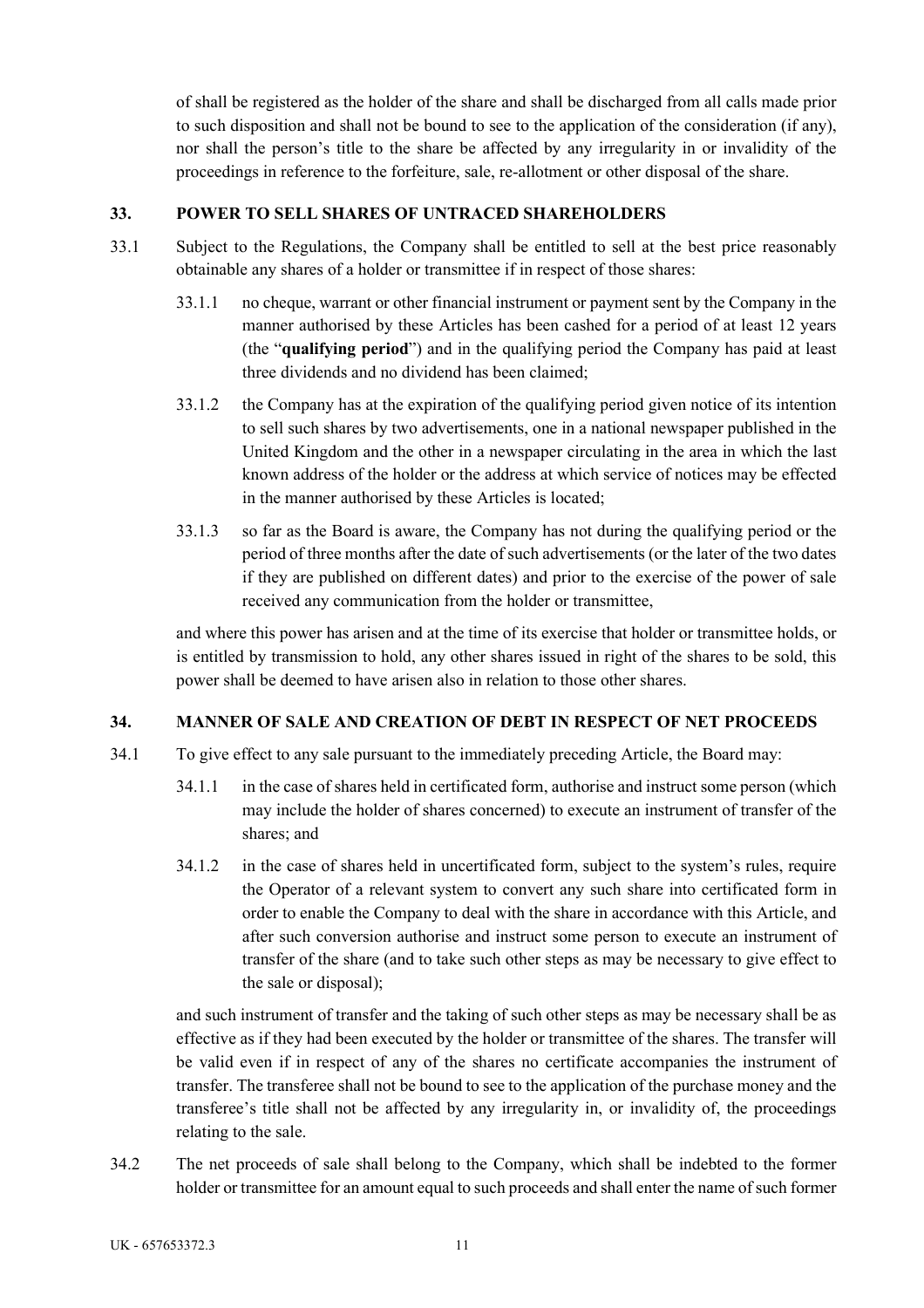of shall be registered as the holder of the share and shall be discharged from all calls made prior to such disposition and shall not be bound to see to the application of the consideration (if any), nor shall the person's title to the share be affected by any irregularity in or invalidity of the proceedings in reference to the forfeiture, sale, re-allotment or other disposal of the share.

### **33. POWER TO SELL SHARES OF UNTRACED SHAREHOLDERS**

- 33.1 Subject to the Regulations, the Company shall be entitled to sell at the best price reasonably obtainable any shares of a holder or transmittee if in respect of those shares:
	- 33.1.1 no cheque, warrant or other financial instrument or payment sent by the Company in the manner authorised by these Articles has been cashed for a period of at least 12 years (the "**qualifying period**") and in the qualifying period the Company has paid at least three dividends and no dividend has been claimed;
	- 33.1.2 the Company has at the expiration of the qualifying period given notice of its intention to sell such shares by two advertisements, one in a national newspaper published in the United Kingdom and the other in a newspaper circulating in the area in which the last known address of the holder or the address at which service of notices may be effected in the manner authorised by these Articles is located;
	- 33.1.3 so far as the Board is aware, the Company has not during the qualifying period or the period of three months after the date of such advertisements (or the later of the two dates if they are published on different dates) and prior to the exercise of the power of sale received any communication from the holder or transmittee,

and where this power has arisen and at the time of its exercise that holder or transmittee holds, or is entitled by transmission to hold, any other shares issued in right of the shares to be sold, this power shall be deemed to have arisen also in relation to those other shares.

#### **34. MANNER OF SALE AND CREATION OF DEBT IN RESPECT OF NET PROCEEDS**

- 34.1 To give effect to any sale pursuant to the immediately preceding Article, the Board may:
	- 34.1.1 in the case of shares held in certificated form, authorise and instruct some person (which may include the holder of shares concerned) to execute an instrument of transfer of the shares; and
	- 34.1.2 in the case of shares held in uncertificated form, subject to the system's rules, require the Operator of a relevant system to convert any such share into certificated form in order to enable the Company to deal with the share in accordance with this Article, and after such conversion authorise and instruct some person to execute an instrument of transfer of the share (and to take such other steps as may be necessary to give effect to the sale or disposal);

and such instrument of transfer and the taking of such other steps as may be necessary shall be as effective as if they had been executed by the holder or transmittee of the shares. The transfer will be valid even if in respect of any of the shares no certificate accompanies the instrument of transfer. The transferee shall not be bound to see to the application of the purchase money and the transferee's title shall not be affected by any irregularity in, or invalidity of, the proceedings relating to the sale.

34.2 The net proceeds of sale shall belong to the Company, which shall be indebted to the former holder or transmittee for an amount equal to such proceeds and shall enter the name of such former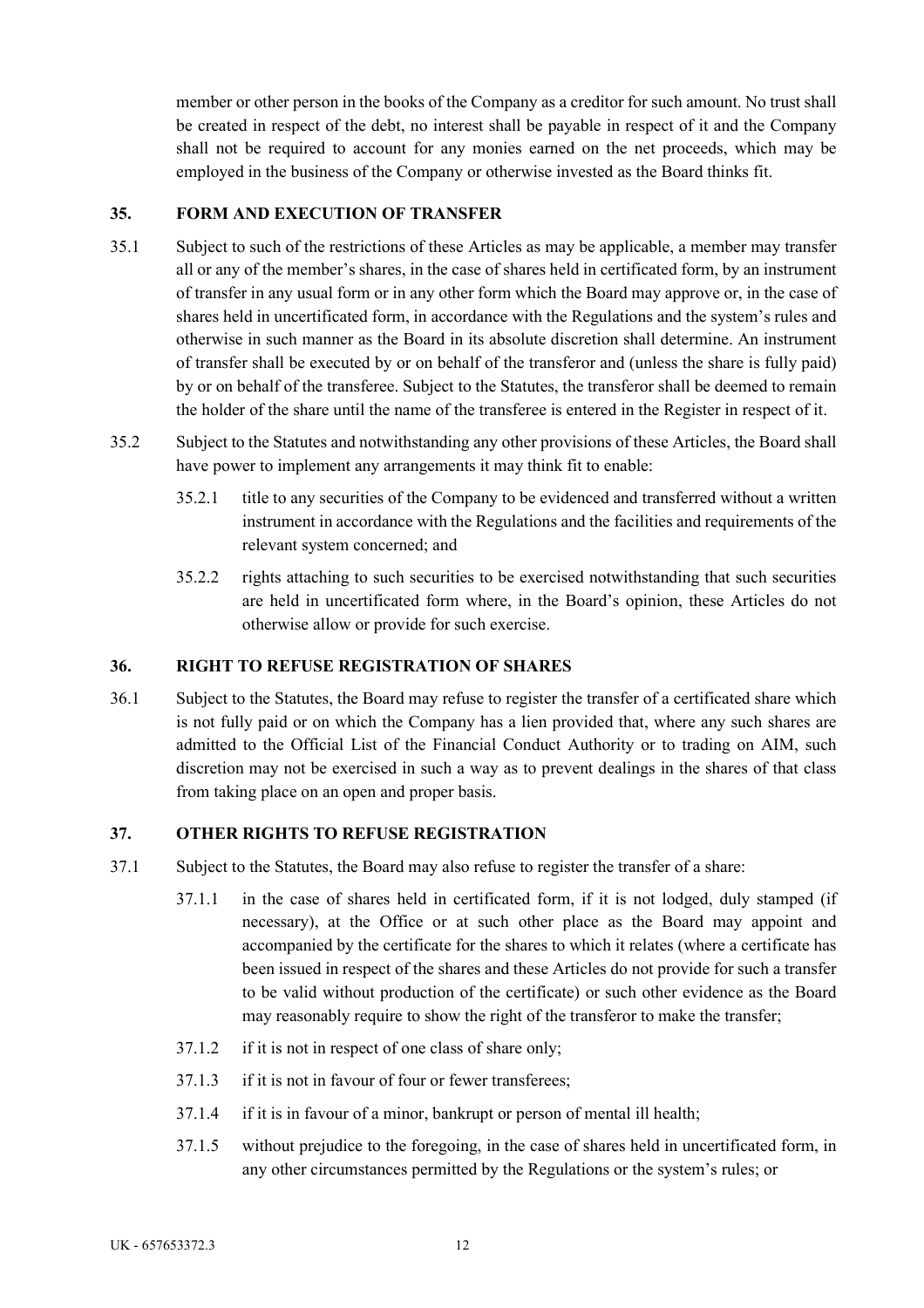member or other person in the books of the Company as a creditor for such amount. No trust shall be created in respect of the debt, no interest shall be payable in respect of it and the Company shall not be required to account for any monies earned on the net proceeds, which may be employed in the business of the Company or otherwise invested as the Board thinks fit.

### **35. FORM AND EXECUTION OF TRANSFER**

- 35.1 Subject to such of the restrictions of these Articles as may be applicable, a member may transfer all or any of the member's shares, in the case of shares held in certificated form, by an instrument of transfer in any usual form or in any other form which the Board may approve or, in the case of shares held in uncertificated form, in accordance with the Regulations and the system's rules and otherwise in such manner as the Board in its absolute discretion shall determine. An instrument of transfer shall be executed by or on behalf of the transferor and (unless the share is fully paid) by or on behalf of the transferee. Subject to the Statutes, the transferor shall be deemed to remain the holder of the share until the name of the transferee is entered in the Register in respect of it.
- 35.2 Subject to the Statutes and notwithstanding any other provisions of these Articles, the Board shall have power to implement any arrangements it may think fit to enable:
	- 35.2.1 title to any securities of the Company to be evidenced and transferred without a written instrument in accordance with the Regulations and the facilities and requirements of the relevant system concerned; and
	- 35.2.2 rights attaching to such securities to be exercised notwithstanding that such securities are held in uncertificated form where, in the Board's opinion, these Articles do not otherwise allow or provide for such exercise.

### **36. RIGHT TO REFUSE REGISTRATION OF SHARES**

36.1 Subject to the Statutes, the Board may refuse to register the transfer of a certificated share which is not fully paid or on which the Company has a lien provided that, where any such shares are admitted to the Official List of the Financial Conduct Authority or to trading on AIM, such discretion may not be exercised in such a way as to prevent dealings in the shares of that class from taking place on an open and proper basis.

### **37. OTHER RIGHTS TO REFUSE REGISTRATION**

- 37.1 Subject to the Statutes, the Board may also refuse to register the transfer of a share:
	- 37.1.1 in the case of shares held in certificated form, if it is not lodged, duly stamped (if necessary), at the Office or at such other place as the Board may appoint and accompanied by the certificate for the shares to which it relates (where a certificate has been issued in respect of the shares and these Articles do not provide for such a transfer to be valid without production of the certificate) or such other evidence as the Board may reasonably require to show the right of the transferor to make the transfer;
	- 37.1.2 if it is not in respect of one class of share only;
	- 37.1.3 if it is not in favour of four or fewer transferees;
	- 37.1.4 if it is in favour of a minor, bankrupt or person of mental ill health;
	- 37.1.5 without prejudice to the foregoing, in the case of shares held in uncertificated form, in any other circumstances permitted by the Regulations or the system's rules; or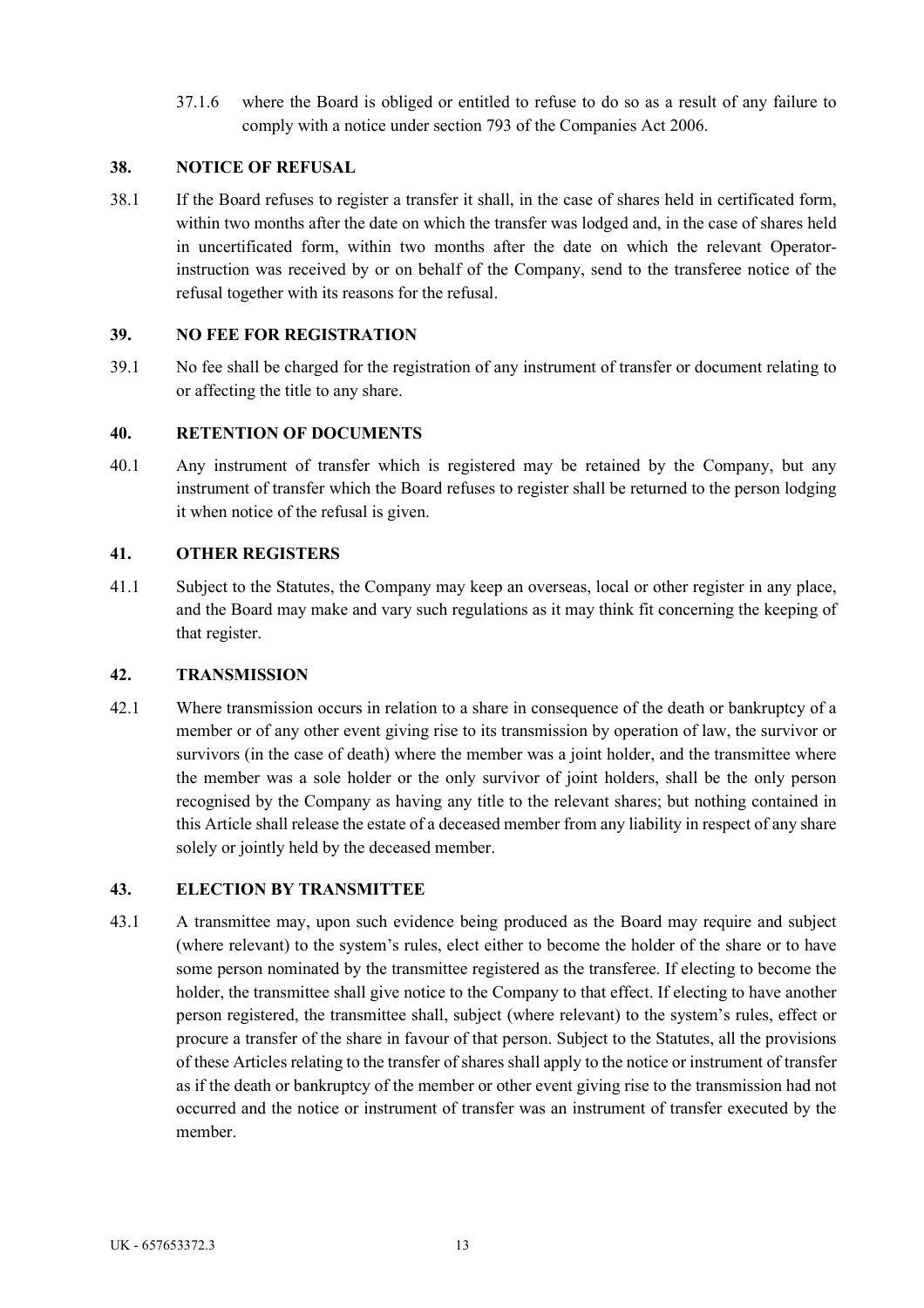37.1.6 where the Board is obliged or entitled to refuse to do so as a result of any failure to comply with a notice under section 793 of the Companies Act 2006.

## **38. NOTICE OF REFUSAL**

38.1 If the Board refuses to register a transfer it shall, in the case of shares held in certificated form, within two months after the date on which the transfer was lodged and, in the case of shares held in uncertificated form, within two months after the date on which the relevant Operatorinstruction was received by or on behalf of the Company, send to the transferee notice of the refusal together with its reasons for the refusal.

### **39. NO FEE FOR REGISTRATION**

39.1 No fee shall be charged for the registration of any instrument of transfer or document relating to or affecting the title to any share.

## **40. RETENTION OF DOCUMENTS**

40.1 Any instrument of transfer which is registered may be retained by the Company, but any instrument of transfer which the Board refuses to register shall be returned to the person lodging it when notice of the refusal is given.

## **41. OTHER REGISTERS**

41.1 Subject to the Statutes, the Company may keep an overseas, local or other register in any place, and the Board may make and vary such regulations as it may think fit concerning the keeping of that register.

### **42. TRANSMISSION**

42.1 Where transmission occurs in relation to a share in consequence of the death or bankruptcy of a member or of any other event giving rise to its transmission by operation of law, the survivor or survivors (in the case of death) where the member was a joint holder, and the transmittee where the member was a sole holder or the only survivor of joint holders, shall be the only person recognised by the Company as having any title to the relevant shares; but nothing contained in this Article shall release the estate of a deceased member from any liability in respect of any share solely or jointly held by the deceased member.

### **43. ELECTION BY TRANSMITTEE**

43.1 A transmittee may, upon such evidence being produced as the Board may require and subject (where relevant) to the system's rules, elect either to become the holder of the share or to have some person nominated by the transmittee registered as the transferee. If electing to become the holder, the transmittee shall give notice to the Company to that effect. If electing to have another person registered, the transmittee shall, subject (where relevant) to the system's rules, effect or procure a transfer of the share in favour of that person. Subject to the Statutes, all the provisions of these Articles relating to the transfer of shares shall apply to the notice or instrument of transfer as if the death or bankruptcy of the member or other event giving rise to the transmission had not occurred and the notice or instrument of transfer was an instrument of transfer executed by the member.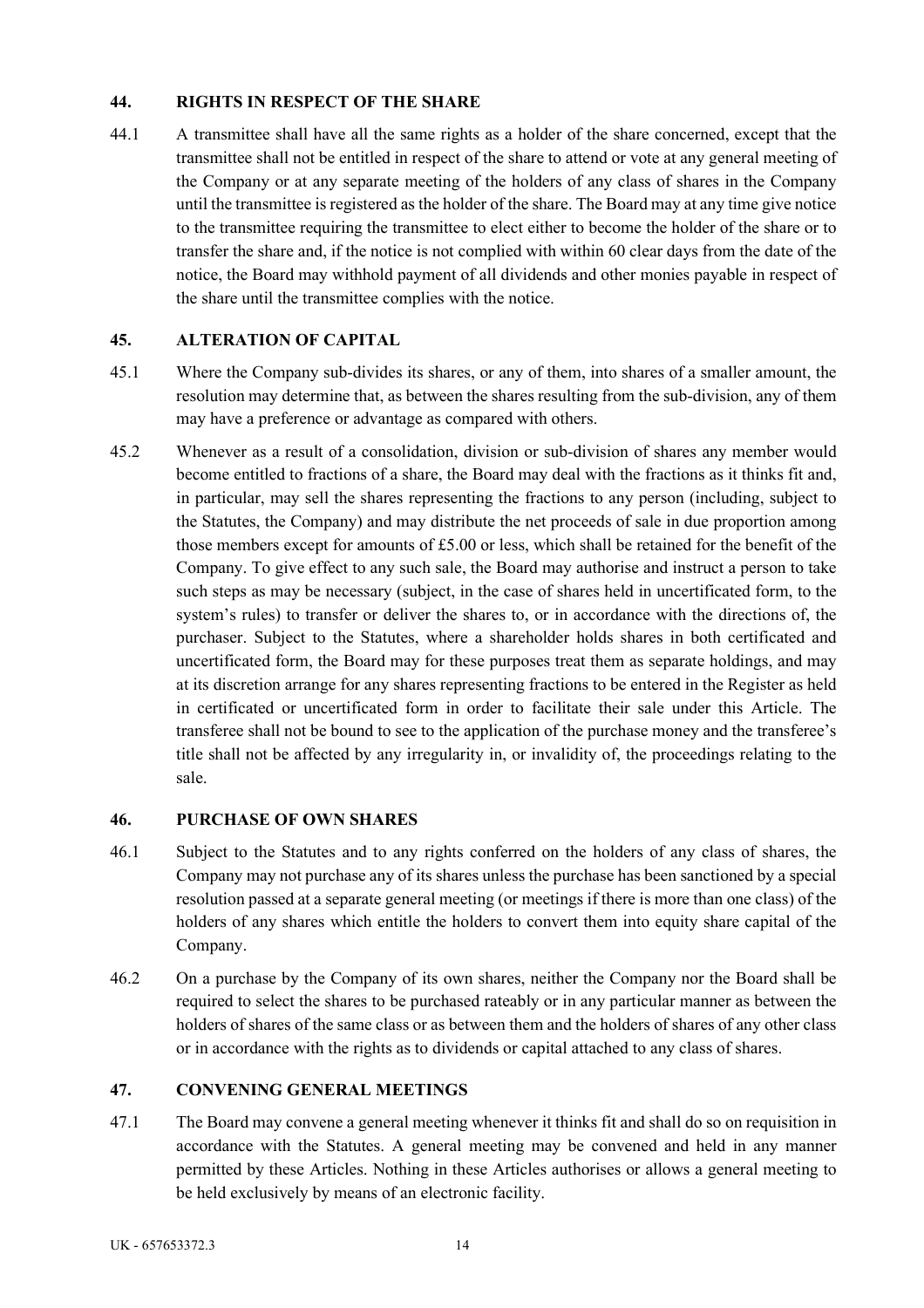## **44. RIGHTS IN RESPECT OF THE SHARE**

44.1 A transmittee shall have all the same rights as a holder of the share concerned, except that the transmittee shall not be entitled in respect of the share to attend or vote at any general meeting of the Company or at any separate meeting of the holders of any class of shares in the Company until the transmittee is registered as the holder of the share. The Board may at any time give notice to the transmittee requiring the transmittee to elect either to become the holder of the share or to transfer the share and, if the notice is not complied with within 60 clear days from the date of the notice, the Board may withhold payment of all dividends and other monies payable in respect of the share until the transmittee complies with the notice.

## **45. ALTERATION OF CAPITAL**

- 45.1 Where the Company sub-divides its shares, or any of them, into shares of a smaller amount, the resolution may determine that, as between the shares resulting from the sub-division, any of them may have a preference or advantage as compared with others.
- 45.2 Whenever as a result of a consolidation, division or sub-division of shares any member would become entitled to fractions of a share, the Board may deal with the fractions as it thinks fit and, in particular, may sell the shares representing the fractions to any person (including, subject to the Statutes, the Company) and may distribute the net proceeds of sale in due proportion among those members except for amounts of £5.00 or less, which shall be retained for the benefit of the Company. To give effect to any such sale, the Board may authorise and instruct a person to take such steps as may be necessary (subject, in the case of shares held in uncertificated form, to the system's rules) to transfer or deliver the shares to, or in accordance with the directions of, the purchaser. Subject to the Statutes, where a shareholder holds shares in both certificated and uncertificated form, the Board may for these purposes treat them as separate holdings, and may at its discretion arrange for any shares representing fractions to be entered in the Register as held in certificated or uncertificated form in order to facilitate their sale under this Article. The transferee shall not be bound to see to the application of the purchase money and the transferee's title shall not be affected by any irregularity in, or invalidity of, the proceedings relating to the sale.

### **46. PURCHASE OF OWN SHARES**

- 46.1 Subject to the Statutes and to any rights conferred on the holders of any class of shares, the Company may not purchase any of its shares unless the purchase has been sanctioned by a special resolution passed at a separate general meeting (or meetings if there is more than one class) of the holders of any shares which entitle the holders to convert them into equity share capital of the Company.
- 46.2 On a purchase by the Company of its own shares, neither the Company nor the Board shall be required to select the shares to be purchased rateably or in any particular manner as between the holders of shares of the same class or as between them and the holders of shares of any other class or in accordance with the rights as to dividends or capital attached to any class of shares.

### **47. CONVENING GENERAL MEETINGS**

47.1 The Board may convene a general meeting whenever it thinks fit and shall do so on requisition in accordance with the Statutes. A general meeting may be convened and held in any manner permitted by these Articles. Nothing in these Articles authorises or allows a general meeting to be held exclusively by means of an electronic facility.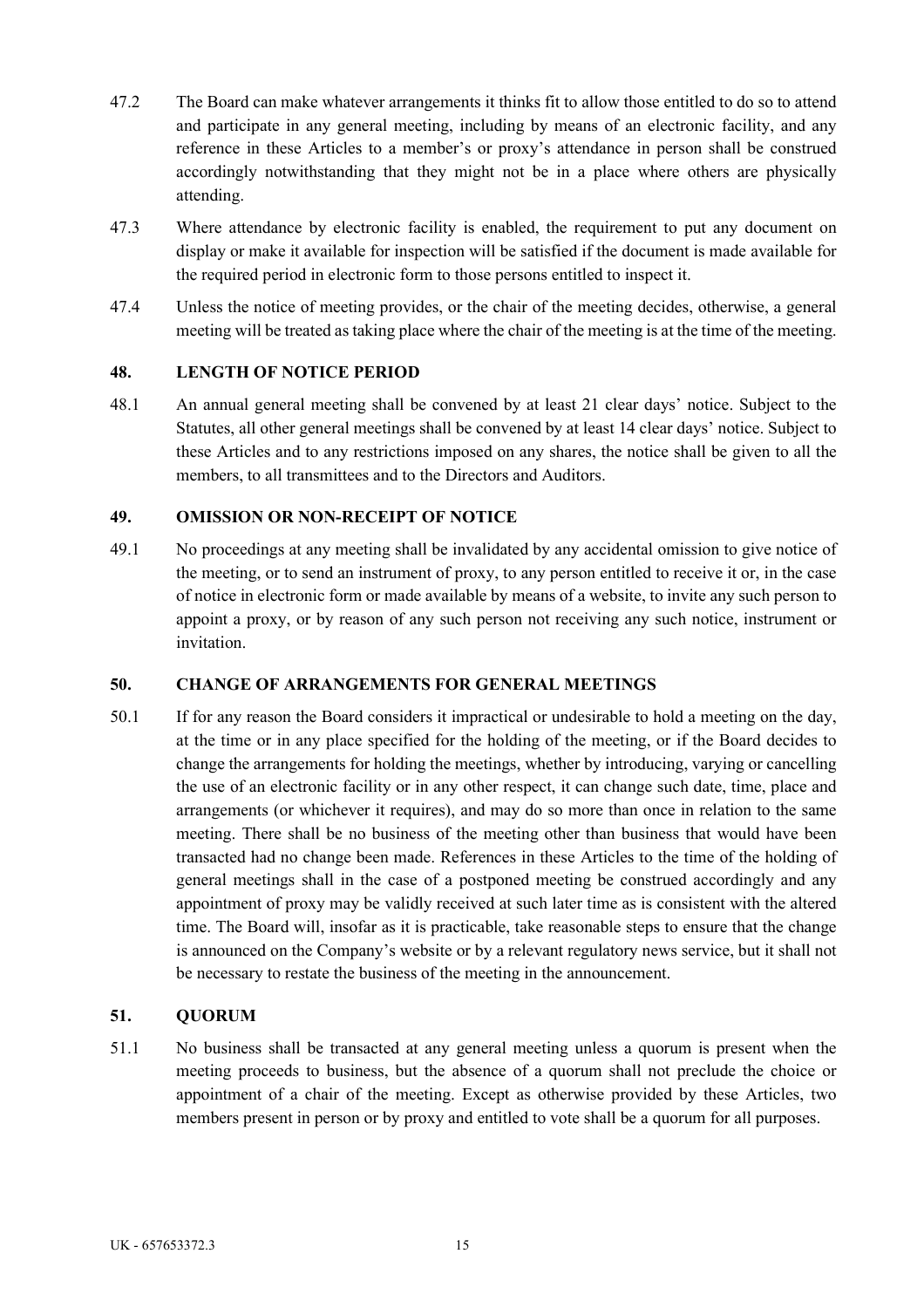- 47.2 The Board can make whatever arrangements it thinks fit to allow those entitled to do so to attend and participate in any general meeting, including by means of an electronic facility, and any reference in these Articles to a member's or proxy's attendance in person shall be construed accordingly notwithstanding that they might not be in a place where others are physically attending.
- 47.3 Where attendance by electronic facility is enabled, the requirement to put any document on display or make it available for inspection will be satisfied if the document is made available for the required period in electronic form to those persons entitled to inspect it.
- 47.4 Unless the notice of meeting provides, or the chair of the meeting decides, otherwise, a general meeting will be treated as taking place where the chair of the meeting is at the time of the meeting.

## **48. LENGTH OF NOTICE PERIOD**

48.1 An annual general meeting shall be convened by at least 21 clear days' notice. Subject to the Statutes, all other general meetings shall be convened by at least 14 clear days' notice. Subject to these Articles and to any restrictions imposed on any shares, the notice shall be given to all the members, to all transmittees and to the Directors and Auditors.

## **49. OMISSION OR NON-RECEIPT OF NOTICE**

49.1 No proceedings at any meeting shall be invalidated by any accidental omission to give notice of the meeting, or to send an instrument of proxy, to any person entitled to receive it or, in the case of notice in electronic form or made available by means of a website, to invite any such person to appoint a proxy, or by reason of any such person not receiving any such notice, instrument or invitation.

### **50. CHANGE OF ARRANGEMENTS FOR GENERAL MEETINGS**

50.1 If for any reason the Board considers it impractical or undesirable to hold a meeting on the day, at the time or in any place specified for the holding of the meeting, or if the Board decides to change the arrangements for holding the meetings, whether by introducing, varying or cancelling the use of an electronic facility or in any other respect, it can change such date, time, place and arrangements (or whichever it requires), and may do so more than once in relation to the same meeting. There shall be no business of the meeting other than business that would have been transacted had no change been made. References in these Articles to the time of the holding of general meetings shall in the case of a postponed meeting be construed accordingly and any appointment of proxy may be validly received at such later time as is consistent with the altered time. The Board will, insofar as it is practicable, take reasonable steps to ensure that the change is announced on the Company's website or by a relevant regulatory news service, but it shall not be necessary to restate the business of the meeting in the announcement.

# **51. QUORUM**

51.1 No business shall be transacted at any general meeting unless a quorum is present when the meeting proceeds to business, but the absence of a quorum shall not preclude the choice or appointment of a chair of the meeting. Except as otherwise provided by these Articles, two members present in person or by proxy and entitled to vote shall be a quorum for all purposes.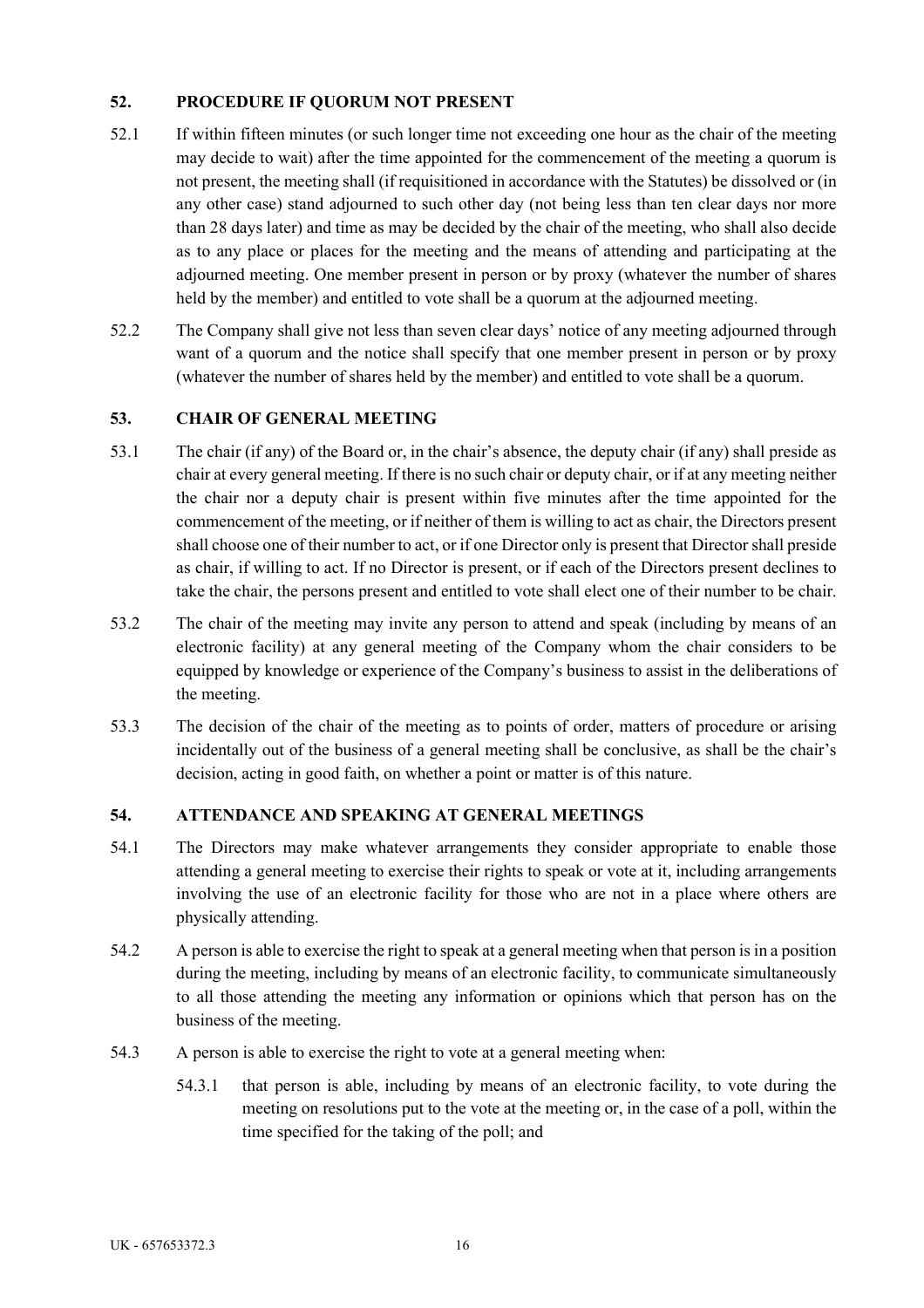## **52. PROCEDURE IF QUORUM NOT PRESENT**

- 52.1 If within fifteen minutes (or such longer time not exceeding one hour as the chair of the meeting may decide to wait) after the time appointed for the commencement of the meeting a quorum is not present, the meeting shall (if requisitioned in accordance with the Statutes) be dissolved or (in any other case) stand adjourned to such other day (not being less than ten clear days nor more than 28 days later) and time as may be decided by the chair of the meeting, who shall also decide as to any place or places for the meeting and the means of attending and participating at the adjourned meeting. One member present in person or by proxy (whatever the number of shares held by the member) and entitled to vote shall be a quorum at the adjourned meeting.
- 52.2 The Company shall give not less than seven clear days' notice of any meeting adjourned through want of a quorum and the notice shall specify that one member present in person or by proxy (whatever the number of shares held by the member) and entitled to vote shall be a quorum.

## **53. CHAIR OF GENERAL MEETING**

- 53.1 The chair (if any) of the Board or, in the chair's absence, the deputy chair (if any) shall preside as chair at every general meeting. If there is no such chair or deputy chair, or if at any meeting neither the chair nor a deputy chair is present within five minutes after the time appointed for the commencement of the meeting, or if neither of them is willing to act as chair, the Directors present shall choose one of their number to act, or if one Director only is present that Director shall preside as chair, if willing to act. If no Director is present, or if each of the Directors present declines to take the chair, the persons present and entitled to vote shall elect one of their number to be chair.
- 53.2 The chair of the meeting may invite any person to attend and speak (including by means of an electronic facility) at any general meeting of the Company whom the chair considers to be equipped by knowledge or experience of the Company's business to assist in the deliberations of the meeting.
- 53.3 The decision of the chair of the meeting as to points of order, matters of procedure or arising incidentally out of the business of a general meeting shall be conclusive, as shall be the chair's decision, acting in good faith, on whether a point or matter is of this nature.

### **54. ATTENDANCE AND SPEAKING AT GENERAL MEETINGS**

- 54.1 The Directors may make whatever arrangements they consider appropriate to enable those attending a general meeting to exercise their rights to speak or vote at it, including arrangements involving the use of an electronic facility for those who are not in a place where others are physically attending.
- 54.2 A person is able to exercise the right to speak at a general meeting when that person is in a position during the meeting, including by means of an electronic facility, to communicate simultaneously to all those attending the meeting any information or opinions which that person has on the business of the meeting.
- 54.3 A person is able to exercise the right to vote at a general meeting when:
	- 54.3.1 that person is able, including by means of an electronic facility, to vote during the meeting on resolutions put to the vote at the meeting or, in the case of a poll, within the time specified for the taking of the poll; and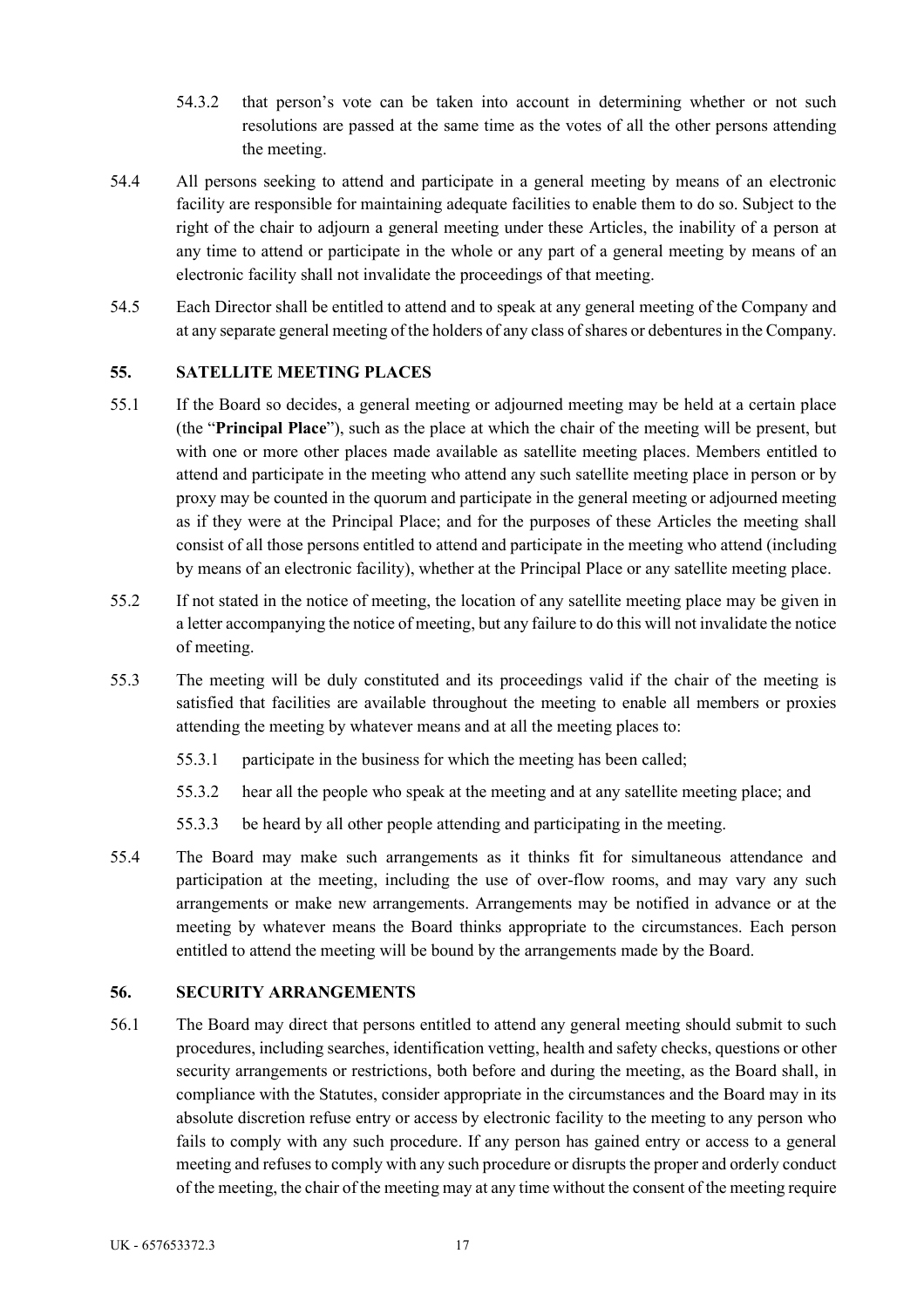- 54.3.2 that person's vote can be taken into account in determining whether or not such resolutions are passed at the same time as the votes of all the other persons attending the meeting.
- 54.4 All persons seeking to attend and participate in a general meeting by means of an electronic facility are responsible for maintaining adequate facilities to enable them to do so. Subject to the right of the chair to adjourn a general meeting under these Articles, the inability of a person at any time to attend or participate in the whole or any part of a general meeting by means of an electronic facility shall not invalidate the proceedings of that meeting.
- 54.5 Each Director shall be entitled to attend and to speak at any general meeting of the Company and at any separate general meeting of the holders of any class of shares or debentures in the Company.

## **55. SATELLITE MEETING PLACES**

- 55.1 If the Board so decides, a general meeting or adjourned meeting may be held at a certain place (the "**Principal Place**"), such as the place at which the chair of the meeting will be present, but with one or more other places made available as satellite meeting places. Members entitled to attend and participate in the meeting who attend any such satellite meeting place in person or by proxy may be counted in the quorum and participate in the general meeting or adjourned meeting as if they were at the Principal Place; and for the purposes of these Articles the meeting shall consist of all those persons entitled to attend and participate in the meeting who attend (including by means of an electronic facility), whether at the Principal Place or any satellite meeting place.
- 55.2 If not stated in the notice of meeting, the location of any satellite meeting place may be given in a letter accompanying the notice of meeting, but any failure to do this will not invalidate the notice of meeting.
- 55.3 The meeting will be duly constituted and its proceedings valid if the chair of the meeting is satisfied that facilities are available throughout the meeting to enable all members or proxies attending the meeting by whatever means and at all the meeting places to:
	- 55.3.1 participate in the business for which the meeting has been called;
	- 55.3.2 hear all the people who speak at the meeting and at any satellite meeting place; and
	- 55.3.3 be heard by all other people attending and participating in the meeting.
- 55.4 The Board may make such arrangements as it thinks fit for simultaneous attendance and participation at the meeting, including the use of over-flow rooms, and may vary any such arrangements or make new arrangements. Arrangements may be notified in advance or at the meeting by whatever means the Board thinks appropriate to the circumstances. Each person entitled to attend the meeting will be bound by the arrangements made by the Board.

### **56. SECURITY ARRANGEMENTS**

56.1 The Board may direct that persons entitled to attend any general meeting should submit to such procedures, including searches, identification vetting, health and safety checks, questions or other security arrangements or restrictions, both before and during the meeting, as the Board shall, in compliance with the Statutes, consider appropriate in the circumstances and the Board may in its absolute discretion refuse entry or access by electronic facility to the meeting to any person who fails to comply with any such procedure. If any person has gained entry or access to a general meeting and refuses to comply with any such procedure or disrupts the proper and orderly conduct of the meeting, the chair of the meeting may at any time without the consent of the meeting require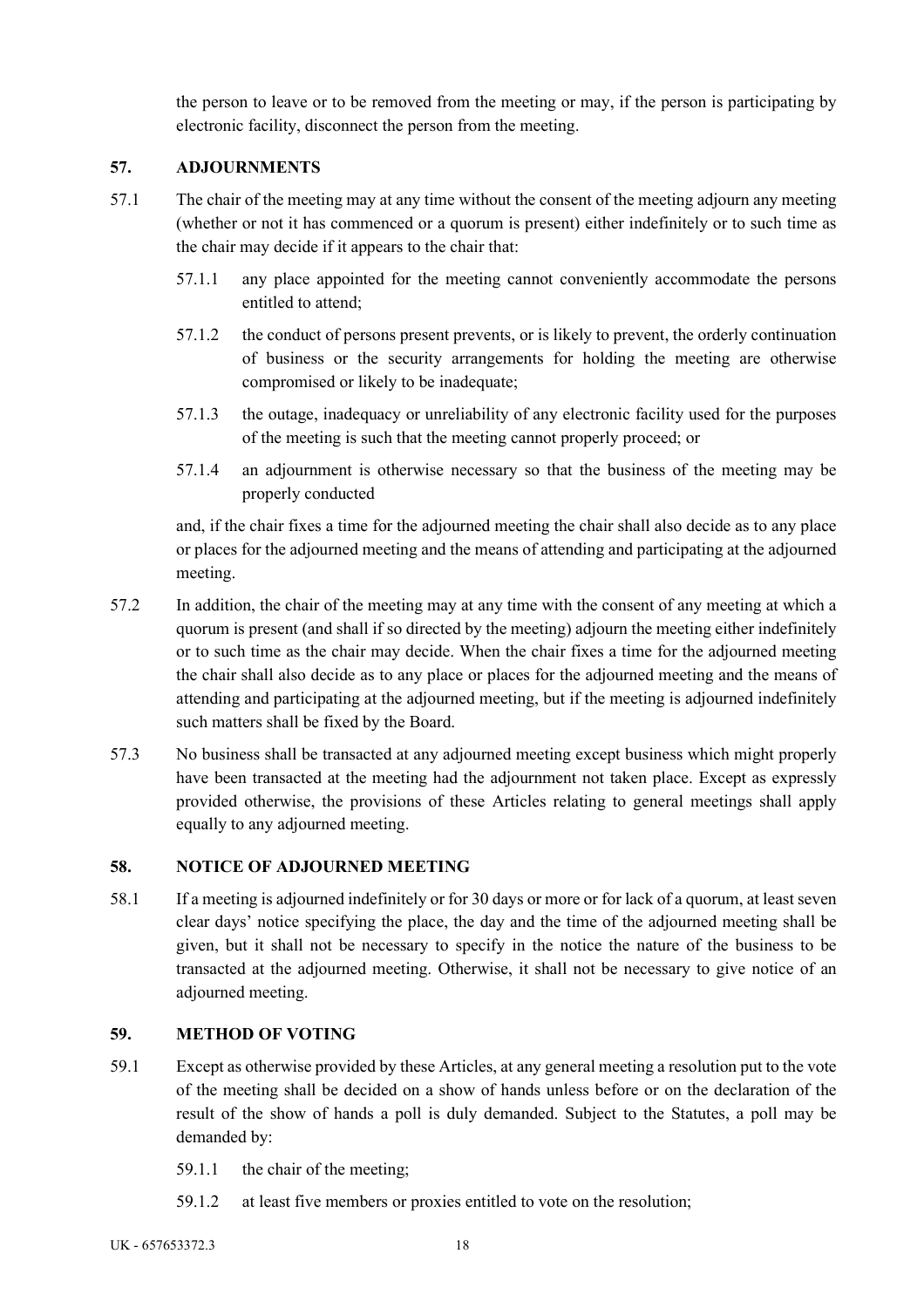the person to leave or to be removed from the meeting or may, if the person is participating by electronic facility, disconnect the person from the meeting.

# **57. ADJOURNMENTS**

- 57.1 The chair of the meeting may at any time without the consent of the meeting adjourn any meeting (whether or not it has commenced or a quorum is present) either indefinitely or to such time as the chair may decide if it appears to the chair that:
	- 57.1.1 any place appointed for the meeting cannot conveniently accommodate the persons entitled to attend;
	- 57.1.2 the conduct of persons present prevents, or is likely to prevent, the orderly continuation of business or the security arrangements for holding the meeting are otherwise compromised or likely to be inadequate;
	- 57.1.3 the outage, inadequacy or unreliability of any electronic facility used for the purposes of the meeting is such that the meeting cannot properly proceed; or
	- 57.1.4 an adjournment is otherwise necessary so that the business of the meeting may be properly conducted

and, if the chair fixes a time for the adjourned meeting the chair shall also decide as to any place or places for the adjourned meeting and the means of attending and participating at the adjourned meeting.

- 57.2 In addition, the chair of the meeting may at any time with the consent of any meeting at which a quorum is present (and shall if so directed by the meeting) adjourn the meeting either indefinitely or to such time as the chair may decide. When the chair fixes a time for the adjourned meeting the chair shall also decide as to any place or places for the adjourned meeting and the means of attending and participating at the adjourned meeting, but if the meeting is adjourned indefinitely such matters shall be fixed by the Board.
- 57.3 No business shall be transacted at any adjourned meeting except business which might properly have been transacted at the meeting had the adjournment not taken place. Except as expressly provided otherwise, the provisions of these Articles relating to general meetings shall apply equally to any adjourned meeting.

# **58. NOTICE OF ADJOURNED MEETING**

58.1 If a meeting is adjourned indefinitely or for 30 days or more or for lack of a quorum, at least seven clear days' notice specifying the place, the day and the time of the adjourned meeting shall be given, but it shall not be necessary to specify in the notice the nature of the business to be transacted at the adjourned meeting. Otherwise, it shall not be necessary to give notice of an adjourned meeting.

# **59. METHOD OF VOTING**

- 59.1 Except as otherwise provided by these Articles, at any general meeting a resolution put to the vote of the meeting shall be decided on a show of hands unless before or on the declaration of the result of the show of hands a poll is duly demanded. Subject to the Statutes, a poll may be demanded by:
	- 59.1.1 the chair of the meeting;
	- 59.1.2 at least five members or proxies entitled to vote on the resolution;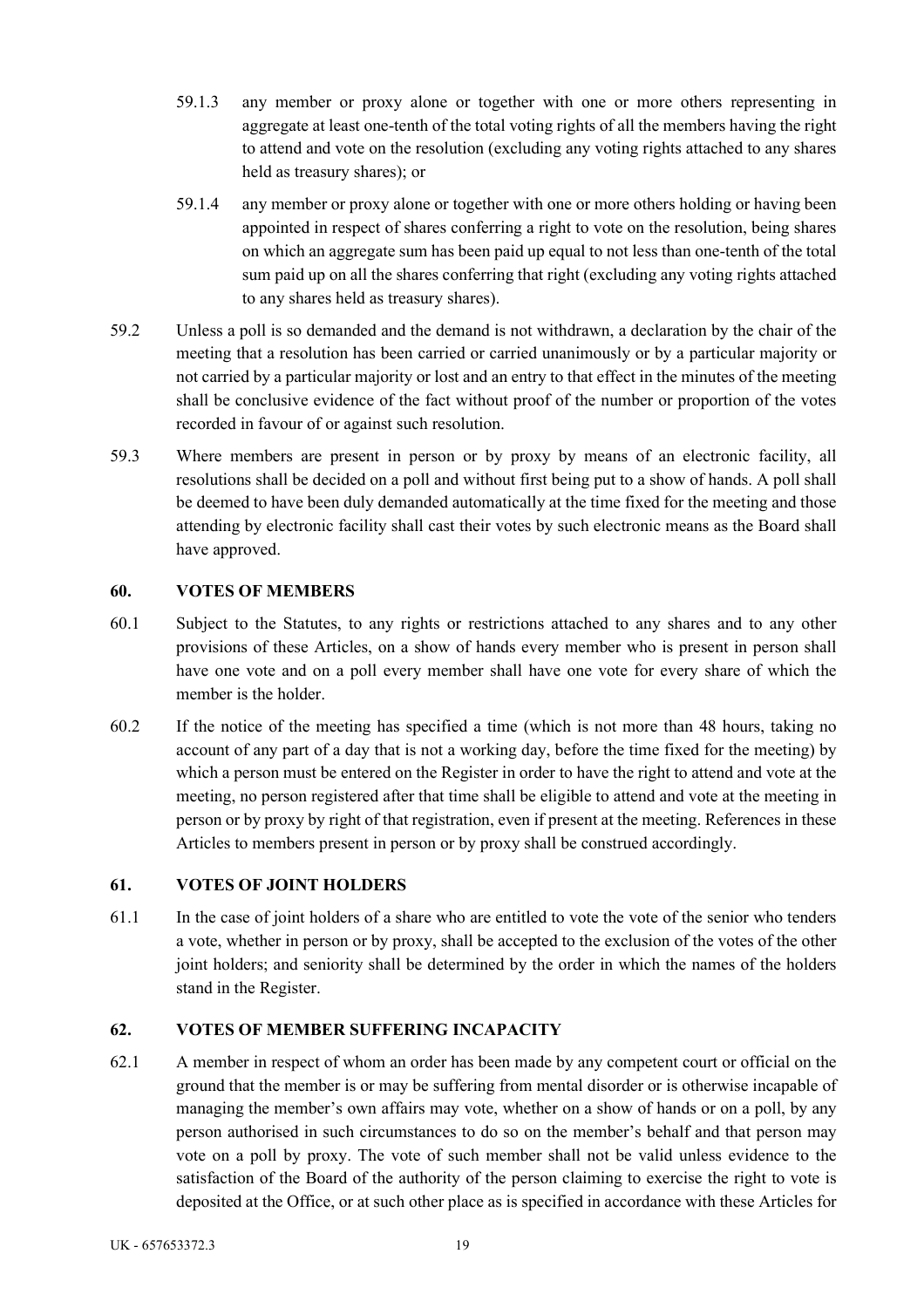- 59.1.3 any member or proxy alone or together with one or more others representing in aggregate at least one-tenth of the total voting rights of all the members having the right to attend and vote on the resolution (excluding any voting rights attached to any shares held as treasury shares); or
- 59.1.4 any member or proxy alone or together with one or more others holding or having been appointed in respect of shares conferring a right to vote on the resolution, being shares on which an aggregate sum has been paid up equal to not less than one-tenth of the total sum paid up on all the shares conferring that right (excluding any voting rights attached to any shares held as treasury shares).
- 59.2 Unless a poll is so demanded and the demand is not withdrawn, a declaration by the chair of the meeting that a resolution has been carried or carried unanimously or by a particular majority or not carried by a particular majority or lost and an entry to that effect in the minutes of the meeting shall be conclusive evidence of the fact without proof of the number or proportion of the votes recorded in favour of or against such resolution.
- 59.3 Where members are present in person or by proxy by means of an electronic facility, all resolutions shall be decided on a poll and without first being put to a show of hands. A poll shall be deemed to have been duly demanded automatically at the time fixed for the meeting and those attending by electronic facility shall cast their votes by such electronic means as the Board shall have approved.

# **60. VOTES OF MEMBERS**

- 60.1 Subject to the Statutes, to any rights or restrictions attached to any shares and to any other provisions of these Articles, on a show of hands every member who is present in person shall have one vote and on a poll every member shall have one vote for every share of which the member is the holder.
- 60.2 If the notice of the meeting has specified a time (which is not more than 48 hours, taking no account of any part of a day that is not a working day, before the time fixed for the meeting) by which a person must be entered on the Register in order to have the right to attend and vote at the meeting, no person registered after that time shall be eligible to attend and vote at the meeting in person or by proxy by right of that registration, even if present at the meeting. References in these Articles to members present in person or by proxy shall be construed accordingly.

### **61. VOTES OF JOINT HOLDERS**

61.1 In the case of joint holders of a share who are entitled to vote the vote of the senior who tenders a vote, whether in person or by proxy, shall be accepted to the exclusion of the votes of the other joint holders; and seniority shall be determined by the order in which the names of the holders stand in the Register.

# **62. VOTES OF MEMBER SUFFERING INCAPACITY**

62.1 A member in respect of whom an order has been made by any competent court or official on the ground that the member is or may be suffering from mental disorder or is otherwise incapable of managing the member's own affairs may vote, whether on a show of hands or on a poll, by any person authorised in such circumstances to do so on the member's behalf and that person may vote on a poll by proxy. The vote of such member shall not be valid unless evidence to the satisfaction of the Board of the authority of the person claiming to exercise the right to vote is deposited at the Office, or at such other place as is specified in accordance with these Articles for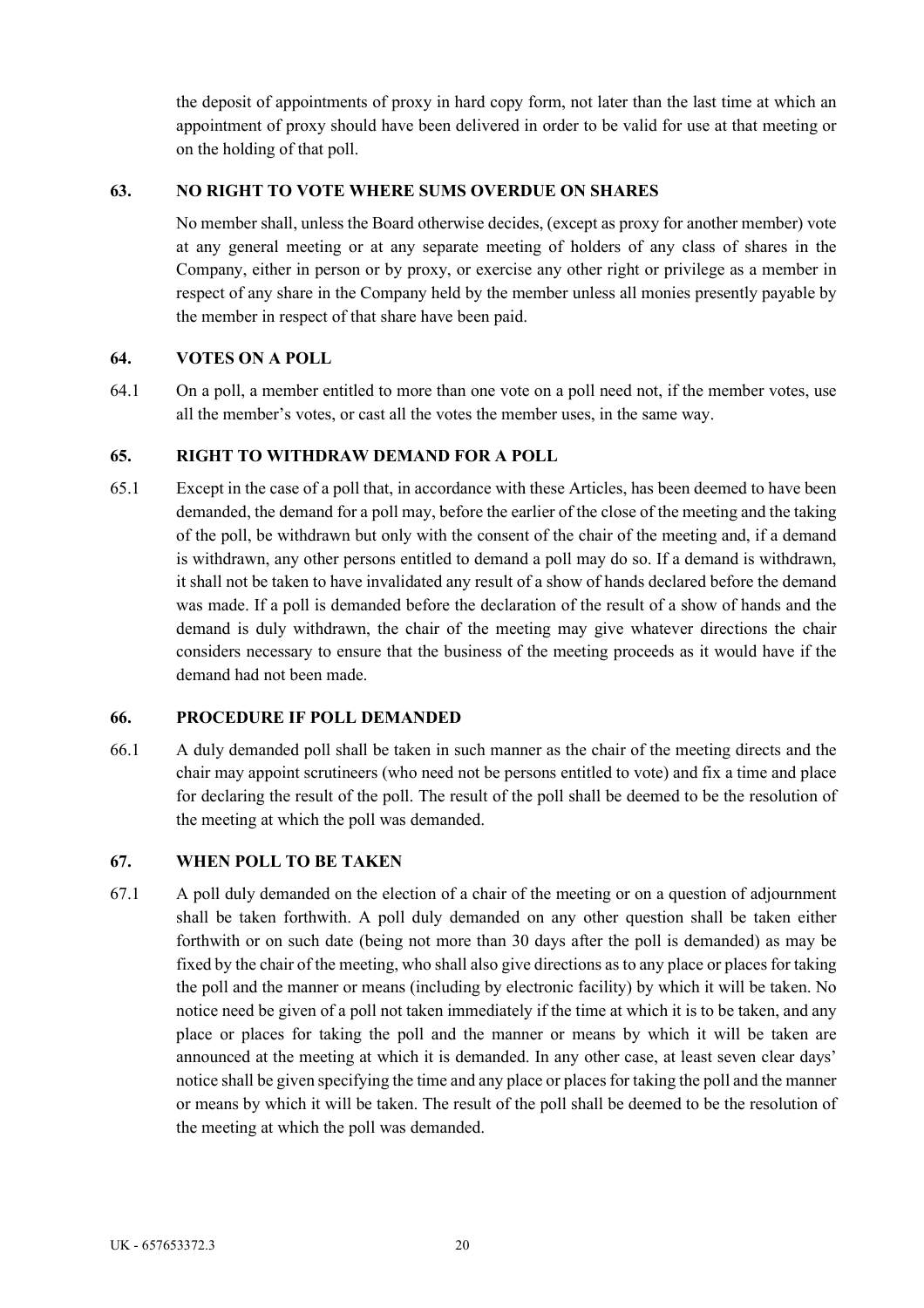the deposit of appointments of proxy in hard copy form, not later than the last time at which an appointment of proxy should have been delivered in order to be valid for use at that meeting or on the holding of that poll.

### **63. NO RIGHT TO VOTE WHERE SUMS OVERDUE ON SHARES**

No member shall, unless the Board otherwise decides, (except as proxy for another member) vote at any general meeting or at any separate meeting of holders of any class of shares in the Company, either in person or by proxy, or exercise any other right or privilege as a member in respect of any share in the Company held by the member unless all monies presently payable by the member in respect of that share have been paid.

## **64. VOTES ON A POLL**

64.1 On a poll, a member entitled to more than one vote on a poll need not, if the member votes, use all the member's votes, or cast all the votes the member uses, in the same way.

## **65. RIGHT TO WITHDRAW DEMAND FOR A POLL**

65.1 Except in the case of a poll that, in accordance with these Articles, has been deemed to have been demanded, the demand for a poll may, before the earlier of the close of the meeting and the taking of the poll, be withdrawn but only with the consent of the chair of the meeting and, if a demand is withdrawn, any other persons entitled to demand a poll may do so. If a demand is withdrawn, it shall not be taken to have invalidated any result of a show of hands declared before the demand was made. If a poll is demanded before the declaration of the result of a show of hands and the demand is duly withdrawn, the chair of the meeting may give whatever directions the chair considers necessary to ensure that the business of the meeting proceeds as it would have if the demand had not been made.

### **66. PROCEDURE IF POLL DEMANDED**

66.1 A duly demanded poll shall be taken in such manner as the chair of the meeting directs and the chair may appoint scrutineers (who need not be persons entitled to vote) and fix a time and place for declaring the result of the poll. The result of the poll shall be deemed to be the resolution of the meeting at which the poll was demanded.

### **67. WHEN POLL TO BE TAKEN**

67.1 A poll duly demanded on the election of a chair of the meeting or on a question of adjournment shall be taken forthwith. A poll duly demanded on any other question shall be taken either forthwith or on such date (being not more than 30 days after the poll is demanded) as may be fixed by the chair of the meeting, who shall also give directions as to any place or places for taking the poll and the manner or means (including by electronic facility) by which it will be taken. No notice need be given of a poll not taken immediately if the time at which it is to be taken, and any place or places for taking the poll and the manner or means by which it will be taken are announced at the meeting at which it is demanded. In any other case, at least seven clear days' notice shall be given specifying the time and any place or places for taking the poll and the manner or means by which it will be taken. The result of the poll shall be deemed to be the resolution of the meeting at which the poll was demanded.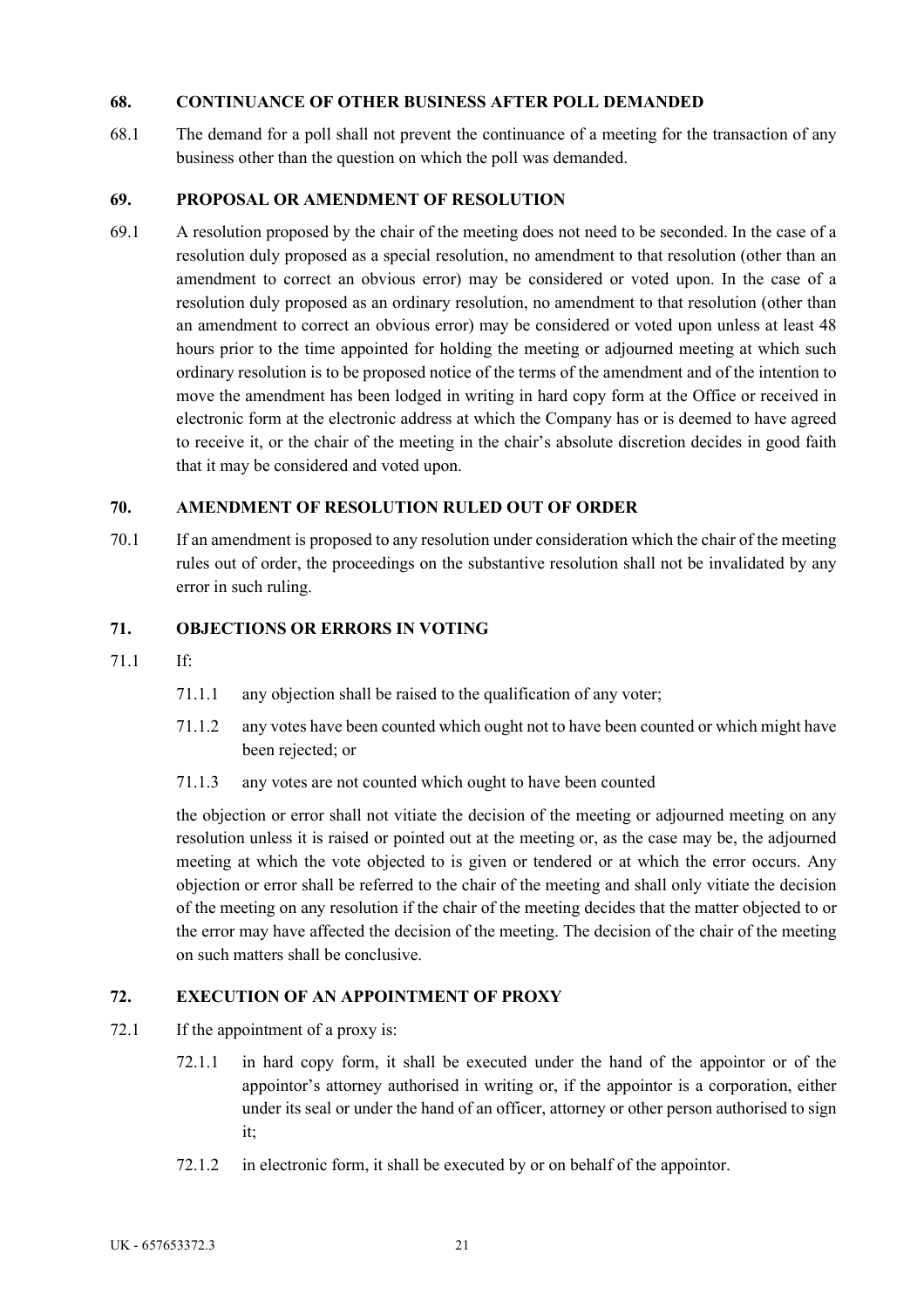### **68. CONTINUANCE OF OTHER BUSINESS AFTER POLL DEMANDED**

68.1 The demand for a poll shall not prevent the continuance of a meeting for the transaction of any business other than the question on which the poll was demanded.

## **69. PROPOSAL OR AMENDMENT OF RESOLUTION**

69.1 A resolution proposed by the chair of the meeting does not need to be seconded. In the case of a resolution duly proposed as a special resolution, no amendment to that resolution (other than an amendment to correct an obvious error) may be considered or voted upon. In the case of a resolution duly proposed as an ordinary resolution, no amendment to that resolution (other than an amendment to correct an obvious error) may be considered or voted upon unless at least 48 hours prior to the time appointed for holding the meeting or adjourned meeting at which such ordinary resolution is to be proposed notice of the terms of the amendment and of the intention to move the amendment has been lodged in writing in hard copy form at the Office or received in electronic form at the electronic address at which the Company has or is deemed to have agreed to receive it, or the chair of the meeting in the chair's absolute discretion decides in good faith that it may be considered and voted upon.

## **70. AMENDMENT OF RESOLUTION RULED OUT OF ORDER**

70.1 If an amendment is proposed to any resolution under consideration which the chair of the meeting rules out of order, the proceedings on the substantive resolution shall not be invalidated by any error in such ruling.

## **71. OBJECTIONS OR ERRORS IN VOTING**

- 71.1 If:
	- 71.1.1 any objection shall be raised to the qualification of any voter;
	- 71.1.2 any votes have been counted which ought not to have been counted or which might have been rejected; or
	- 71.1.3 any votes are not counted which ought to have been counted

the objection or error shall not vitiate the decision of the meeting or adjourned meeting on any resolution unless it is raised or pointed out at the meeting or, as the case may be, the adjourned meeting at which the vote objected to is given or tendered or at which the error occurs. Any objection or error shall be referred to the chair of the meeting and shall only vitiate the decision of the meeting on any resolution if the chair of the meeting decides that the matter objected to or the error may have affected the decision of the meeting. The decision of the chair of the meeting on such matters shall be conclusive.

# **72. EXECUTION OF AN APPOINTMENT OF PROXY**

- 72.1 If the appointment of a proxy is:
	- 72.1.1 in hard copy form, it shall be executed under the hand of the appointor or of the appointor's attorney authorised in writing or, if the appointor is a corporation, either under its seal or under the hand of an officer, attorney or other person authorised to sign it;
	- 72.1.2 in electronic form, it shall be executed by or on behalf of the appointor.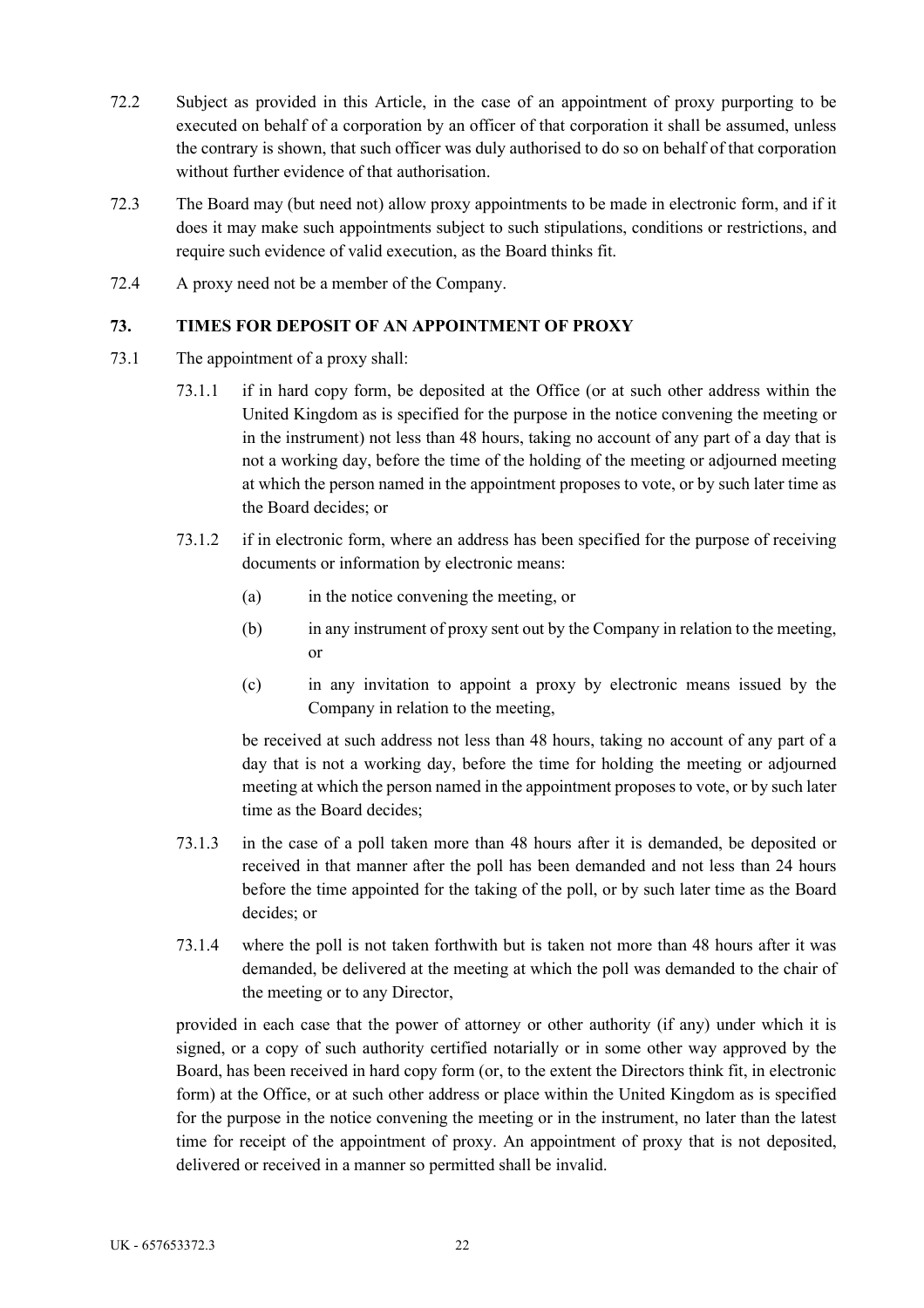- 72.2 Subject as provided in this Article, in the case of an appointment of proxy purporting to be executed on behalf of a corporation by an officer of that corporation it shall be assumed, unless the contrary is shown, that such officer was duly authorised to do so on behalf of that corporation without further evidence of that authorisation.
- 72.3 The Board may (but need not) allow proxy appointments to be made in electronic form, and if it does it may make such appointments subject to such stipulations, conditions or restrictions, and require such evidence of valid execution, as the Board thinks fit.
- 72.4 A proxy need not be a member of the Company.

## **73. TIMES FOR DEPOSIT OF AN APPOINTMENT OF PROXY**

- 73.1 The appointment of a proxy shall:
	- 73.1.1 if in hard copy form, be deposited at the Office (or at such other address within the United Kingdom as is specified for the purpose in the notice convening the meeting or in the instrument) not less than 48 hours, taking no account of any part of a day that is not a working day, before the time of the holding of the meeting or adjourned meeting at which the person named in the appointment proposes to vote, or by such later time as the Board decides; or
	- 73.1.2 if in electronic form, where an address has been specified for the purpose of receiving documents or information by electronic means:
		- (a) in the notice convening the meeting, or
		- (b) in any instrument of proxy sent out by the Company in relation to the meeting, or
		- (c) in any invitation to appoint a proxy by electronic means issued by the Company in relation to the meeting,

be received at such address not less than 48 hours, taking no account of any part of a day that is not a working day, before the time for holding the meeting or adjourned meeting at which the person named in the appointment proposes to vote, or by such later time as the Board decides;

- 73.1.3 in the case of a poll taken more than 48 hours after it is demanded, be deposited or received in that manner after the poll has been demanded and not less than 24 hours before the time appointed for the taking of the poll, or by such later time as the Board decides; or
- 73.1.4 where the poll is not taken forthwith but is taken not more than 48 hours after it was demanded, be delivered at the meeting at which the poll was demanded to the chair of the meeting or to any Director,

provided in each case that the power of attorney or other authority (if any) under which it is signed, or a copy of such authority certified notarially or in some other way approved by the Board, has been received in hard copy form (or, to the extent the Directors think fit, in electronic form) at the Office, or at such other address or place within the United Kingdom as is specified for the purpose in the notice convening the meeting or in the instrument, no later than the latest time for receipt of the appointment of proxy. An appointment of proxy that is not deposited, delivered or received in a manner so permitted shall be invalid.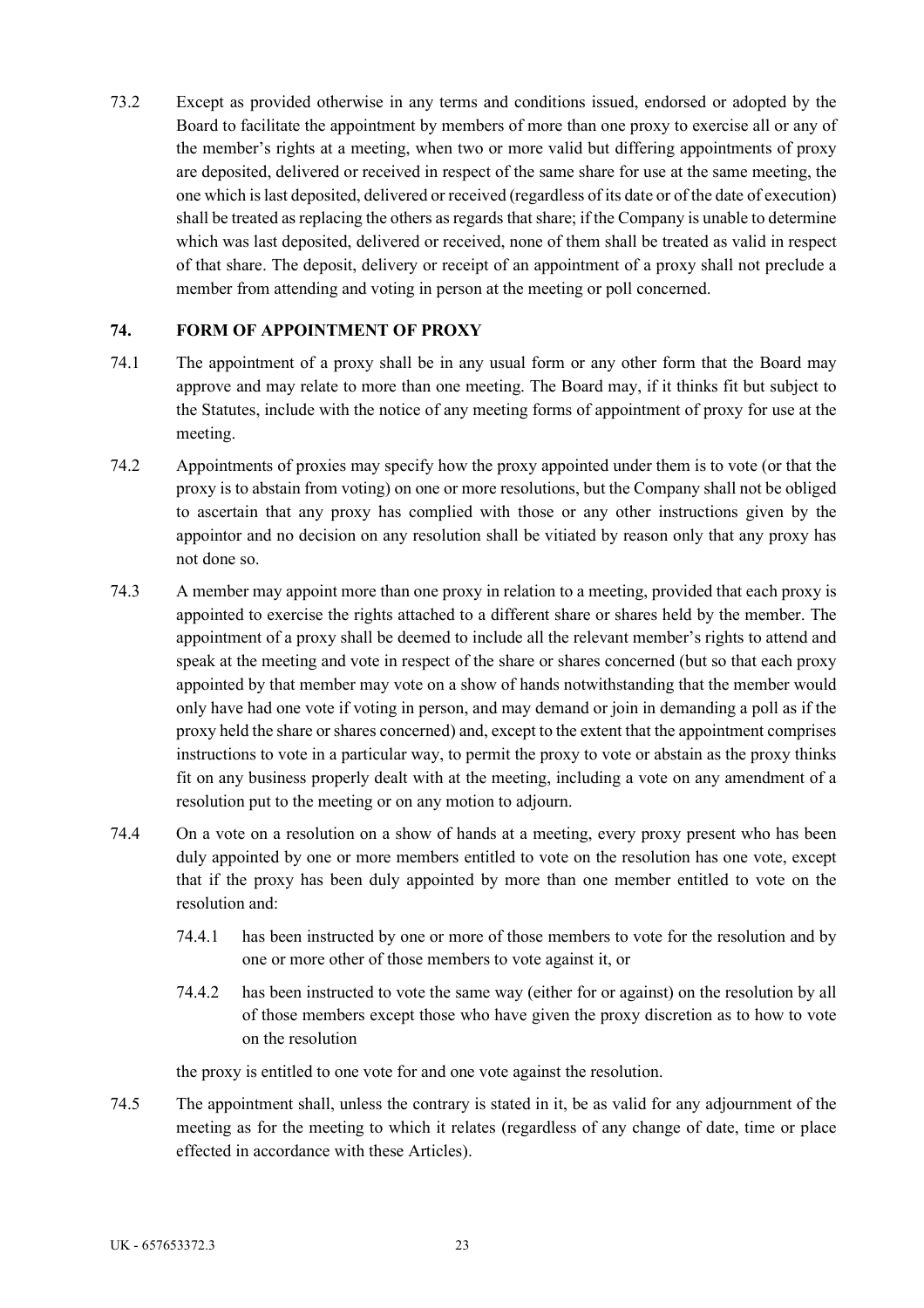73.2 Except as provided otherwise in any terms and conditions issued, endorsed or adopted by the Board to facilitate the appointment by members of more than one proxy to exercise all or any of the member's rights at a meeting, when two or more valid but differing appointments of proxy are deposited, delivered or received in respect of the same share for use at the same meeting, the one which is last deposited, delivered or received (regardless of its date or of the date of execution) shall be treated as replacing the others as regards that share; if the Company is unable to determine which was last deposited, delivered or received, none of them shall be treated as valid in respect of that share. The deposit, delivery or receipt of an appointment of a proxy shall not preclude a member from attending and voting in person at the meeting or poll concerned.

### **74. FORM OF APPOINTMENT OF PROXY**

- 74.1 The appointment of a proxy shall be in any usual form or any other form that the Board may approve and may relate to more than one meeting. The Board may, if it thinks fit but subject to the Statutes, include with the notice of any meeting forms of appointment of proxy for use at the meeting.
- 74.2 Appointments of proxies may specify how the proxy appointed under them is to vote (or that the proxy is to abstain from voting) on one or more resolutions, but the Company shall not be obliged to ascertain that any proxy has complied with those or any other instructions given by the appointor and no decision on any resolution shall be vitiated by reason only that any proxy has not done so.
- 74.3 A member may appoint more than one proxy in relation to a meeting, provided that each proxy is appointed to exercise the rights attached to a different share or shares held by the member. The appointment of a proxy shall be deemed to include all the relevant member's rights to attend and speak at the meeting and vote in respect of the share or shares concerned (but so that each proxy appointed by that member may vote on a show of hands notwithstanding that the member would only have had one vote if voting in person, and may demand or join in demanding a poll as if the proxy held the share or shares concerned) and, except to the extent that the appointment comprises instructions to vote in a particular way, to permit the proxy to vote or abstain as the proxy thinks fit on any business properly dealt with at the meeting, including a vote on any amendment of a resolution put to the meeting or on any motion to adjourn.
- 74.4 On a vote on a resolution on a show of hands at a meeting, every proxy present who has been duly appointed by one or more members entitled to vote on the resolution has one vote, except that if the proxy has been duly appointed by more than one member entitled to vote on the resolution and:
	- 74.4.1 has been instructed by one or more of those members to vote for the resolution and by one or more other of those members to vote against it, or
	- 74.4.2 has been instructed to vote the same way (either for or against) on the resolution by all of those members except those who have given the proxy discretion as to how to vote on the resolution

the proxy is entitled to one vote for and one vote against the resolution.

74.5 The appointment shall, unless the contrary is stated in it, be as valid for any adjournment of the meeting as for the meeting to which it relates (regardless of any change of date, time or place effected in accordance with these Articles).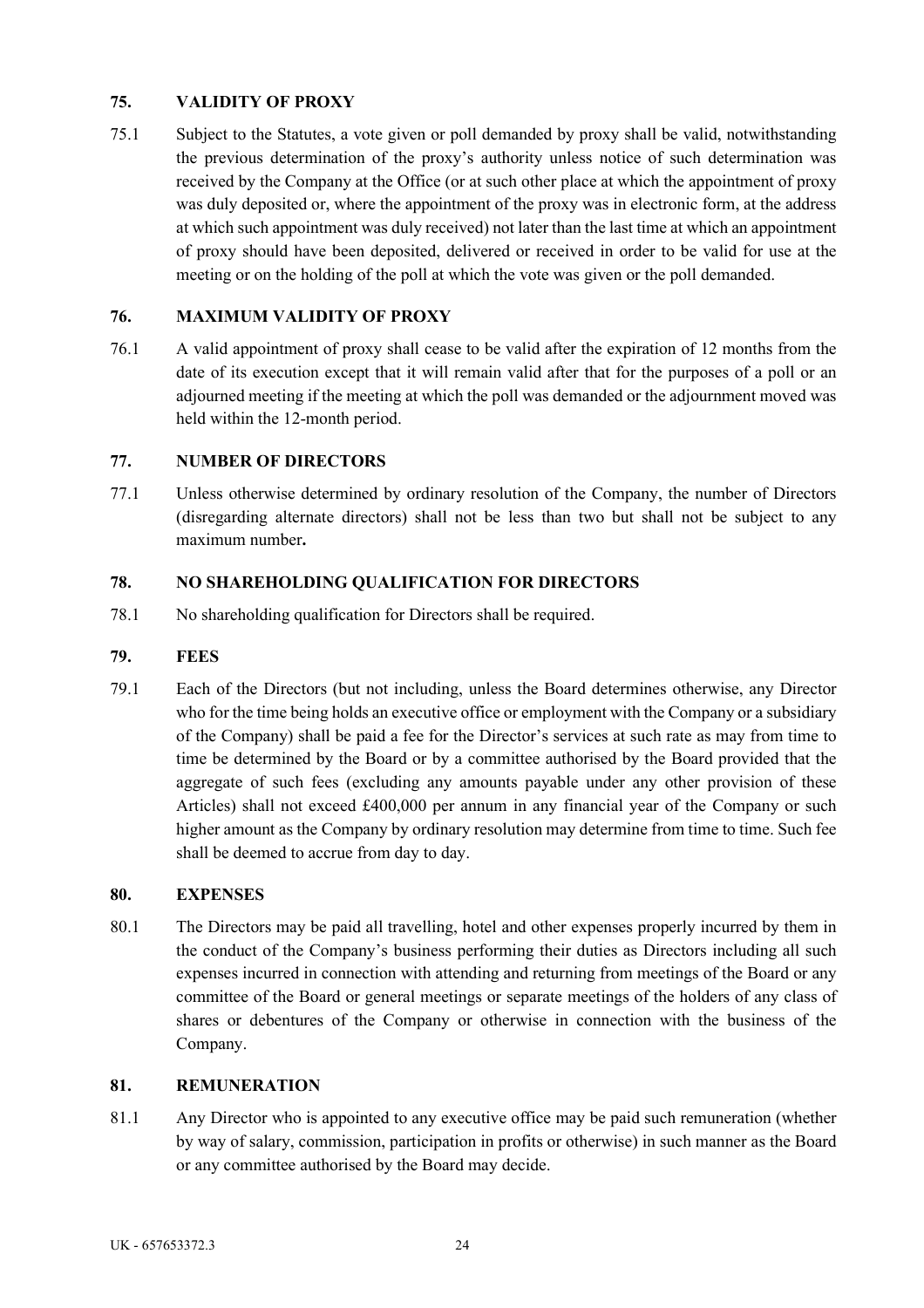# **75. VALIDITY OF PROXY**

75.1 Subject to the Statutes, a vote given or poll demanded by proxy shall be valid, notwithstanding the previous determination of the proxy's authority unless notice of such determination was received by the Company at the Office (or at such other place at which the appointment of proxy was duly deposited or, where the appointment of the proxy was in electronic form, at the address at which such appointment was duly received) not later than the last time at which an appointment of proxy should have been deposited, delivered or received in order to be valid for use at the meeting or on the holding of the poll at which the vote was given or the poll demanded.

# **76. MAXIMUM VALIDITY OF PROXY**

76.1 A valid appointment of proxy shall cease to be valid after the expiration of 12 months from the date of its execution except that it will remain valid after that for the purposes of a poll or an adjourned meeting if the meeting at which the poll was demanded or the adjournment moved was held within the 12-month period.

# **77. NUMBER OF DIRECTORS**

77.1 Unless otherwise determined by ordinary resolution of the Company, the number of Directors (disregarding alternate directors) shall not be less than two but shall not be subject to any maximum number**.**

## **78. NO SHAREHOLDING QUALIFICATION FOR DIRECTORS**

78.1 No shareholding qualification for Directors shall be required.

### **79. FEES**

79.1 Each of the Directors (but not including, unless the Board determines otherwise, any Director who for the time being holds an executive office or employment with the Company or a subsidiary of the Company) shall be paid a fee for the Director's services at such rate as may from time to time be determined by the Board or by a committee authorised by the Board provided that the aggregate of such fees (excluding any amounts payable under any other provision of these Articles) shall not exceed £400,000 per annum in any financial year of the Company or such higher amount as the Company by ordinary resolution may determine from time to time. Such fee shall be deemed to accrue from day to day.

### **80. EXPENSES**

80.1 The Directors may be paid all travelling, hotel and other expenses properly incurred by them in the conduct of the Company's business performing their duties as Directors including all such expenses incurred in connection with attending and returning from meetings of the Board or any committee of the Board or general meetings or separate meetings of the holders of any class of shares or debentures of the Company or otherwise in connection with the business of the Company.

### **81. REMUNERATION**

81.1 Any Director who is appointed to any executive office may be paid such remuneration (whether by way of salary, commission, participation in profits or otherwise) in such manner as the Board or any committee authorised by the Board may decide.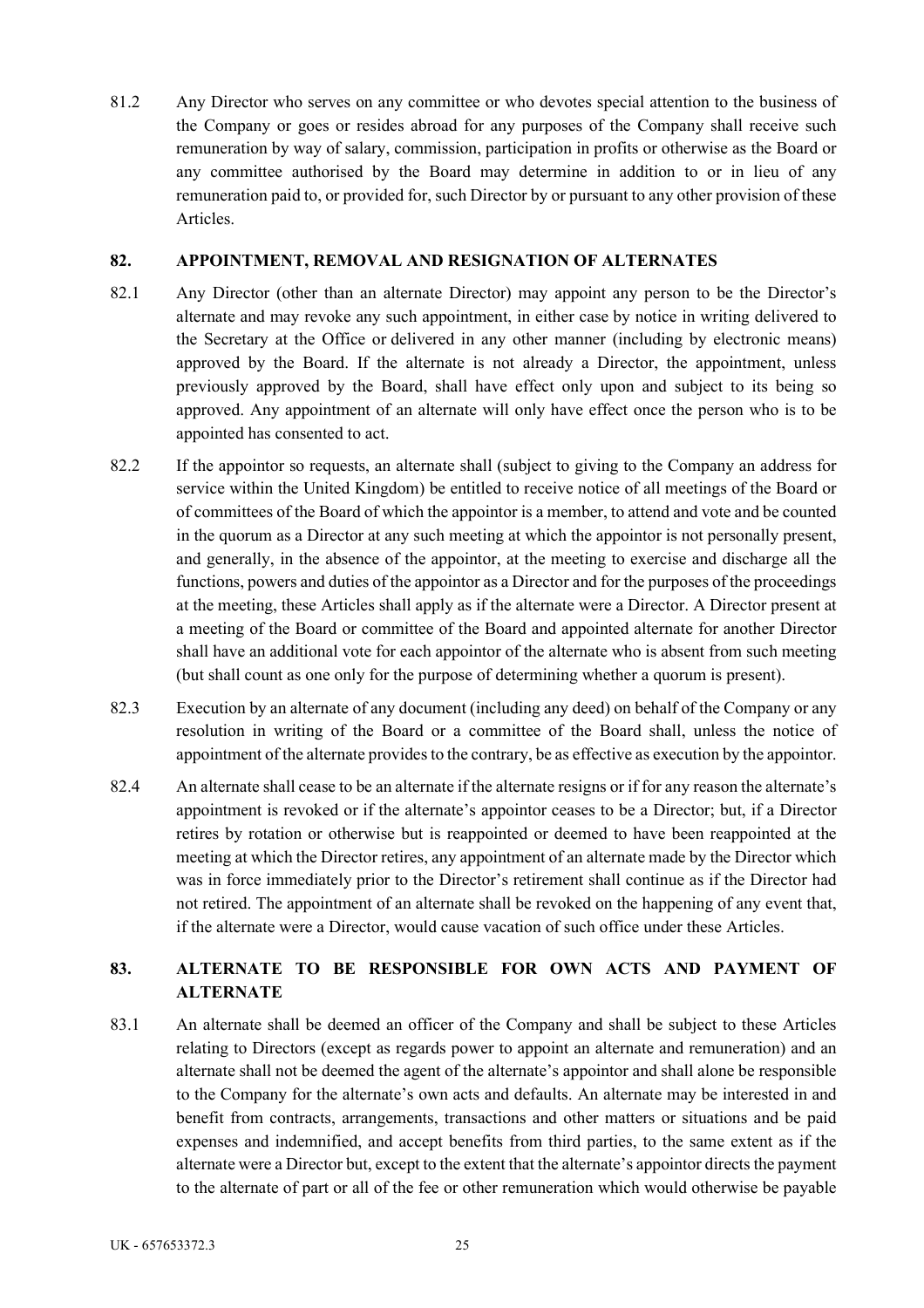81.2 Any Director who serves on any committee or who devotes special attention to the business of the Company or goes or resides abroad for any purposes of the Company shall receive such remuneration by way of salary, commission, participation in profits or otherwise as the Board or any committee authorised by the Board may determine in addition to or in lieu of any remuneration paid to, or provided for, such Director by or pursuant to any other provision of these Articles.

### **82. APPOINTMENT, REMOVAL AND RESIGNATION OF ALTERNATES**

- 82.1 Any Director (other than an alternate Director) may appoint any person to be the Director's alternate and may revoke any such appointment, in either case by notice in writing delivered to the Secretary at the Office or delivered in any other manner (including by electronic means) approved by the Board. If the alternate is not already a Director, the appointment, unless previously approved by the Board, shall have effect only upon and subject to its being so approved. Any appointment of an alternate will only have effect once the person who is to be appointed has consented to act.
- 82.2 If the appointor so requests, an alternate shall (subject to giving to the Company an address for service within the United Kingdom) be entitled to receive notice of all meetings of the Board or of committees of the Board of which the appointor is a member, to attend and vote and be counted in the quorum as a Director at any such meeting at which the appointor is not personally present, and generally, in the absence of the appointor, at the meeting to exercise and discharge all the functions, powers and duties of the appointor as a Director and for the purposes of the proceedings at the meeting, these Articles shall apply as if the alternate were a Director. A Director present at a meeting of the Board or committee of the Board and appointed alternate for another Director shall have an additional vote for each appointor of the alternate who is absent from such meeting (but shall count as one only for the purpose of determining whether a quorum is present).
- 82.3 Execution by an alternate of any document (including any deed) on behalf of the Company or any resolution in writing of the Board or a committee of the Board shall, unless the notice of appointment of the alternate provides to the contrary, be as effective as execution by the appointor.
- 82.4 An alternate shall cease to be an alternate if the alternate resigns or if for any reason the alternate's appointment is revoked or if the alternate's appointor ceases to be a Director; but, if a Director retires by rotation or otherwise but is reappointed or deemed to have been reappointed at the meeting at which the Director retires, any appointment of an alternate made by the Director which was in force immediately prior to the Director's retirement shall continue as if the Director had not retired. The appointment of an alternate shall be revoked on the happening of any event that, if the alternate were a Director, would cause vacation of such office under these Articles.

# **83. ALTERNATE TO BE RESPONSIBLE FOR OWN ACTS AND PAYMENT OF ALTERNATE**

83.1 An alternate shall be deemed an officer of the Company and shall be subject to these Articles relating to Directors (except as regards power to appoint an alternate and remuneration) and an alternate shall not be deemed the agent of the alternate's appointor and shall alone be responsible to the Company for the alternate's own acts and defaults. An alternate may be interested in and benefit from contracts, arrangements, transactions and other matters or situations and be paid expenses and indemnified, and accept benefits from third parties, to the same extent as if the alternate were a Director but, except to the extent that the alternate's appointor directs the payment to the alternate of part or all of the fee or other remuneration which would otherwise be payable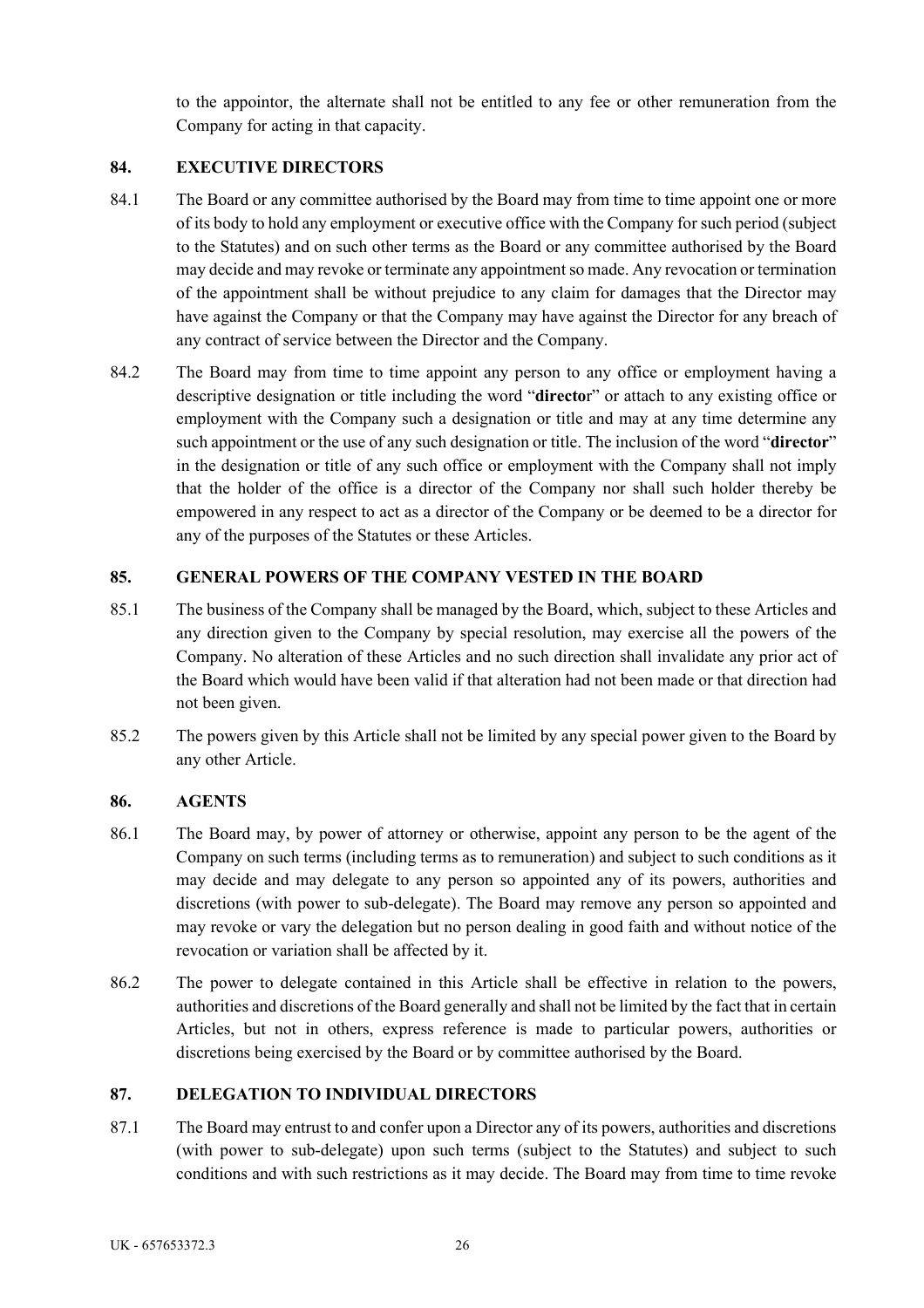to the appointor, the alternate shall not be entitled to any fee or other remuneration from the Company for acting in that capacity.

# **84. EXECUTIVE DIRECTORS**

- 84.1 The Board or any committee authorised by the Board may from time to time appoint one or more of its body to hold any employment or executive office with the Company for such period (subject to the Statutes) and on such other terms as the Board or any committee authorised by the Board may decide and may revoke or terminate any appointment so made. Any revocation or termination of the appointment shall be without prejudice to any claim for damages that the Director may have against the Company or that the Company may have against the Director for any breach of any contract of service between the Director and the Company.
- 84.2 The Board may from time to time appoint any person to any office or employment having a descriptive designation or title including the word "**directo**r" or attach to any existing office or employment with the Company such a designation or title and may at any time determine any such appointment or the use of any such designation or title. The inclusion of the word "**director**" in the designation or title of any such office or employment with the Company shall not imply that the holder of the office is a director of the Company nor shall such holder thereby be empowered in any respect to act as a director of the Company or be deemed to be a director for any of the purposes of the Statutes or these Articles.

# **85. GENERAL POWERS OF THE COMPANY VESTED IN THE BOARD**

- 85.1 The business of the Company shall be managed by the Board, which, subject to these Articles and any direction given to the Company by special resolution, may exercise all the powers of the Company. No alteration of these Articles and no such direction shall invalidate any prior act of the Board which would have been valid if that alteration had not been made or that direction had not been given.
- 85.2 The powers given by this Article shall not be limited by any special power given to the Board by any other Article.

### **86. AGENTS**

- 86.1 The Board may, by power of attorney or otherwise, appoint any person to be the agent of the Company on such terms (including terms as to remuneration) and subject to such conditions as it may decide and may delegate to any person so appointed any of its powers, authorities and discretions (with power to sub-delegate). The Board may remove any person so appointed and may revoke or vary the delegation but no person dealing in good faith and without notice of the revocation or variation shall be affected by it.
- 86.2 The power to delegate contained in this Article shall be effective in relation to the powers, authorities and discretions of the Board generally and shall not be limited by the fact that in certain Articles, but not in others, express reference is made to particular powers, authorities or discretions being exercised by the Board or by committee authorised by the Board.

### **87. DELEGATION TO INDIVIDUAL DIRECTORS**

87.1 The Board may entrust to and confer upon a Director any of its powers, authorities and discretions (with power to sub-delegate) upon such terms (subject to the Statutes) and subject to such conditions and with such restrictions as it may decide. The Board may from time to time revoke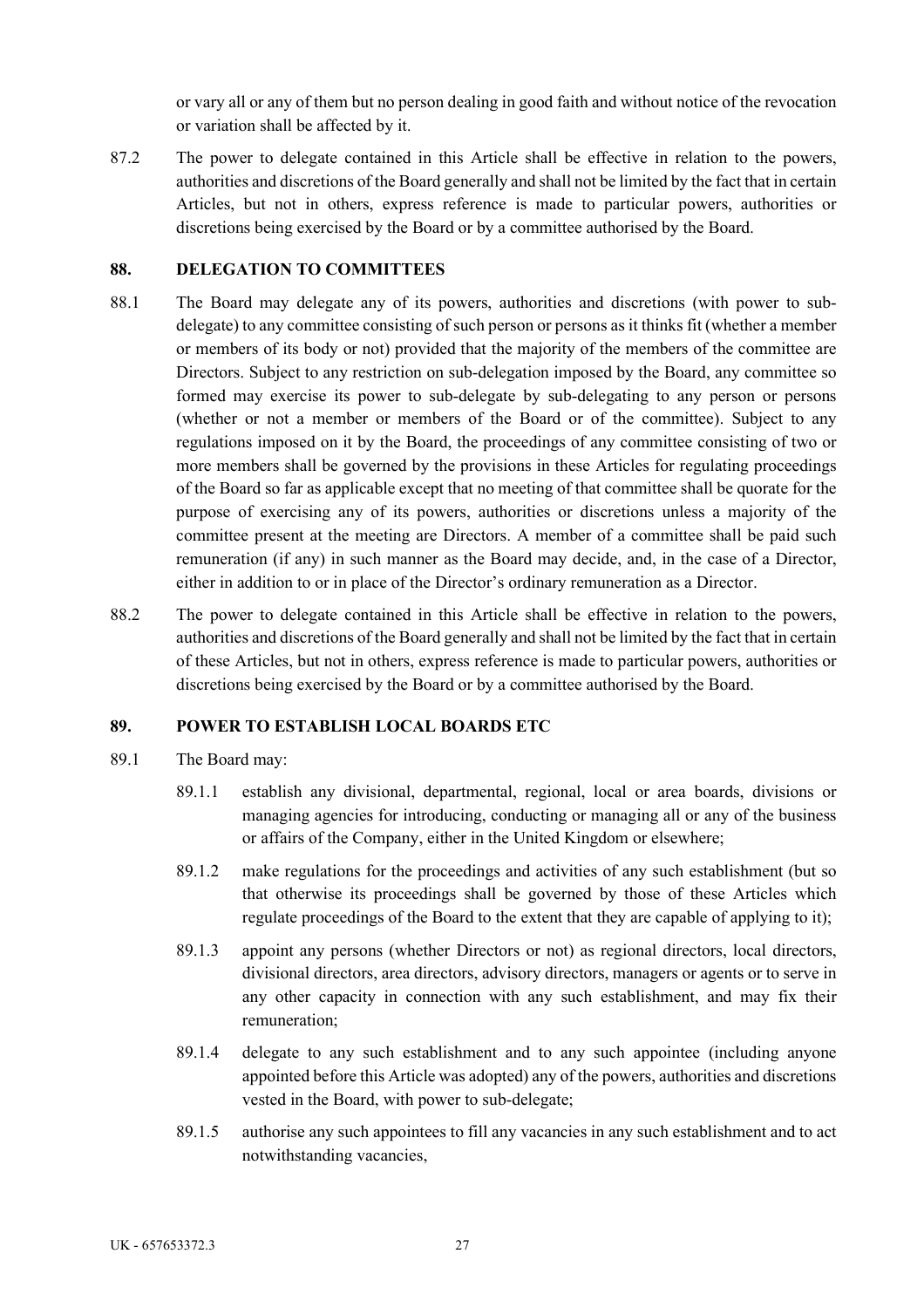or vary all or any of them but no person dealing in good faith and without notice of the revocation or variation shall be affected by it.

87.2 The power to delegate contained in this Article shall be effective in relation to the powers, authorities and discretions of the Board generally and shall not be limited by the fact that in certain Articles, but not in others, express reference is made to particular powers, authorities or discretions being exercised by the Board or by a committee authorised by the Board.

### **88. DELEGATION TO COMMITTEES**

- 88.1 The Board may delegate any of its powers, authorities and discretions (with power to subdelegate) to any committee consisting of such person or persons as it thinks fit (whether a member or members of its body or not) provided that the majority of the members of the committee are Directors. Subject to any restriction on sub-delegation imposed by the Board, any committee so formed may exercise its power to sub-delegate by sub-delegating to any person or persons (whether or not a member or members of the Board or of the committee). Subject to any regulations imposed on it by the Board, the proceedings of any committee consisting of two or more members shall be governed by the provisions in these Articles for regulating proceedings of the Board so far as applicable except that no meeting of that committee shall be quorate for the purpose of exercising any of its powers, authorities or discretions unless a majority of the committee present at the meeting are Directors. A member of a committee shall be paid such remuneration (if any) in such manner as the Board may decide, and, in the case of a Director, either in addition to or in place of the Director's ordinary remuneration as a Director.
- 88.2 The power to delegate contained in this Article shall be effective in relation to the powers, authorities and discretions of the Board generally and shall not be limited by the fact that in certain of these Articles, but not in others, express reference is made to particular powers, authorities or discretions being exercised by the Board or by a committee authorised by the Board.

### **89. POWER TO ESTABLISH LOCAL BOARDS ETC**

- 89.1 The Board may:
	- 89.1.1 establish any divisional, departmental, regional, local or area boards, divisions or managing agencies for introducing, conducting or managing all or any of the business or affairs of the Company, either in the United Kingdom or elsewhere;
	- 89.1.2 make regulations for the proceedings and activities of any such establishment (but so that otherwise its proceedings shall be governed by those of these Articles which regulate proceedings of the Board to the extent that they are capable of applying to it);
	- 89.1.3 appoint any persons (whether Directors or not) as regional directors, local directors, divisional directors, area directors, advisory directors, managers or agents or to serve in any other capacity in connection with any such establishment, and may fix their remuneration;
	- 89.1.4 delegate to any such establishment and to any such appointee (including anyone appointed before this Article was adopted) any of the powers, authorities and discretions vested in the Board, with power to sub-delegate;
	- 89.1.5 authorise any such appointees to fill any vacancies in any such establishment and to act notwithstanding vacancies,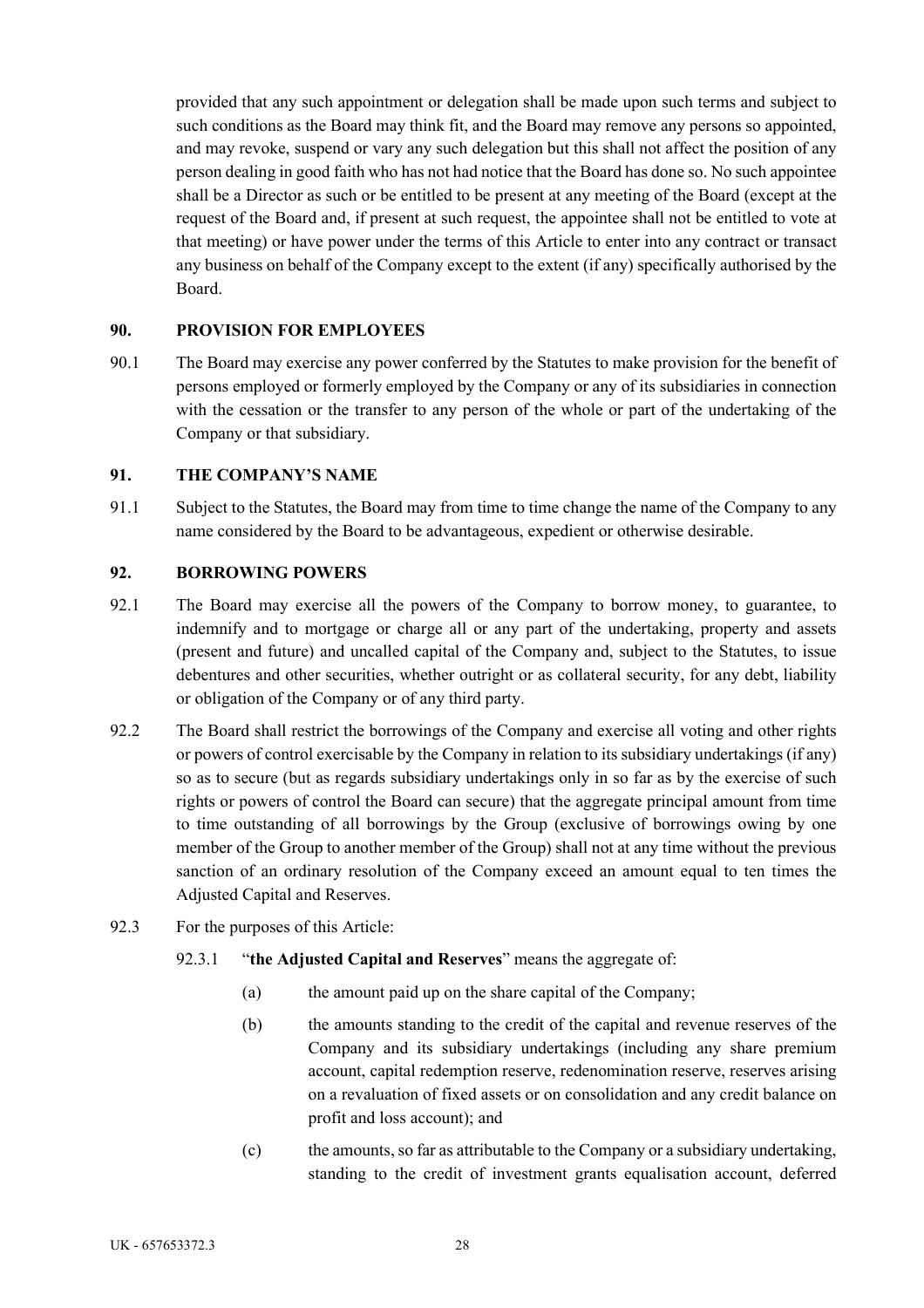provided that any such appointment or delegation shall be made upon such terms and subject to such conditions as the Board may think fit, and the Board may remove any persons so appointed, and may revoke, suspend or vary any such delegation but this shall not affect the position of any person dealing in good faith who has not had notice that the Board has done so. No such appointee shall be a Director as such or be entitled to be present at any meeting of the Board (except at the request of the Board and, if present at such request, the appointee shall not be entitled to vote at that meeting) or have power under the terms of this Article to enter into any contract or transact any business on behalf of the Company except to the extent (if any) specifically authorised by the Board.

### **90. PROVISION FOR EMPLOYEES**

90.1 The Board may exercise any power conferred by the Statutes to make provision for the benefit of persons employed or formerly employed by the Company or any of its subsidiaries in connection with the cessation or the transfer to any person of the whole or part of the undertaking of the Company or that subsidiary.

### **91. THE COMPANY'S NAME**

91.1 Subject to the Statutes, the Board may from time to time change the name of the Company to any name considered by the Board to be advantageous, expedient or otherwise desirable.

## **92. BORROWING POWERS**

- 92.1 The Board may exercise all the powers of the Company to borrow money, to guarantee, to indemnify and to mortgage or charge all or any part of the undertaking, property and assets (present and future) and uncalled capital of the Company and, subject to the Statutes, to issue debentures and other securities, whether outright or as collateral security, for any debt, liability or obligation of the Company or of any third party.
- 92.2 The Board shall restrict the borrowings of the Company and exercise all voting and other rights or powers of control exercisable by the Company in relation to its subsidiary undertakings (if any) so as to secure (but as regards subsidiary undertakings only in so far as by the exercise of such rights or powers of control the Board can secure) that the aggregate principal amount from time to time outstanding of all borrowings by the Group (exclusive of borrowings owing by one member of the Group to another member of the Group) shall not at any time without the previous sanction of an ordinary resolution of the Company exceed an amount equal to ten times the Adjusted Capital and Reserves.
- 92.3 For the purposes of this Article:
	- 92.3.1 "**the Adjusted Capital and Reserves**" means the aggregate of:
		- (a) the amount paid up on the share capital of the Company;
		- (b) the amounts standing to the credit of the capital and revenue reserves of the Company and its subsidiary undertakings (including any share premium account, capital redemption reserve, redenomination reserve, reserves arising on a revaluation of fixed assets or on consolidation and any credit balance on profit and loss account); and
		- (c) the amounts, so far as attributable to the Company or a subsidiary undertaking, standing to the credit of investment grants equalisation account, deferred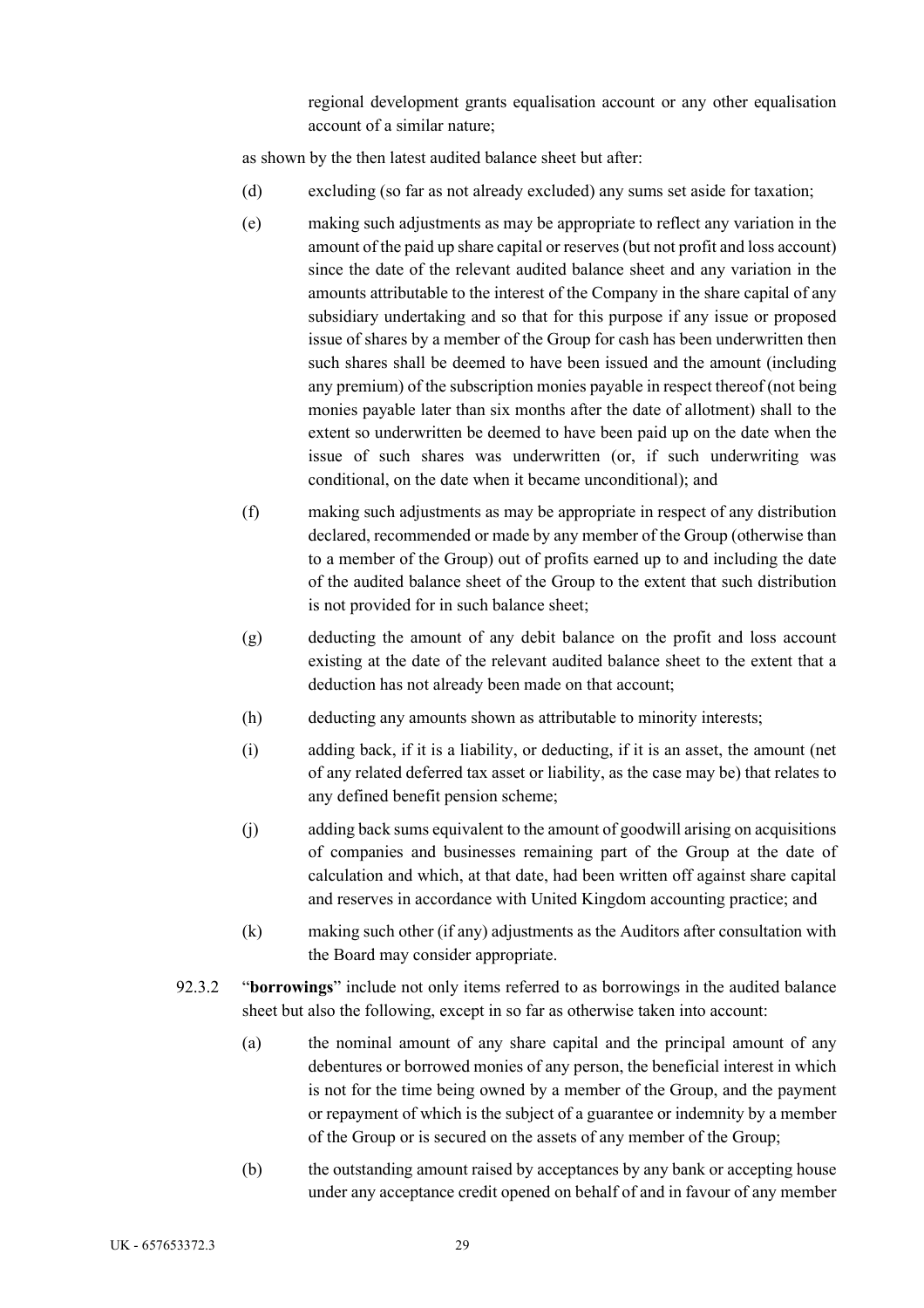regional development grants equalisation account or any other equalisation account of a similar nature;

as shown by the then latest audited balance sheet but after:

- (d) excluding (so far as not already excluded) any sums set aside for taxation;
- (e) making such adjustments as may be appropriate to reflect any variation in the amount of the paid up share capital or reserves (but not profit and loss account) since the date of the relevant audited balance sheet and any variation in the amounts attributable to the interest of the Company in the share capital of any subsidiary undertaking and so that for this purpose if any issue or proposed issue of shares by a member of the Group for cash has been underwritten then such shares shall be deemed to have been issued and the amount (including any premium) of the subscription monies payable in respect thereof (not being monies payable later than six months after the date of allotment) shall to the extent so underwritten be deemed to have been paid up on the date when the issue of such shares was underwritten (or, if such underwriting was conditional, on the date when it became unconditional); and
- (f) making such adjustments as may be appropriate in respect of any distribution declared, recommended or made by any member of the Group (otherwise than to a member of the Group) out of profits earned up to and including the date of the audited balance sheet of the Group to the extent that such distribution is not provided for in such balance sheet;
- (g) deducting the amount of any debit balance on the profit and loss account existing at the date of the relevant audited balance sheet to the extent that a deduction has not already been made on that account;
- (h) deducting any amounts shown as attributable to minority interests;
- (i) adding back, if it is a liability, or deducting, if it is an asset, the amount (net of any related deferred tax asset or liability, as the case may be) that relates to any defined benefit pension scheme;
- (j) adding back sums equivalent to the amount of goodwill arising on acquisitions of companies and businesses remaining part of the Group at the date of calculation and which, at that date, had been written off against share capital and reserves in accordance with United Kingdom accounting practice; and
- (k) making such other (if any) adjustments as the Auditors after consultation with the Board may consider appropriate.
- 92.3.2 "**borrowings**" include not only items referred to as borrowings in the audited balance sheet but also the following, except in so far as otherwise taken into account:
	- (a) the nominal amount of any share capital and the principal amount of any debentures or borrowed monies of any person, the beneficial interest in which is not for the time being owned by a member of the Group, and the payment or repayment of which is the subject of a guarantee or indemnity by a member of the Group or is secured on the assets of any member of the Group;
	- (b) the outstanding amount raised by acceptances by any bank or accepting house under any acceptance credit opened on behalf of and in favour of any member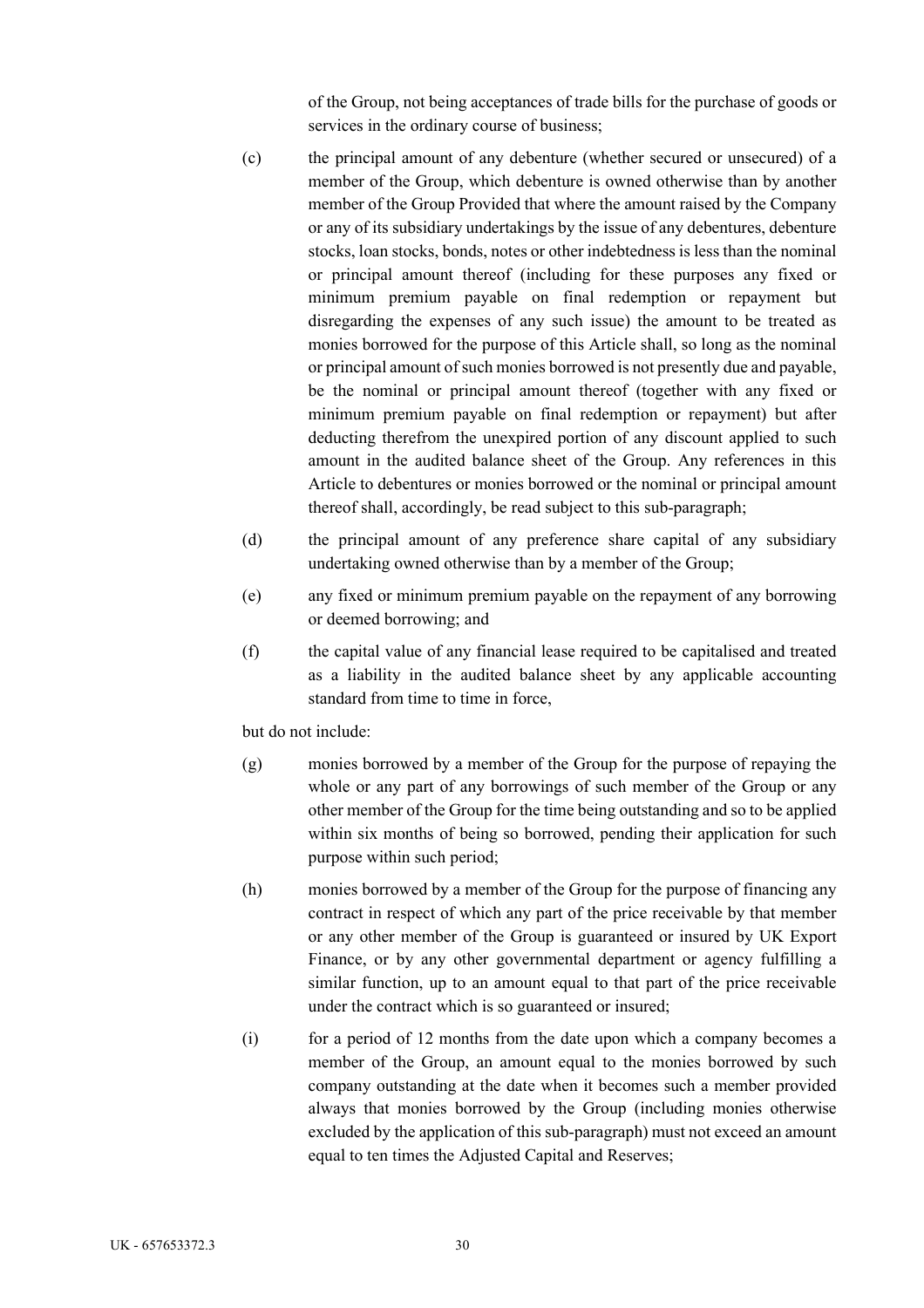of the Group, not being acceptances of trade bills for the purchase of goods or services in the ordinary course of business;

- (c) the principal amount of any debenture (whether secured or unsecured) of a member of the Group, which debenture is owned otherwise than by another member of the Group Provided that where the amount raised by the Company or any of its subsidiary undertakings by the issue of any debentures, debenture stocks, loan stocks, bonds, notes or other indebtedness is less than the nominal or principal amount thereof (including for these purposes any fixed or minimum premium payable on final redemption or repayment but disregarding the expenses of any such issue) the amount to be treated as monies borrowed for the purpose of this Article shall, so long as the nominal or principal amount of such monies borrowed is not presently due and payable, be the nominal or principal amount thereof (together with any fixed or minimum premium payable on final redemption or repayment) but after deducting therefrom the unexpired portion of any discount applied to such amount in the audited balance sheet of the Group. Any references in this Article to debentures or monies borrowed or the nominal or principal amount thereof shall, accordingly, be read subject to this sub-paragraph;
- (d) the principal amount of any preference share capital of any subsidiary undertaking owned otherwise than by a member of the Group;
- (e) any fixed or minimum premium payable on the repayment of any borrowing or deemed borrowing; and
- (f) the capital value of any financial lease required to be capitalised and treated as a liability in the audited balance sheet by any applicable accounting standard from time to time in force,

but do not include:

- (g) monies borrowed by a member of the Group for the purpose of repaying the whole or any part of any borrowings of such member of the Group or any other member of the Group for the time being outstanding and so to be applied within six months of being so borrowed, pending their application for such purpose within such period;
- (h) monies borrowed by a member of the Group for the purpose of financing any contract in respect of which any part of the price receivable by that member or any other member of the Group is guaranteed or insured by UK Export Finance, or by any other governmental department or agency fulfilling a similar function, up to an amount equal to that part of the price receivable under the contract which is so guaranteed or insured;
- (i) for a period of 12 months from the date upon which a company becomes a member of the Group, an amount equal to the monies borrowed by such company outstanding at the date when it becomes such a member provided always that monies borrowed by the Group (including monies otherwise excluded by the application of this sub-paragraph) must not exceed an amount equal to ten times the Adjusted Capital and Reserves;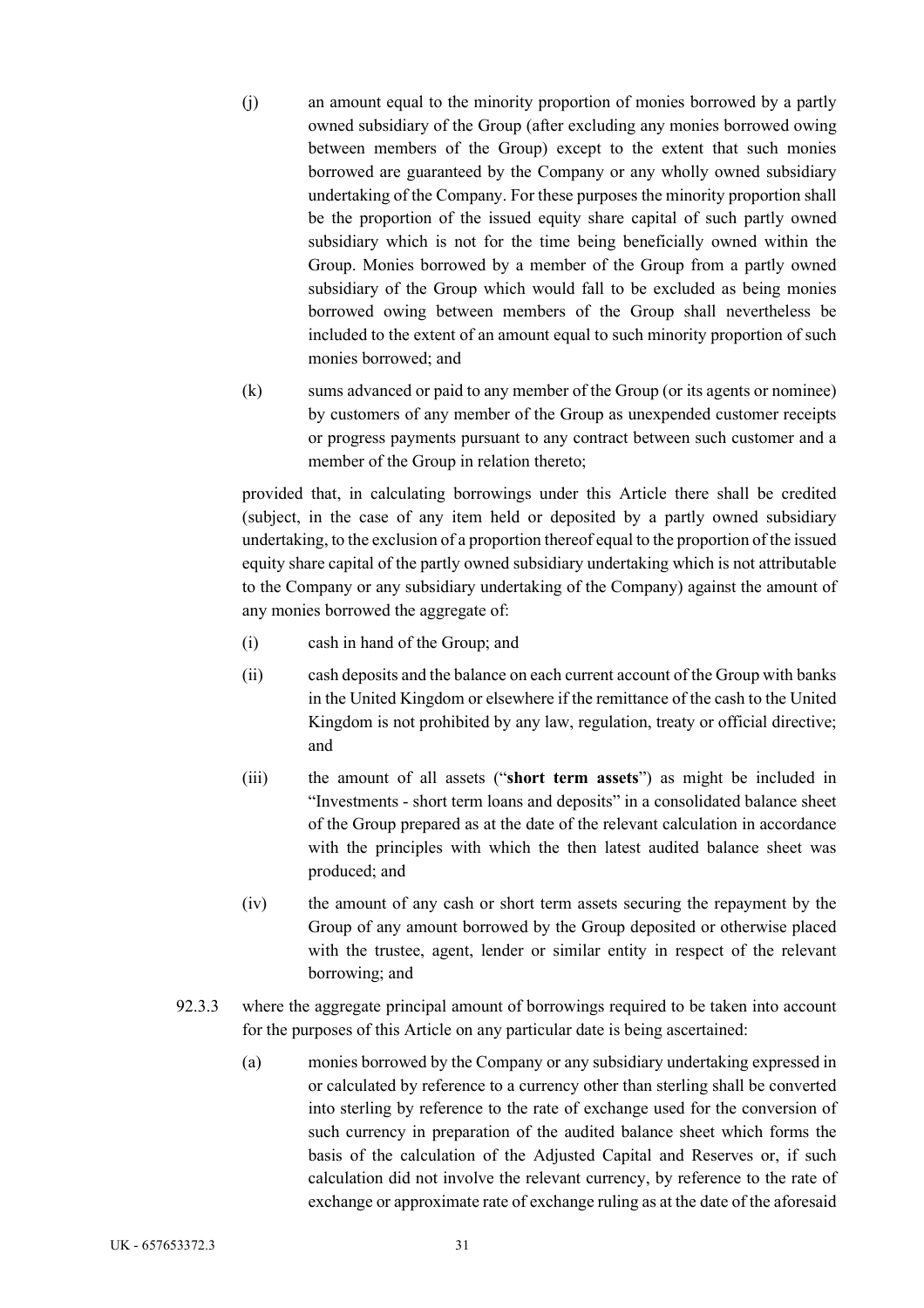- (j) an amount equal to the minority proportion of monies borrowed by a partly owned subsidiary of the Group (after excluding any monies borrowed owing between members of the Group) except to the extent that such monies borrowed are guaranteed by the Company or any wholly owned subsidiary undertaking of the Company. For these purposes the minority proportion shall be the proportion of the issued equity share capital of such partly owned subsidiary which is not for the time being beneficially owned within the Group. Monies borrowed by a member of the Group from a partly owned subsidiary of the Group which would fall to be excluded as being monies borrowed owing between members of the Group shall nevertheless be included to the extent of an amount equal to such minority proportion of such monies borrowed; and
- (k) sums advanced or paid to any member of the Group (or its agents or nominee) by customers of any member of the Group as unexpended customer receipts or progress payments pursuant to any contract between such customer and a member of the Group in relation thereto;

provided that, in calculating borrowings under this Article there shall be credited (subject, in the case of any item held or deposited by a partly owned subsidiary undertaking, to the exclusion of a proportion thereof equal to the proportion of the issued equity share capital of the partly owned subsidiary undertaking which is not attributable to the Company or any subsidiary undertaking of the Company) against the amount of any monies borrowed the aggregate of:

- (i) cash in hand of the Group; and
- (ii) cash deposits and the balance on each current account of the Group with banks in the United Kingdom or elsewhere if the remittance of the cash to the United Kingdom is not prohibited by any law, regulation, treaty or official directive; and
- (iii) the amount of all assets ("**short term assets**") as might be included in "Investments - short term loans and deposits" in a consolidated balance sheet of the Group prepared as at the date of the relevant calculation in accordance with the principles with which the then latest audited balance sheet was produced; and
- (iv) the amount of any cash or short term assets securing the repayment by the Group of any amount borrowed by the Group deposited or otherwise placed with the trustee, agent, lender or similar entity in respect of the relevant borrowing; and
- 92.3.3 where the aggregate principal amount of borrowings required to be taken into account for the purposes of this Article on any particular date is being ascertained:
	- (a) monies borrowed by the Company or any subsidiary undertaking expressed in or calculated by reference to a currency other than sterling shall be converted into sterling by reference to the rate of exchange used for the conversion of such currency in preparation of the audited balance sheet which forms the basis of the calculation of the Adjusted Capital and Reserves or, if such calculation did not involve the relevant currency, by reference to the rate of exchange or approximate rate of exchange ruling as at the date of the aforesaid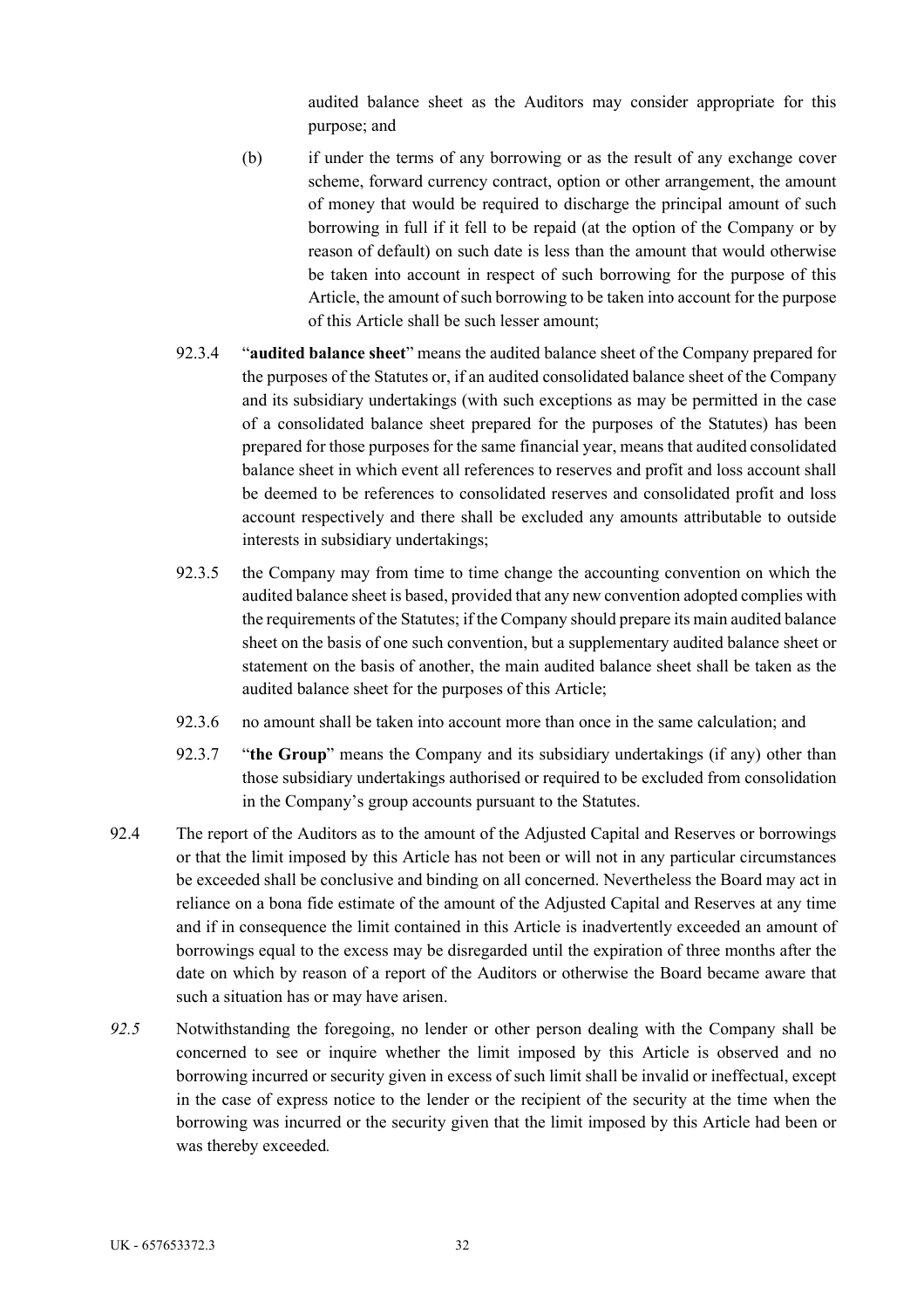audited balance sheet as the Auditors may consider appropriate for this purpose; and

- (b) if under the terms of any borrowing or as the result of any exchange cover scheme, forward currency contract, option or other arrangement, the amount of money that would be required to discharge the principal amount of such borrowing in full if it fell to be repaid (at the option of the Company or by reason of default) on such date is less than the amount that would otherwise be taken into account in respect of such borrowing for the purpose of this Article, the amount of such borrowing to be taken into account for the purpose of this Article shall be such lesser amount;
- 92.3.4 "**audited balance sheet**" means the audited balance sheet of the Company prepared for the purposes of the Statutes or, if an audited consolidated balance sheet of the Company and its subsidiary undertakings (with such exceptions as may be permitted in the case of a consolidated balance sheet prepared for the purposes of the Statutes) has been prepared for those purposes for the same financial year, means that audited consolidated balance sheet in which event all references to reserves and profit and loss account shall be deemed to be references to consolidated reserves and consolidated profit and loss account respectively and there shall be excluded any amounts attributable to outside interests in subsidiary undertakings;
- 92.3.5 the Company may from time to time change the accounting convention on which the audited balance sheet is based, provided that any new convention adopted complies with the requirements of the Statutes; if the Company should prepare its main audited balance sheet on the basis of one such convention, but a supplementary audited balance sheet or statement on the basis of another, the main audited balance sheet shall be taken as the audited balance sheet for the purposes of this Article;
- 92.3.6 no amount shall be taken into account more than once in the same calculation; and
- 92.3.7 "**the Group**" means the Company and its subsidiary undertakings (if any) other than those subsidiary undertakings authorised or required to be excluded from consolidation in the Company's group accounts pursuant to the Statutes.
- 92.4 The report of the Auditors as to the amount of the Adjusted Capital and Reserves or borrowings or that the limit imposed by this Article has not been or will not in any particular circumstances be exceeded shall be conclusive and binding on all concerned. Nevertheless the Board may act in reliance on a bona fide estimate of the amount of the Adjusted Capital and Reserves at any time and if in consequence the limit contained in this Article is inadvertently exceeded an amount of borrowings equal to the excess may be disregarded until the expiration of three months after the date on which by reason of a report of the Auditors or otherwise the Board became aware that such a situation has or may have arisen.
- *92.5* Notwithstanding the foregoing, no lender or other person dealing with the Company shall be concerned to see or inquire whether the limit imposed by this Article is observed and no borrowing incurred or security given in excess of such limit shall be invalid or ineffectual, except in the case of express notice to the lender or the recipient of the security at the time when the borrowing was incurred or the security given that the limit imposed by this Article had been or was thereby exceeded*.*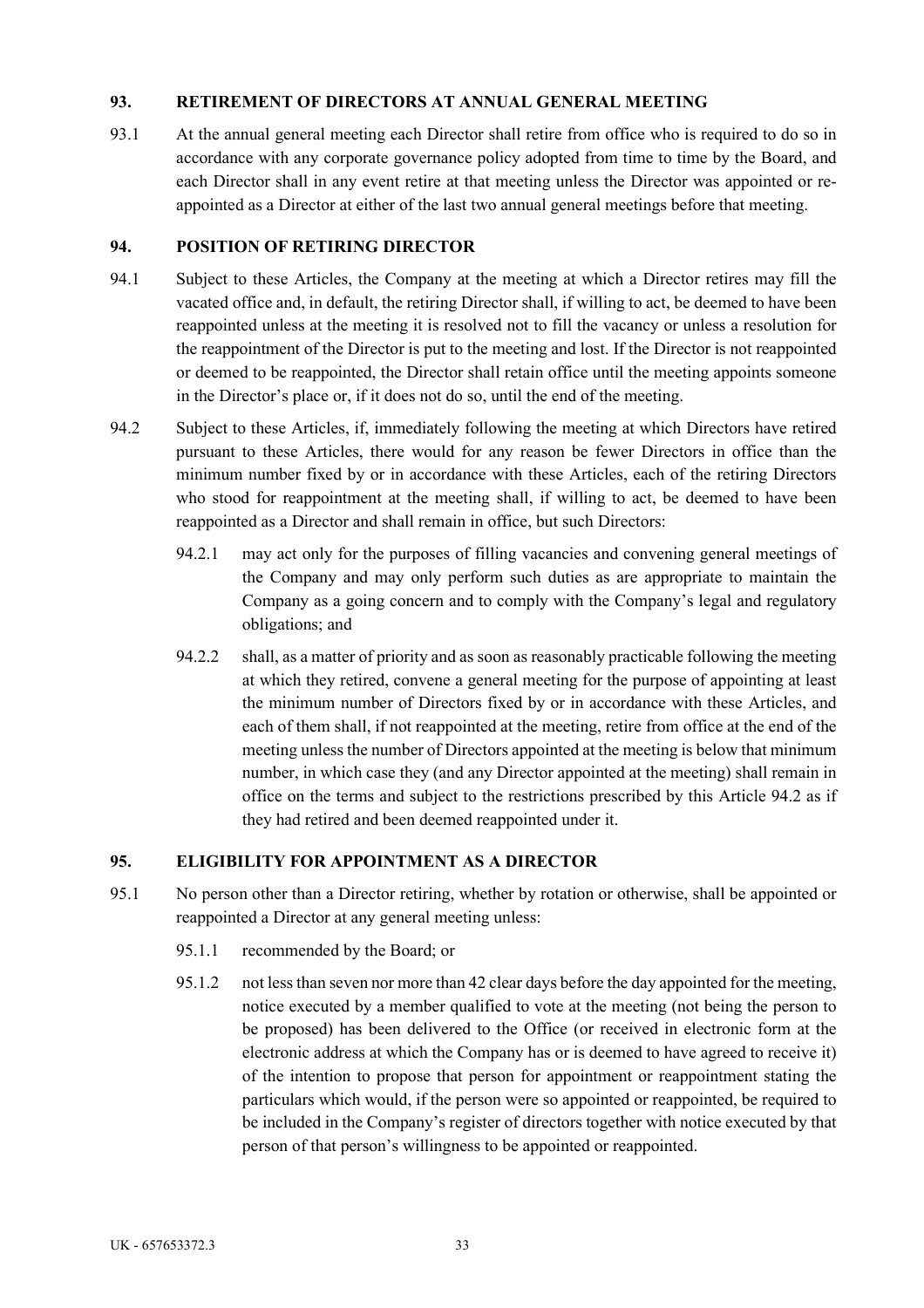### **93. RETIREMENT OF DIRECTORS AT ANNUAL GENERAL MEETING**

93.1 At the annual general meeting each Director shall retire from office who is required to do so in accordance with any corporate governance policy adopted from time to time by the Board, and each Director shall in any event retire at that meeting unless the Director was appointed or reappointed as a Director at either of the last two annual general meetings before that meeting.

## **94. POSITION OF RETIRING DIRECTOR**

- 94.1 Subject to these Articles, the Company at the meeting at which a Director retires may fill the vacated office and, in default, the retiring Director shall, if willing to act, be deemed to have been reappointed unless at the meeting it is resolved not to fill the vacancy or unless a resolution for the reappointment of the Director is put to the meeting and lost. If the Director is not reappointed or deemed to be reappointed, the Director shall retain office until the meeting appoints someone in the Director's place or, if it does not do so, until the end of the meeting.
- 94.2 Subject to these Articles, if, immediately following the meeting at which Directors have retired pursuant to these Articles, there would for any reason be fewer Directors in office than the minimum number fixed by or in accordance with these Articles, each of the retiring Directors who stood for reappointment at the meeting shall, if willing to act, be deemed to have been reappointed as a Director and shall remain in office, but such Directors:
	- 94.2.1 may act only for the purposes of filling vacancies and convening general meetings of the Company and may only perform such duties as are appropriate to maintain the Company as a going concern and to comply with the Company's legal and regulatory obligations; and
	- 94.2.2 shall, as a matter of priority and as soon as reasonably practicable following the meeting at which they retired, convene a general meeting for the purpose of appointing at least the minimum number of Directors fixed by or in accordance with these Articles, and each of them shall, if not reappointed at the meeting, retire from office at the end of the meeting unless the number of Directors appointed at the meeting is below that minimum number, in which case they (and any Director appointed at the meeting) shall remain in office on the terms and subject to the restrictions prescribed by this Article 94.2 as if they had retired and been deemed reappointed under it.

# **95. ELIGIBILITY FOR APPOINTMENT AS A DIRECTOR**

- 95.1 No person other than a Director retiring, whether by rotation or otherwise, shall be appointed or reappointed a Director at any general meeting unless:
	- 95.1.1 recommended by the Board; or
	- 95.1.2 not less than seven nor more than 42 clear days before the day appointed for the meeting, notice executed by a member qualified to vote at the meeting (not being the person to be proposed) has been delivered to the Office (or received in electronic form at the electronic address at which the Company has or is deemed to have agreed to receive it) of the intention to propose that person for appointment or reappointment stating the particulars which would, if the person were so appointed or reappointed, be required to be included in the Company's register of directors together with notice executed by that person of that person's willingness to be appointed or reappointed.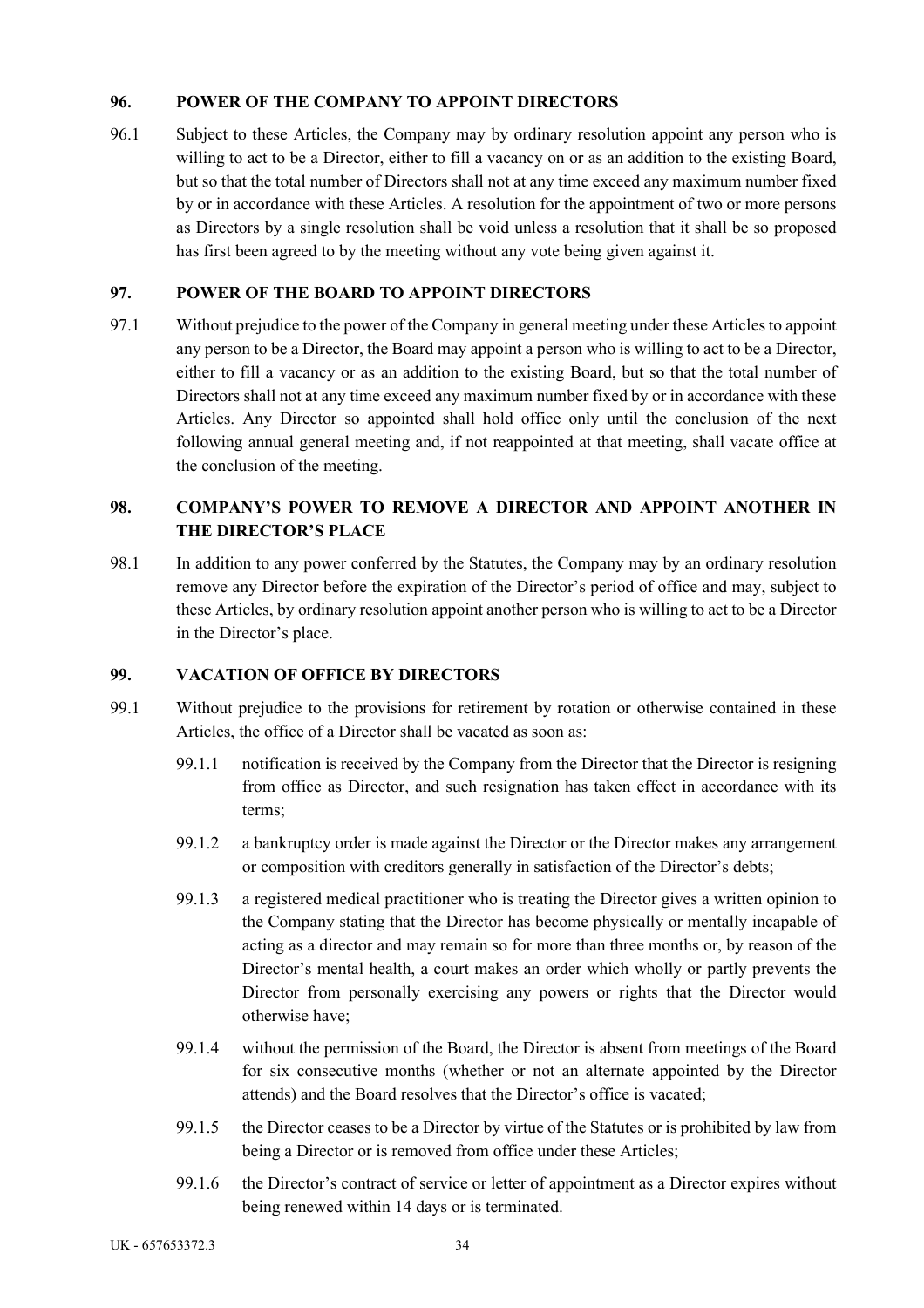## **96. POWER OF THE COMPANY TO APPOINT DIRECTORS**

96.1 Subject to these Articles, the Company may by ordinary resolution appoint any person who is willing to act to be a Director, either to fill a vacancy on or as an addition to the existing Board, but so that the total number of Directors shall not at any time exceed any maximum number fixed by or in accordance with these Articles. A resolution for the appointment of two or more persons as Directors by a single resolution shall be void unless a resolution that it shall be so proposed has first been agreed to by the meeting without any vote being given against it.

## **97. POWER OF THE BOARD TO APPOINT DIRECTORS**

97.1 Without prejudice to the power of the Company in general meeting under these Articles to appoint any person to be a Director, the Board may appoint a person who is willing to act to be a Director, either to fill a vacancy or as an addition to the existing Board, but so that the total number of Directors shall not at any time exceed any maximum number fixed by or in accordance with these Articles. Any Director so appointed shall hold office only until the conclusion of the next following annual general meeting and, if not reappointed at that meeting, shall vacate office at the conclusion of the meeting.

# **98. COMPANY'S POWER TO REMOVE A DIRECTOR AND APPOINT ANOTHER IN THE DIRECTOR'S PLACE**

98.1 In addition to any power conferred by the Statutes, the Company may by an ordinary resolution remove any Director before the expiration of the Director's period of office and may, subject to these Articles, by ordinary resolution appoint another person who is willing to act to be a Director in the Director's place.

### **99. VACATION OF OFFICE BY DIRECTORS**

- 99.1 Without prejudice to the provisions for retirement by rotation or otherwise contained in these Articles, the office of a Director shall be vacated as soon as:
	- 99.1.1 notification is received by the Company from the Director that the Director is resigning from office as Director, and such resignation has taken effect in accordance with its terms;
	- 99.1.2 a bankruptcy order is made against the Director or the Director makes any arrangement or composition with creditors generally in satisfaction of the Director's debts;
	- 99.1.3 a registered medical practitioner who is treating the Director gives a written opinion to the Company stating that the Director has become physically or mentally incapable of acting as a director and may remain so for more than three months or, by reason of the Director's mental health, a court makes an order which wholly or partly prevents the Director from personally exercising any powers or rights that the Director would otherwise have;
	- 99.1.4 without the permission of the Board, the Director is absent from meetings of the Board for six consecutive months (whether or not an alternate appointed by the Director attends) and the Board resolves that the Director's office is vacated;
	- 99.1.5 the Director ceases to be a Director by virtue of the Statutes or is prohibited by law from being a Director or is removed from office under these Articles;
	- 99.1.6 the Director's contract of service or letter of appointment as a Director expires without being renewed within 14 days or is terminated.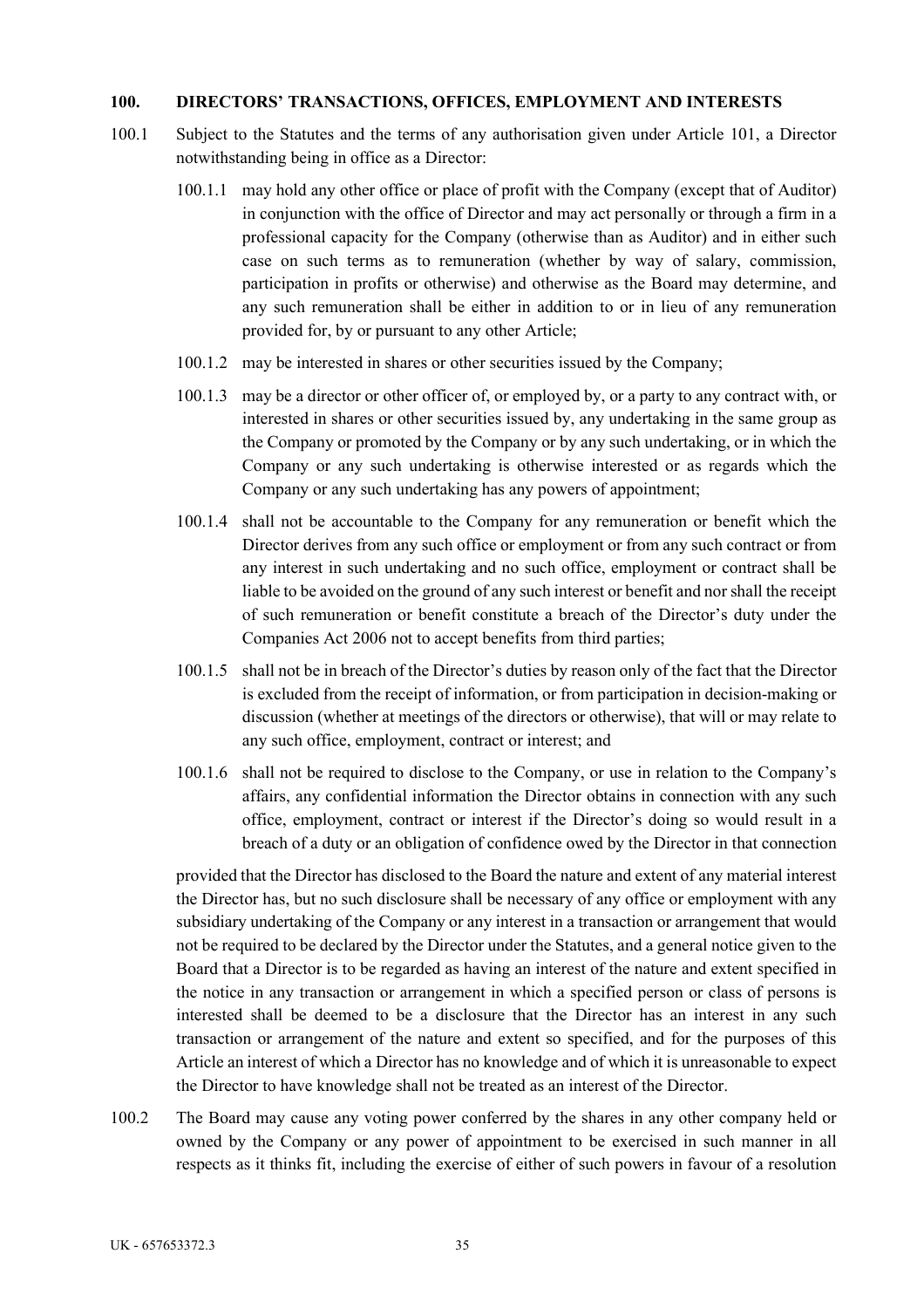### **100. DIRECTORS' TRANSACTIONS, OFFICES, EMPLOYMENT AND INTERESTS**

- 100.1 Subject to the Statutes and the terms of any authorisation given under Article 101, a Director notwithstanding being in office as a Director:
	- 100.1.1 may hold any other office or place of profit with the Company (except that of Auditor) in conjunction with the office of Director and may act personally or through a firm in a professional capacity for the Company (otherwise than as Auditor) and in either such case on such terms as to remuneration (whether by way of salary, commission, participation in profits or otherwise) and otherwise as the Board may determine, and any such remuneration shall be either in addition to or in lieu of any remuneration provided for, by or pursuant to any other Article;
	- 100.1.2 may be interested in shares or other securities issued by the Company;
	- 100.1.3 may be a director or other officer of, or employed by, or a party to any contract with, or interested in shares or other securities issued by, any undertaking in the same group as the Company or promoted by the Company or by any such undertaking, or in which the Company or any such undertaking is otherwise interested or as regards which the Company or any such undertaking has any powers of appointment;
	- 100.1.4 shall not be accountable to the Company for any remuneration or benefit which the Director derives from any such office or employment or from any such contract or from any interest in such undertaking and no such office, employment or contract shall be liable to be avoided on the ground of any such interest or benefit and nor shall the receipt of such remuneration or benefit constitute a breach of the Director's duty under the Companies Act 2006 not to accept benefits from third parties;
	- 100.1.5 shall not be in breach of the Director's duties by reason only of the fact that the Director is excluded from the receipt of information, or from participation in decision-making or discussion (whether at meetings of the directors or otherwise), that will or may relate to any such office, employment, contract or interest; and
	- 100.1.6 shall not be required to disclose to the Company, or use in relation to the Company's affairs, any confidential information the Director obtains in connection with any such office, employment, contract or interest if the Director's doing so would result in a breach of a duty or an obligation of confidence owed by the Director in that connection

provided that the Director has disclosed to the Board the nature and extent of any material interest the Director has, but no such disclosure shall be necessary of any office or employment with any subsidiary undertaking of the Company or any interest in a transaction or arrangement that would not be required to be declared by the Director under the Statutes, and a general notice given to the Board that a Director is to be regarded as having an interest of the nature and extent specified in the notice in any transaction or arrangement in which a specified person or class of persons is interested shall be deemed to be a disclosure that the Director has an interest in any such transaction or arrangement of the nature and extent so specified, and for the purposes of this Article an interest of which a Director has no knowledge and of which it is unreasonable to expect the Director to have knowledge shall not be treated as an interest of the Director.

100.2 The Board may cause any voting power conferred by the shares in any other company held or owned by the Company or any power of appointment to be exercised in such manner in all respects as it thinks fit, including the exercise of either of such powers in favour of a resolution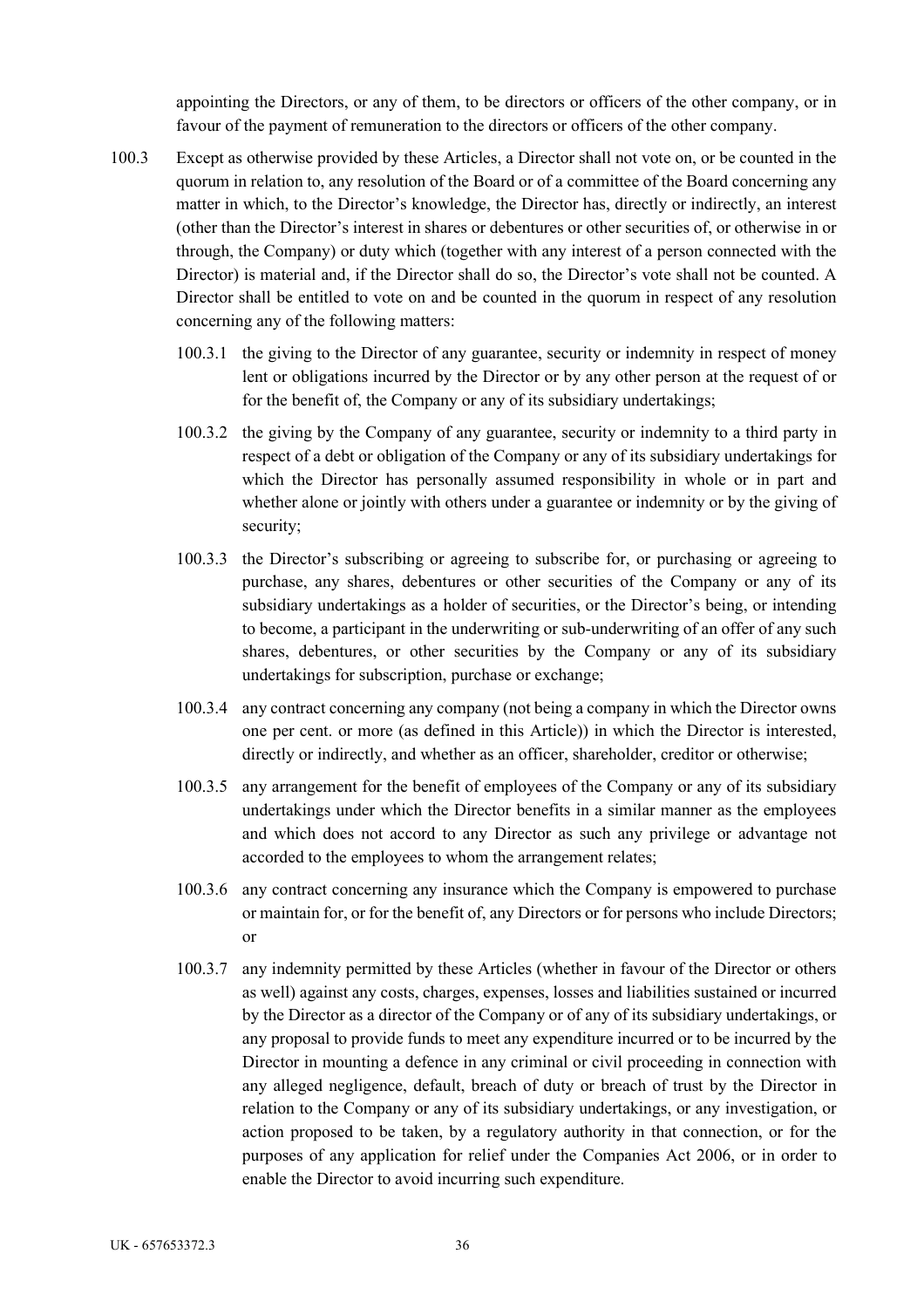appointing the Directors, or any of them, to be directors or officers of the other company, or in favour of the payment of remuneration to the directors or officers of the other company.

- 100.3 Except as otherwise provided by these Articles, a Director shall not vote on, or be counted in the quorum in relation to, any resolution of the Board or of a committee of the Board concerning any matter in which, to the Director's knowledge, the Director has, directly or indirectly, an interest (other than the Director's interest in shares or debentures or other securities of, or otherwise in or through, the Company) or duty which (together with any interest of a person connected with the Director) is material and, if the Director shall do so, the Director's vote shall not be counted. A Director shall be entitled to vote on and be counted in the quorum in respect of any resolution concerning any of the following matters:
	- 100.3.1 the giving to the Director of any guarantee, security or indemnity in respect of money lent or obligations incurred by the Director or by any other person at the request of or for the benefit of, the Company or any of its subsidiary undertakings;
	- 100.3.2 the giving by the Company of any guarantee, security or indemnity to a third party in respect of a debt or obligation of the Company or any of its subsidiary undertakings for which the Director has personally assumed responsibility in whole or in part and whether alone or jointly with others under a guarantee or indemnity or by the giving of security;
	- 100.3.3 the Director's subscribing or agreeing to subscribe for, or purchasing or agreeing to purchase, any shares, debentures or other securities of the Company or any of its subsidiary undertakings as a holder of securities, or the Director's being, or intending to become, a participant in the underwriting or sub-underwriting of an offer of any such shares, debentures, or other securities by the Company or any of its subsidiary undertakings for subscription, purchase or exchange;
	- 100.3.4 any contract concerning any company (not being a company in which the Director owns one per cent. or more (as defined in this Article)) in which the Director is interested, directly or indirectly, and whether as an officer, shareholder, creditor or otherwise;
	- 100.3.5 any arrangement for the benefit of employees of the Company or any of its subsidiary undertakings under which the Director benefits in a similar manner as the employees and which does not accord to any Director as such any privilege or advantage not accorded to the employees to whom the arrangement relates;
	- 100.3.6 any contract concerning any insurance which the Company is empowered to purchase or maintain for, or for the benefit of, any Directors or for persons who include Directors; or
	- 100.3.7 any indemnity permitted by these Articles (whether in favour of the Director or others as well) against any costs, charges, expenses, losses and liabilities sustained or incurred by the Director as a director of the Company or of any of its subsidiary undertakings, or any proposal to provide funds to meet any expenditure incurred or to be incurred by the Director in mounting a defence in any criminal or civil proceeding in connection with any alleged negligence, default, breach of duty or breach of trust by the Director in relation to the Company or any of its subsidiary undertakings, or any investigation, or action proposed to be taken, by a regulatory authority in that connection, or for the purposes of any application for relief under the Companies Act 2006, or in order to enable the Director to avoid incurring such expenditure.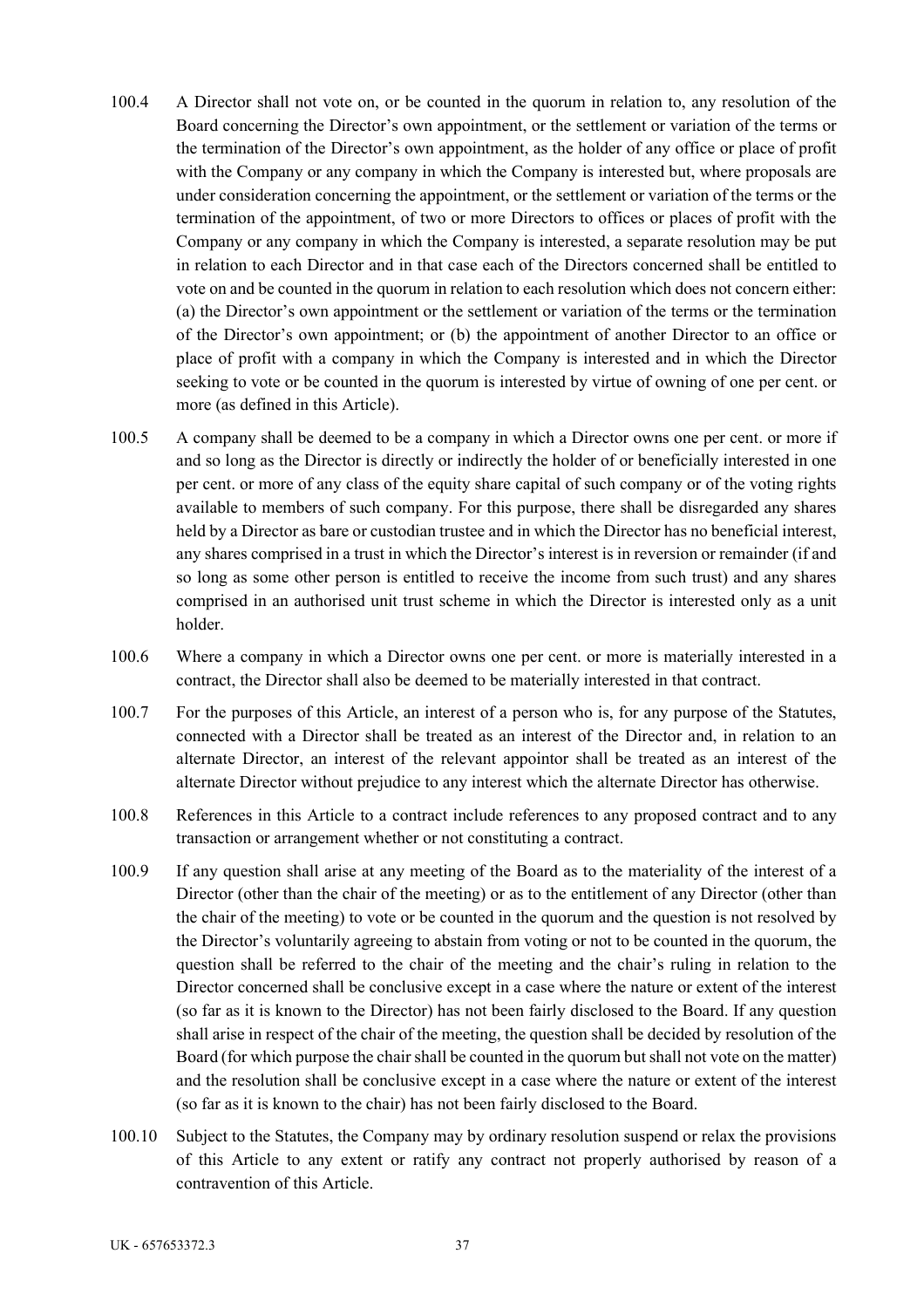- 100.4 A Director shall not vote on, or be counted in the quorum in relation to, any resolution of the Board concerning the Director's own appointment, or the settlement or variation of the terms or the termination of the Director's own appointment, as the holder of any office or place of profit with the Company or any company in which the Company is interested but, where proposals are under consideration concerning the appointment, or the settlement or variation of the terms or the termination of the appointment, of two or more Directors to offices or places of profit with the Company or any company in which the Company is interested, a separate resolution may be put in relation to each Director and in that case each of the Directors concerned shall be entitled to vote on and be counted in the quorum in relation to each resolution which does not concern either: (a) the Director's own appointment or the settlement or variation of the terms or the termination of the Director's own appointment; or (b) the appointment of another Director to an office or place of profit with a company in which the Company is interested and in which the Director seeking to vote or be counted in the quorum is interested by virtue of owning of one per cent. or more (as defined in this Article).
- 100.5 A company shall be deemed to be a company in which a Director owns one per cent. or more if and so long as the Director is directly or indirectly the holder of or beneficially interested in one per cent. or more of any class of the equity share capital of such company or of the voting rights available to members of such company. For this purpose, there shall be disregarded any shares held by a Director as bare or custodian trustee and in which the Director has no beneficial interest, any shares comprised in a trust in which the Director's interest is in reversion or remainder (if and so long as some other person is entitled to receive the income from such trust) and any shares comprised in an authorised unit trust scheme in which the Director is interested only as a unit holder.
- 100.6 Where a company in which a Director owns one per cent. or more is materially interested in a contract, the Director shall also be deemed to be materially interested in that contract.
- 100.7 For the purposes of this Article, an interest of a person who is, for any purpose of the Statutes, connected with a Director shall be treated as an interest of the Director and, in relation to an alternate Director, an interest of the relevant appointor shall be treated as an interest of the alternate Director without prejudice to any interest which the alternate Director has otherwise.
- 100.8 References in this Article to a contract include references to any proposed contract and to any transaction or arrangement whether or not constituting a contract.
- 100.9 If any question shall arise at any meeting of the Board as to the materiality of the interest of a Director (other than the chair of the meeting) or as to the entitlement of any Director (other than the chair of the meeting) to vote or be counted in the quorum and the question is not resolved by the Director's voluntarily agreeing to abstain from voting or not to be counted in the quorum, the question shall be referred to the chair of the meeting and the chair's ruling in relation to the Director concerned shall be conclusive except in a case where the nature or extent of the interest (so far as it is known to the Director) has not been fairly disclosed to the Board. If any question shall arise in respect of the chair of the meeting, the question shall be decided by resolution of the Board (for which purpose the chair shall be counted in the quorum but shall not vote on the matter) and the resolution shall be conclusive except in a case where the nature or extent of the interest (so far as it is known to the chair) has not been fairly disclosed to the Board.
- 100.10 Subject to the Statutes, the Company may by ordinary resolution suspend or relax the provisions of this Article to any extent or ratify any contract not properly authorised by reason of a contravention of this Article.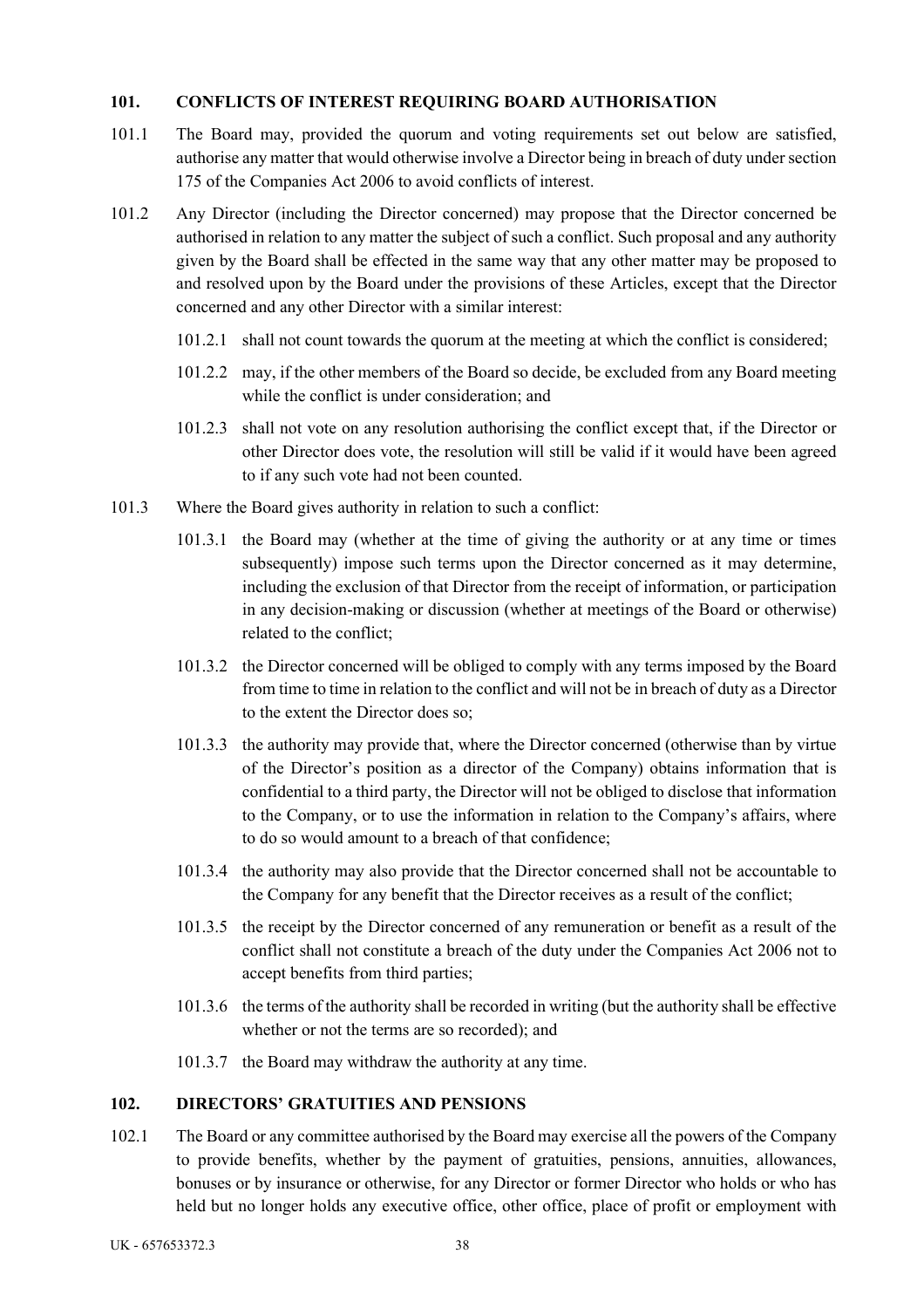## **101. CONFLICTS OF INTEREST REQUIRING BOARD AUTHORISATION**

- 101.1 The Board may, provided the quorum and voting requirements set out below are satisfied, authorise any matter that would otherwise involve a Director being in breach of duty under section 175 of the Companies Act 2006 to avoid conflicts of interest.
- 101.2 Any Director (including the Director concerned) may propose that the Director concerned be authorised in relation to any matter the subject of such a conflict. Such proposal and any authority given by the Board shall be effected in the same way that any other matter may be proposed to and resolved upon by the Board under the provisions of these Articles, except that the Director concerned and any other Director with a similar interest:
	- 101.2.1 shall not count towards the quorum at the meeting at which the conflict is considered;
	- 101.2.2 may, if the other members of the Board so decide, be excluded from any Board meeting while the conflict is under consideration; and
	- 101.2.3 shall not vote on any resolution authorising the conflict except that, if the Director or other Director does vote, the resolution will still be valid if it would have been agreed to if any such vote had not been counted.
- 101.3 Where the Board gives authority in relation to such a conflict:
	- 101.3.1 the Board may (whether at the time of giving the authority or at any time or times subsequently) impose such terms upon the Director concerned as it may determine, including the exclusion of that Director from the receipt of information, or participation in any decision-making or discussion (whether at meetings of the Board or otherwise) related to the conflict;
	- 101.3.2 the Director concerned will be obliged to comply with any terms imposed by the Board from time to time in relation to the conflict and will not be in breach of duty as a Director to the extent the Director does so;
	- 101.3.3 the authority may provide that, where the Director concerned (otherwise than by virtue of the Director's position as a director of the Company) obtains information that is confidential to a third party, the Director will not be obliged to disclose that information to the Company, or to use the information in relation to the Company's affairs, where to do so would amount to a breach of that confidence;
	- 101.3.4 the authority may also provide that the Director concerned shall not be accountable to the Company for any benefit that the Director receives as a result of the conflict;
	- 101.3.5 the receipt by the Director concerned of any remuneration or benefit as a result of the conflict shall not constitute a breach of the duty under the Companies Act 2006 not to accept benefits from third parties;
	- 101.3.6 the terms of the authority shall be recorded in writing (but the authority shall be effective whether or not the terms are so recorded); and
	- 101.3.7 the Board may withdraw the authority at any time.

### **102. DIRECTORS' GRATUITIES AND PENSIONS**

102.1 The Board or any committee authorised by the Board may exercise all the powers of the Company to provide benefits, whether by the payment of gratuities, pensions, annuities, allowances, bonuses or by insurance or otherwise, for any Director or former Director who holds or who has held but no longer holds any executive office, other office, place of profit or employment with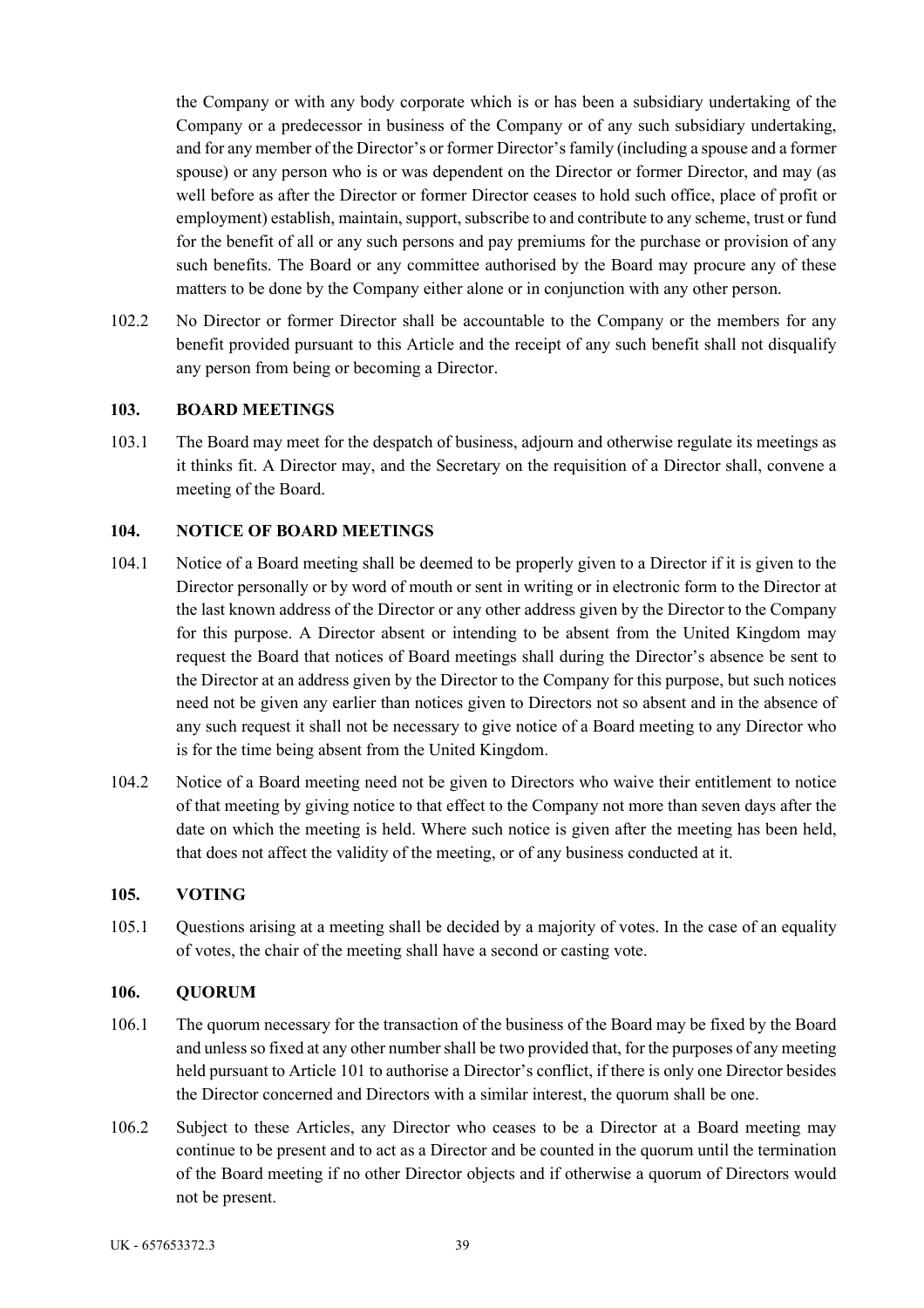the Company or with any body corporate which is or has been a subsidiary undertaking of the Company or a predecessor in business of the Company or of any such subsidiary undertaking, and for any member of the Director's or former Director's family (including a spouse and a former spouse) or any person who is or was dependent on the Director or former Director, and may (as well before as after the Director or former Director ceases to hold such office, place of profit or employment) establish, maintain, support, subscribe to and contribute to any scheme, trust or fund for the benefit of all or any such persons and pay premiums for the purchase or provision of any such benefits. The Board or any committee authorised by the Board may procure any of these matters to be done by the Company either alone or in conjunction with any other person.

102.2 No Director or former Director shall be accountable to the Company or the members for any benefit provided pursuant to this Article and the receipt of any such benefit shall not disqualify any person from being or becoming a Director.

### **103. BOARD MEETINGS**

103.1 The Board may meet for the despatch of business, adjourn and otherwise regulate its meetings as it thinks fit. A Director may, and the Secretary on the requisition of a Director shall, convene a meeting of the Board.

#### **104. NOTICE OF BOARD MEETINGS**

- 104.1 Notice of a Board meeting shall be deemed to be properly given to a Director if it is given to the Director personally or by word of mouth or sent in writing or in electronic form to the Director at the last known address of the Director or any other address given by the Director to the Company for this purpose. A Director absent or intending to be absent from the United Kingdom may request the Board that notices of Board meetings shall during the Director's absence be sent to the Director at an address given by the Director to the Company for this purpose, but such notices need not be given any earlier than notices given to Directors not so absent and in the absence of any such request it shall not be necessary to give notice of a Board meeting to any Director who is for the time being absent from the United Kingdom.
- 104.2 Notice of a Board meeting need not be given to Directors who waive their entitlement to notice of that meeting by giving notice to that effect to the Company not more than seven days after the date on which the meeting is held. Where such notice is given after the meeting has been held, that does not affect the validity of the meeting, or of any business conducted at it.

### **105. VOTING**

105.1 Questions arising at a meeting shall be decided by a majority of votes. In the case of an equality of votes, the chair of the meeting shall have a second or casting vote.

#### **106. QUORUM**

- 106.1 The quorum necessary for the transaction of the business of the Board may be fixed by the Board and unless so fixed at any other number shall be two provided that, for the purposes of any meeting held pursuant to Article 101 to authorise a Director's conflict, if there is only one Director besides the Director concerned and Directors with a similar interest, the quorum shall be one.
- 106.2 Subject to these Articles, any Director who ceases to be a Director at a Board meeting may continue to be present and to act as a Director and be counted in the quorum until the termination of the Board meeting if no other Director objects and if otherwise a quorum of Directors would not be present.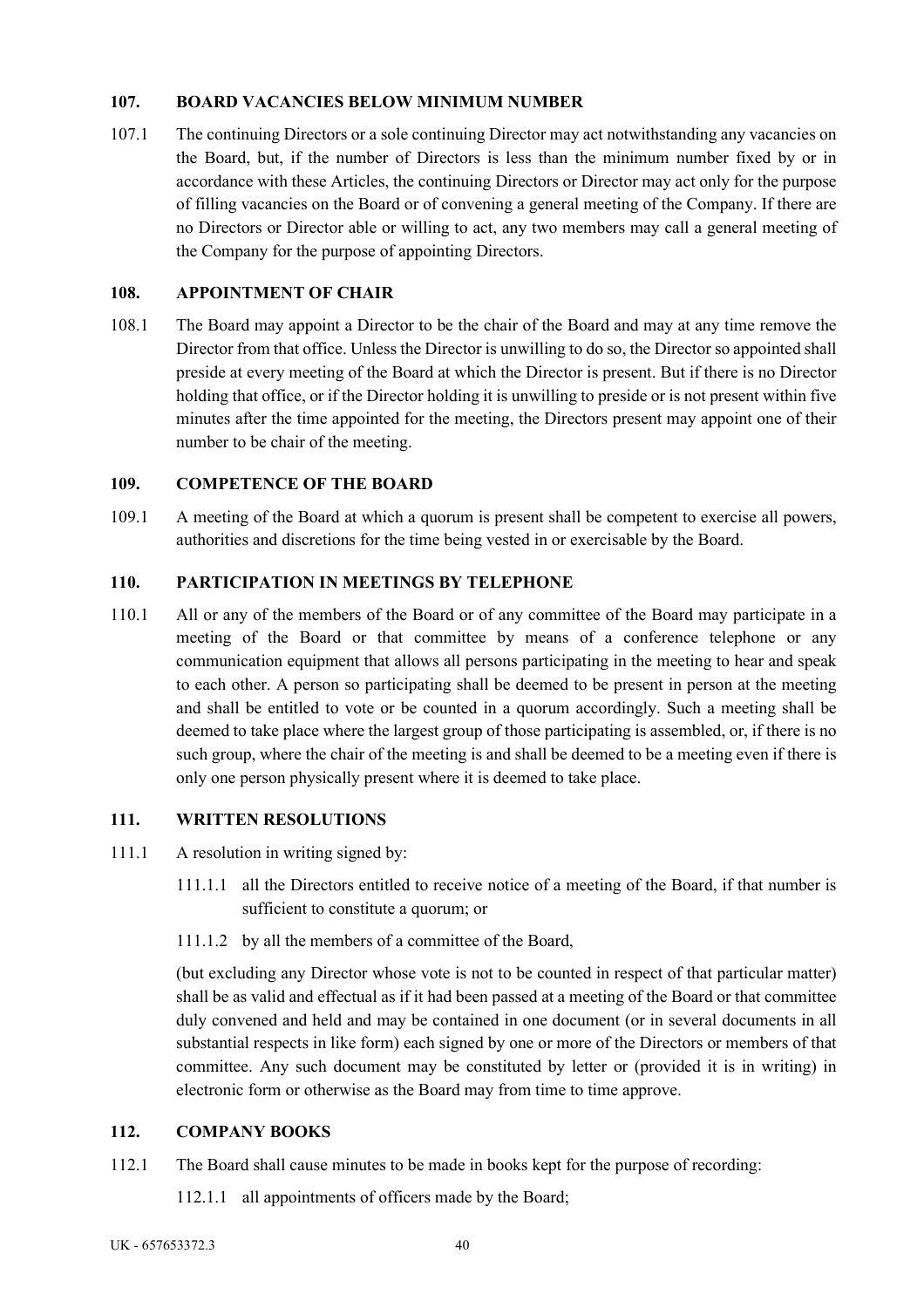### **107. BOARD VACANCIES BELOW MINIMUM NUMBER**

107.1 The continuing Directors or a sole continuing Director may act notwithstanding any vacancies on the Board, but, if the number of Directors is less than the minimum number fixed by or in accordance with these Articles, the continuing Directors or Director may act only for the purpose of filling vacancies on the Board or of convening a general meeting of the Company. If there are no Directors or Director able or willing to act, any two members may call a general meeting of the Company for the purpose of appointing Directors.

## **108. APPOINTMENT OF CHAIR**

108.1 The Board may appoint a Director to be the chair of the Board and may at any time remove the Director from that office. Unless the Director is unwilling to do so, the Director so appointed shall preside at every meeting of the Board at which the Director is present. But if there is no Director holding that office, or if the Director holding it is unwilling to preside or is not present within five minutes after the time appointed for the meeting, the Directors present may appoint one of their number to be chair of the meeting.

## **109. COMPETENCE OF THE BOARD**

109.1 A meeting of the Board at which a quorum is present shall be competent to exercise all powers, authorities and discretions for the time being vested in or exercisable by the Board.

## **110. PARTICIPATION IN MEETINGS BY TELEPHONE**

110.1 All or any of the members of the Board or of any committee of the Board may participate in a meeting of the Board or that committee by means of a conference telephone or any communication equipment that allows all persons participating in the meeting to hear and speak to each other. A person so participating shall be deemed to be present in person at the meeting and shall be entitled to vote or be counted in a quorum accordingly. Such a meeting shall be deemed to take place where the largest group of those participating is assembled, or, if there is no such group, where the chair of the meeting is and shall be deemed to be a meeting even if there is only one person physically present where it is deemed to take place.

### **111. WRITTEN RESOLUTIONS**

- 111.1 A resolution in writing signed by:
	- 111.1.1 all the Directors entitled to receive notice of a meeting of the Board, if that number is sufficient to constitute a quorum; or
	- 111.1.2 by all the members of a committee of the Board,

(but excluding any Director whose vote is not to be counted in respect of that particular matter) shall be as valid and effectual as if it had been passed at a meeting of the Board or that committee duly convened and held and may be contained in one document (or in several documents in all substantial respects in like form) each signed by one or more of the Directors or members of that committee. Any such document may be constituted by letter or (provided it is in writing) in electronic form or otherwise as the Board may from time to time approve.

## **112. COMPANY BOOKS**

- 112.1 The Board shall cause minutes to be made in books kept for the purpose of recording:
	- 112.1.1 all appointments of officers made by the Board;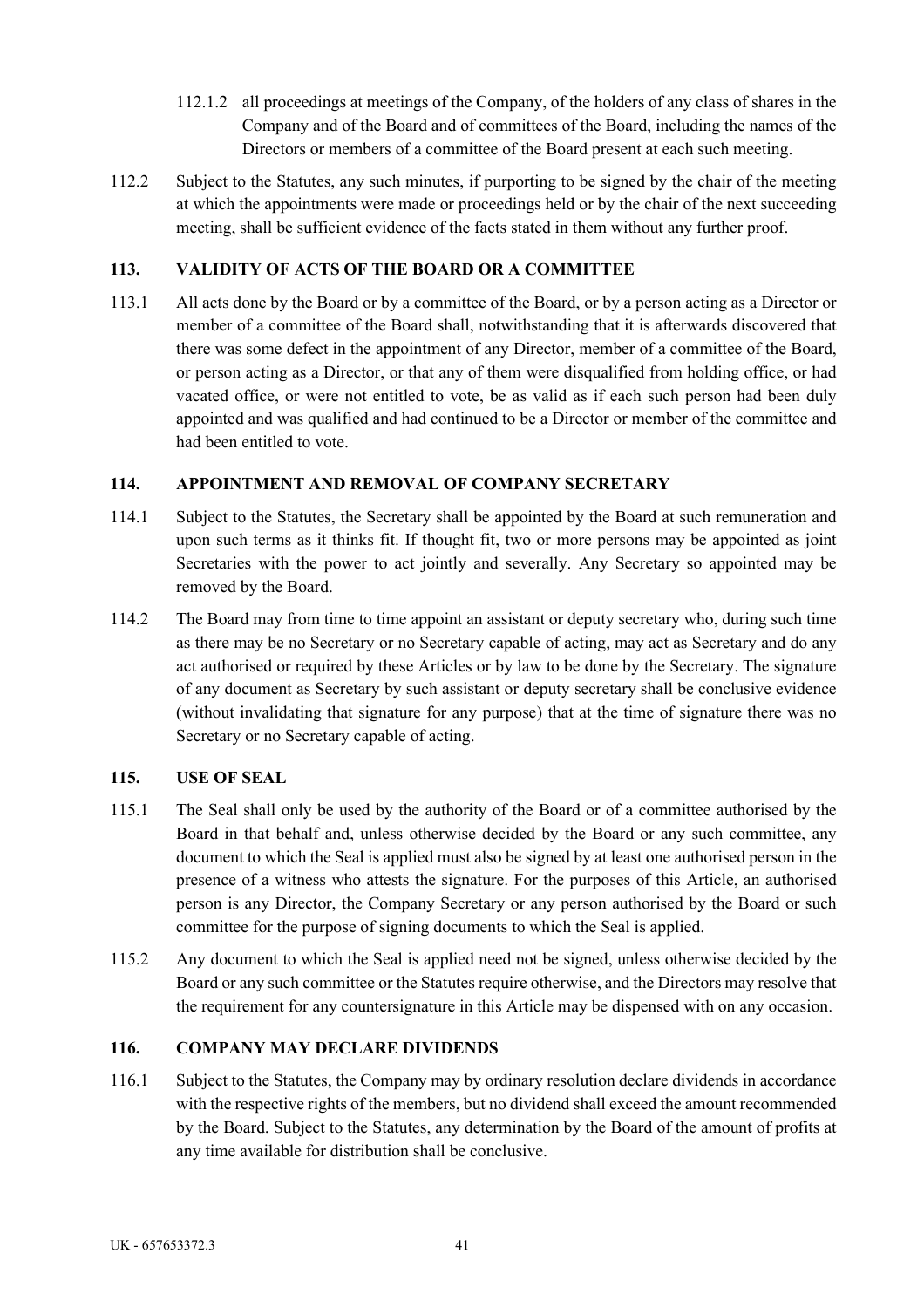- 112.1.2 all proceedings at meetings of the Company, of the holders of any class of shares in the Company and of the Board and of committees of the Board, including the names of the Directors or members of a committee of the Board present at each such meeting.
- 112.2 Subject to the Statutes, any such minutes, if purporting to be signed by the chair of the meeting at which the appointments were made or proceedings held or by the chair of the next succeeding meeting, shall be sufficient evidence of the facts stated in them without any further proof.

# **113. VALIDITY OF ACTS OF THE BOARD OR A COMMITTEE**

113.1 All acts done by the Board or by a committee of the Board, or by a person acting as a Director or member of a committee of the Board shall, notwithstanding that it is afterwards discovered that there was some defect in the appointment of any Director, member of a committee of the Board, or person acting as a Director, or that any of them were disqualified from holding office, or had vacated office, or were not entitled to vote, be as valid as if each such person had been duly appointed and was qualified and had continued to be a Director or member of the committee and had been entitled to vote.

# **114. APPOINTMENT AND REMOVAL OF COMPANY SECRETARY**

- 114.1 Subject to the Statutes, the Secretary shall be appointed by the Board at such remuneration and upon such terms as it thinks fit. If thought fit, two or more persons may be appointed as joint Secretaries with the power to act jointly and severally. Any Secretary so appointed may be removed by the Board.
- 114.2 The Board may from time to time appoint an assistant or deputy secretary who, during such time as there may be no Secretary or no Secretary capable of acting, may act as Secretary and do any act authorised or required by these Articles or by law to be done by the Secretary. The signature of any document as Secretary by such assistant or deputy secretary shall be conclusive evidence (without invalidating that signature for any purpose) that at the time of signature there was no Secretary or no Secretary capable of acting.

### **115. USE OF SEAL**

- 115.1 The Seal shall only be used by the authority of the Board or of a committee authorised by the Board in that behalf and, unless otherwise decided by the Board or any such committee, any document to which the Seal is applied must also be signed by at least one authorised person in the presence of a witness who attests the signature. For the purposes of this Article, an authorised person is any Director, the Company Secretary or any person authorised by the Board or such committee for the purpose of signing documents to which the Seal is applied.
- 115.2 Any document to which the Seal is applied need not be signed, unless otherwise decided by the Board or any such committee or the Statutes require otherwise, and the Directors may resolve that the requirement for any countersignature in this Article may be dispensed with on any occasion.

# **116. COMPANY MAY DECLARE DIVIDENDS**

116.1 Subject to the Statutes, the Company may by ordinary resolution declare dividends in accordance with the respective rights of the members, but no dividend shall exceed the amount recommended by the Board. Subject to the Statutes, any determination by the Board of the amount of profits at any time available for distribution shall be conclusive.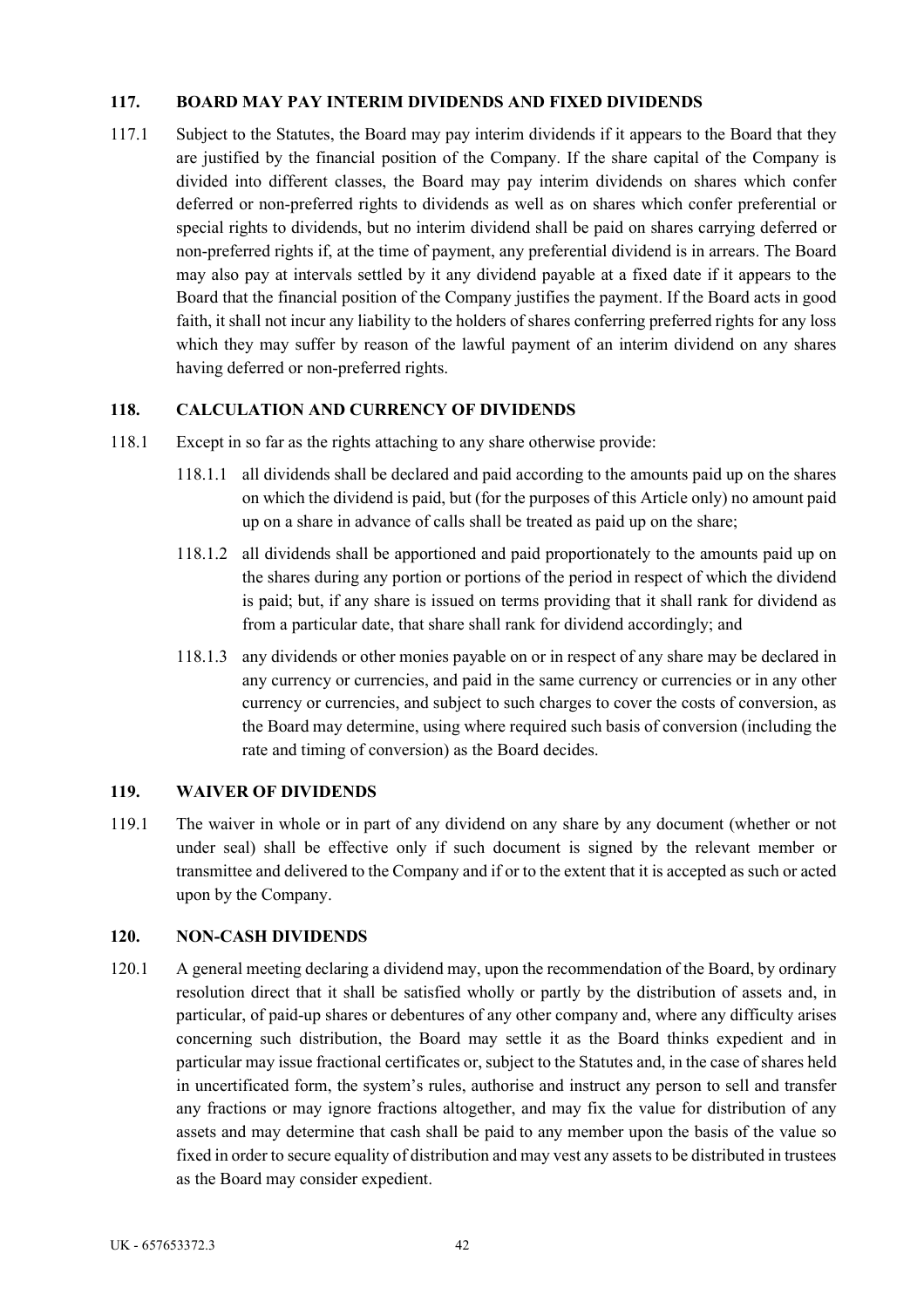### **117. BOARD MAY PAY INTERIM DIVIDENDS AND FIXED DIVIDENDS**

117.1 Subject to the Statutes, the Board may pay interim dividends if it appears to the Board that they are justified by the financial position of the Company. If the share capital of the Company is divided into different classes, the Board may pay interim dividends on shares which confer deferred or non-preferred rights to dividends as well as on shares which confer preferential or special rights to dividends, but no interim dividend shall be paid on shares carrying deferred or non-preferred rights if, at the time of payment, any preferential dividend is in arrears. The Board may also pay at intervals settled by it any dividend payable at a fixed date if it appears to the Board that the financial position of the Company justifies the payment. If the Board acts in good faith, it shall not incur any liability to the holders of shares conferring preferred rights for any loss which they may suffer by reason of the lawful payment of an interim dividend on any shares having deferred or non-preferred rights.

## **118. CALCULATION AND CURRENCY OF DIVIDENDS**

- 118.1 Except in so far as the rights attaching to any share otherwise provide:
	- 118.1.1 all dividends shall be declared and paid according to the amounts paid up on the shares on which the dividend is paid, but (for the purposes of this Article only) no amount paid up on a share in advance of calls shall be treated as paid up on the share;
	- 118.1.2 all dividends shall be apportioned and paid proportionately to the amounts paid up on the shares during any portion or portions of the period in respect of which the dividend is paid; but, if any share is issued on terms providing that it shall rank for dividend as from a particular date, that share shall rank for dividend accordingly; and
	- 118.1.3 any dividends or other monies payable on or in respect of any share may be declared in any currency or currencies, and paid in the same currency or currencies or in any other currency or currencies, and subject to such charges to cover the costs of conversion, as the Board may determine, using where required such basis of conversion (including the rate and timing of conversion) as the Board decides.

### **119. WAIVER OF DIVIDENDS**

119.1 The waiver in whole or in part of any dividend on any share by any document (whether or not under seal) shall be effective only if such document is signed by the relevant member or transmittee and delivered to the Company and if or to the extent that it is accepted as such or acted upon by the Company.

### **120. NON-CASH DIVIDENDS**

120.1 A general meeting declaring a dividend may, upon the recommendation of the Board, by ordinary resolution direct that it shall be satisfied wholly or partly by the distribution of assets and, in particular, of paid-up shares or debentures of any other company and, where any difficulty arises concerning such distribution, the Board may settle it as the Board thinks expedient and in particular may issue fractional certificates or, subject to the Statutes and, in the case of shares held in uncertificated form, the system's rules, authorise and instruct any person to sell and transfer any fractions or may ignore fractions altogether, and may fix the value for distribution of any assets and may determine that cash shall be paid to any member upon the basis of the value so fixed in order to secure equality of distribution and may vest any assets to be distributed in trustees as the Board may consider expedient.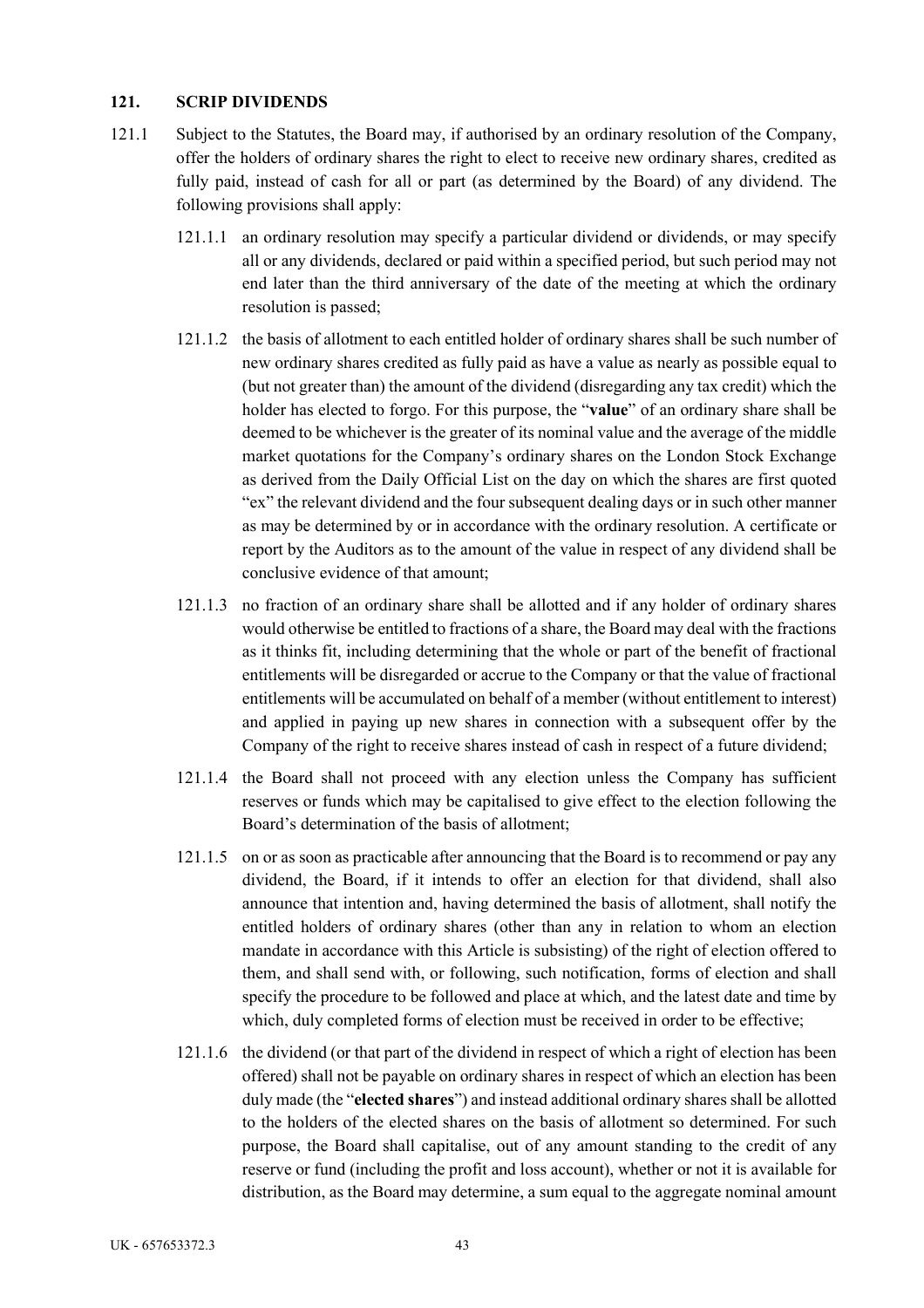### **121. SCRIP DIVIDENDS**

- 121.1 Subject to the Statutes, the Board may, if authorised by an ordinary resolution of the Company, offer the holders of ordinary shares the right to elect to receive new ordinary shares, credited as fully paid, instead of cash for all or part (as determined by the Board) of any dividend. The following provisions shall apply:
	- 121.1.1 an ordinary resolution may specify a particular dividend or dividends, or may specify all or any dividends, declared or paid within a specified period, but such period may not end later than the third anniversary of the date of the meeting at which the ordinary resolution is passed;
	- 121.1.2 the basis of allotment to each entitled holder of ordinary shares shall be such number of new ordinary shares credited as fully paid as have a value as nearly as possible equal to (but not greater than) the amount of the dividend (disregarding any tax credit) which the holder has elected to forgo. For this purpose, the "**value**" of an ordinary share shall be deemed to be whichever is the greater of its nominal value and the average of the middle market quotations for the Company's ordinary shares on the London Stock Exchange as derived from the Daily Official List on the day on which the shares are first quoted "ex" the relevant dividend and the four subsequent dealing days or in such other manner as may be determined by or in accordance with the ordinary resolution. A certificate or report by the Auditors as to the amount of the value in respect of any dividend shall be conclusive evidence of that amount;
	- 121.1.3 no fraction of an ordinary share shall be allotted and if any holder of ordinary shares would otherwise be entitled to fractions of a share, the Board may deal with the fractions as it thinks fit, including determining that the whole or part of the benefit of fractional entitlements will be disregarded or accrue to the Company or that the value of fractional entitlements will be accumulated on behalf of a member (without entitlement to interest) and applied in paying up new shares in connection with a subsequent offer by the Company of the right to receive shares instead of cash in respect of a future dividend;
	- 121.1.4 the Board shall not proceed with any election unless the Company has sufficient reserves or funds which may be capitalised to give effect to the election following the Board's determination of the basis of allotment;
	- 121.1.5 on or as soon as practicable after announcing that the Board is to recommend or pay any dividend, the Board, if it intends to offer an election for that dividend, shall also announce that intention and, having determined the basis of allotment, shall notify the entitled holders of ordinary shares (other than any in relation to whom an election mandate in accordance with this Article is subsisting) of the right of election offered to them, and shall send with, or following, such notification, forms of election and shall specify the procedure to be followed and place at which, and the latest date and time by which, duly completed forms of election must be received in order to be effective;
	- 121.1.6 the dividend (or that part of the dividend in respect of which a right of election has been offered) shall not be payable on ordinary shares in respect of which an election has been duly made (the "**elected shares**") and instead additional ordinary shares shall be allotted to the holders of the elected shares on the basis of allotment so determined. For such purpose, the Board shall capitalise, out of any amount standing to the credit of any reserve or fund (including the profit and loss account), whether or not it is available for distribution, as the Board may determine, a sum equal to the aggregate nominal amount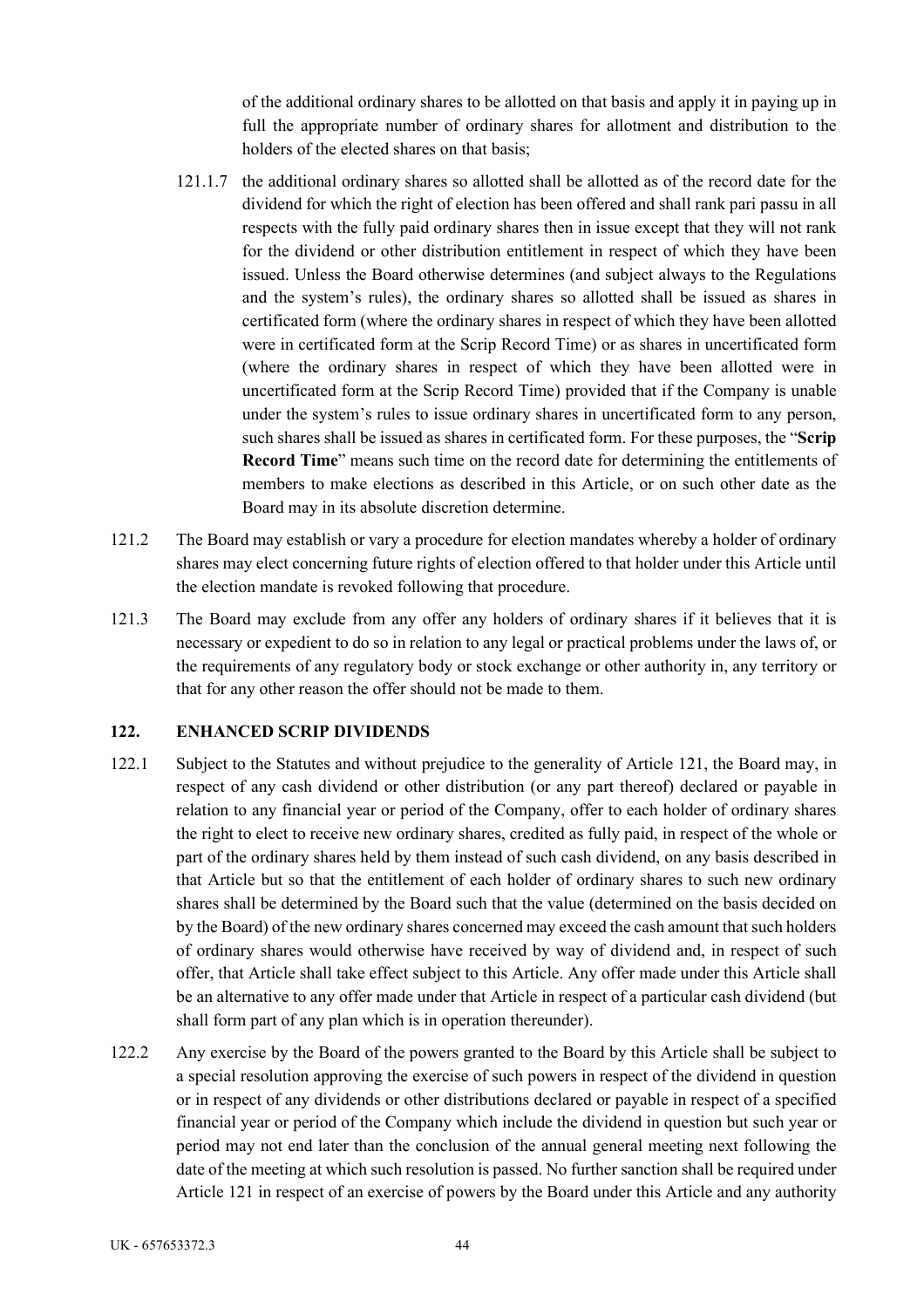of the additional ordinary shares to be allotted on that basis and apply it in paying up in full the appropriate number of ordinary shares for allotment and distribution to the holders of the elected shares on that basis;

- 121.1.7 the additional ordinary shares so allotted shall be allotted as of the record date for the dividend for which the right of election has been offered and shall rank pari passu in all respects with the fully paid ordinary shares then in issue except that they will not rank for the dividend or other distribution entitlement in respect of which they have been issued. Unless the Board otherwise determines (and subject always to the Regulations and the system's rules), the ordinary shares so allotted shall be issued as shares in certificated form (where the ordinary shares in respect of which they have been allotted were in certificated form at the Scrip Record Time) or as shares in uncertificated form (where the ordinary shares in respect of which they have been allotted were in uncertificated form at the Scrip Record Time) provided that if the Company is unable under the system's rules to issue ordinary shares in uncertificated form to any person, such shares shall be issued as shares in certificated form. For these purposes, the "**Scrip Record Time**" means such time on the record date for determining the entitlements of members to make elections as described in this Article, or on such other date as the Board may in its absolute discretion determine.
- 121.2 The Board may establish or vary a procedure for election mandates whereby a holder of ordinary shares may elect concerning future rights of election offered to that holder under this Article until the election mandate is revoked following that procedure.
- 121.3 The Board may exclude from any offer any holders of ordinary shares if it believes that it is necessary or expedient to do so in relation to any legal or practical problems under the laws of, or the requirements of any regulatory body or stock exchange or other authority in, any territory or that for any other reason the offer should not be made to them.

### **122. ENHANCED SCRIP DIVIDENDS**

- 122.1 Subject to the Statutes and without prejudice to the generality of Article 121, the Board may, in respect of any cash dividend or other distribution (or any part thereof) declared or payable in relation to any financial year or period of the Company, offer to each holder of ordinary shares the right to elect to receive new ordinary shares, credited as fully paid, in respect of the whole or part of the ordinary shares held by them instead of such cash dividend, on any basis described in that Article but so that the entitlement of each holder of ordinary shares to such new ordinary shares shall be determined by the Board such that the value (determined on the basis decided on by the Board) of the new ordinary shares concerned may exceed the cash amount that such holders of ordinary shares would otherwise have received by way of dividend and, in respect of such offer, that Article shall take effect subject to this Article. Any offer made under this Article shall be an alternative to any offer made under that Article in respect of a particular cash dividend (but shall form part of any plan which is in operation thereunder).
- 122.2 Any exercise by the Board of the powers granted to the Board by this Article shall be subject to a special resolution approving the exercise of such powers in respect of the dividend in question or in respect of any dividends or other distributions declared or payable in respect of a specified financial year or period of the Company which include the dividend in question but such year or period may not end later than the conclusion of the annual general meeting next following the date of the meeting at which such resolution is passed. No further sanction shall be required under Article 121 in respect of an exercise of powers by the Board under this Article and any authority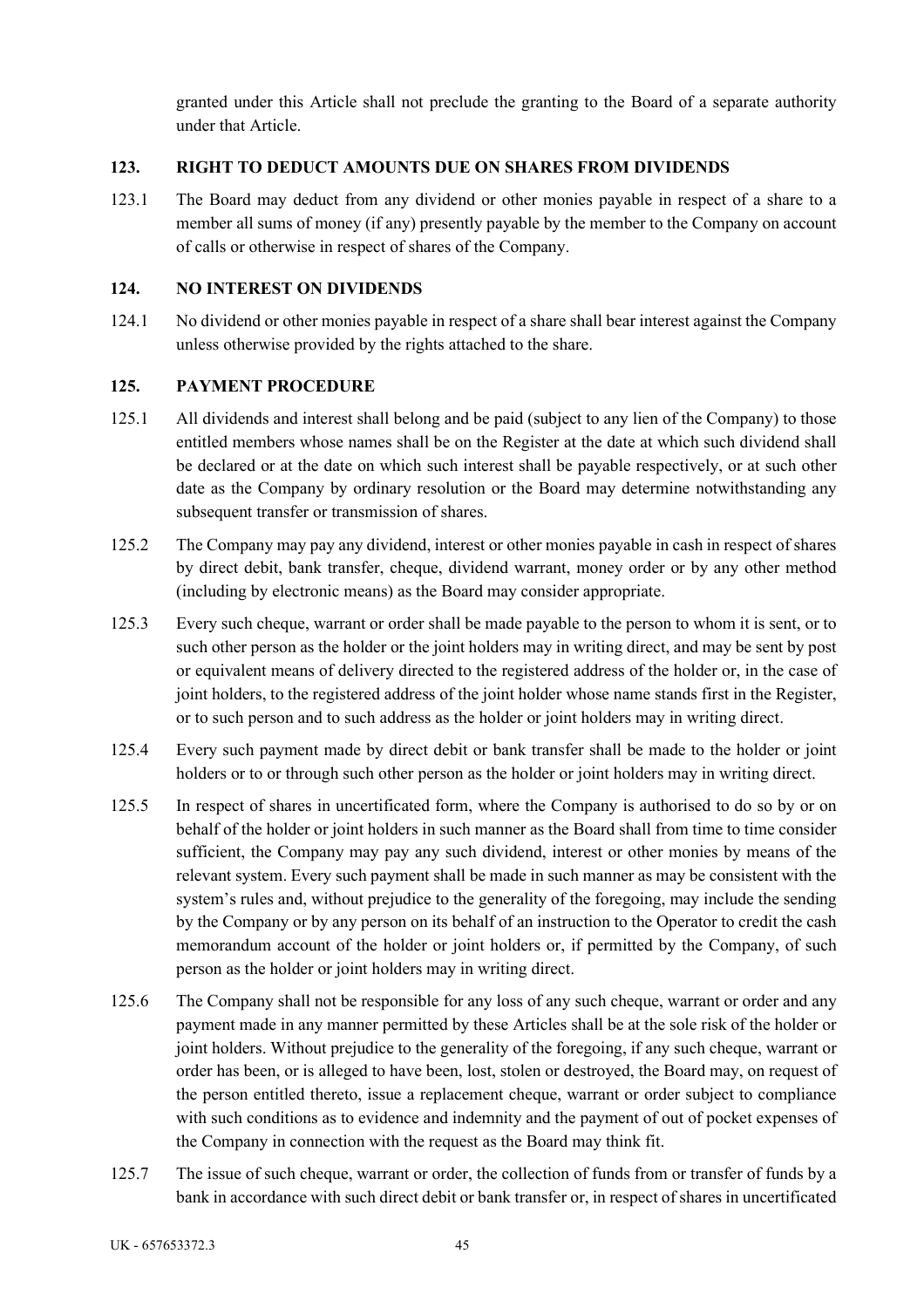granted under this Article shall not preclude the granting to the Board of a separate authority under that Article.

## **123. RIGHT TO DEDUCT AMOUNTS DUE ON SHARES FROM DIVIDENDS**

123.1 The Board may deduct from any dividend or other monies payable in respect of a share to a member all sums of money (if any) presently payable by the member to the Company on account of calls or otherwise in respect of shares of the Company.

## **124. NO INTEREST ON DIVIDENDS**

124.1 No dividend or other monies payable in respect of a share shall bear interest against the Company unless otherwise provided by the rights attached to the share.

## **125. PAYMENT PROCEDURE**

- 125.1 All dividends and interest shall belong and be paid (subject to any lien of the Company) to those entitled members whose names shall be on the Register at the date at which such dividend shall be declared or at the date on which such interest shall be payable respectively, or at such other date as the Company by ordinary resolution or the Board may determine notwithstanding any subsequent transfer or transmission of shares.
- 125.2 The Company may pay any dividend, interest or other monies payable in cash in respect of shares by direct debit, bank transfer, cheque, dividend warrant, money order or by any other method (including by electronic means) as the Board may consider appropriate.
- 125.3 Every such cheque, warrant or order shall be made payable to the person to whom it is sent, or to such other person as the holder or the joint holders may in writing direct, and may be sent by post or equivalent means of delivery directed to the registered address of the holder or, in the case of joint holders, to the registered address of the joint holder whose name stands first in the Register, or to such person and to such address as the holder or joint holders may in writing direct.
- 125.4 Every such payment made by direct debit or bank transfer shall be made to the holder or joint holders or to or through such other person as the holder or joint holders may in writing direct.
- 125.5 In respect of shares in uncertificated form, where the Company is authorised to do so by or on behalf of the holder or joint holders in such manner as the Board shall from time to time consider sufficient, the Company may pay any such dividend, interest or other monies by means of the relevant system. Every such payment shall be made in such manner as may be consistent with the system's rules and, without prejudice to the generality of the foregoing, may include the sending by the Company or by any person on its behalf of an instruction to the Operator to credit the cash memorandum account of the holder or joint holders or, if permitted by the Company, of such person as the holder or joint holders may in writing direct.
- 125.6 The Company shall not be responsible for any loss of any such cheque, warrant or order and any payment made in any manner permitted by these Articles shall be at the sole risk of the holder or joint holders. Without prejudice to the generality of the foregoing, if any such cheque, warrant or order has been, or is alleged to have been, lost, stolen or destroyed, the Board may, on request of the person entitled thereto, issue a replacement cheque, warrant or order subject to compliance with such conditions as to evidence and indemnity and the payment of out of pocket expenses of the Company in connection with the request as the Board may think fit.
- 125.7 The issue of such cheque, warrant or order, the collection of funds from or transfer of funds by a bank in accordance with such direct debit or bank transfer or, in respect of shares in uncertificated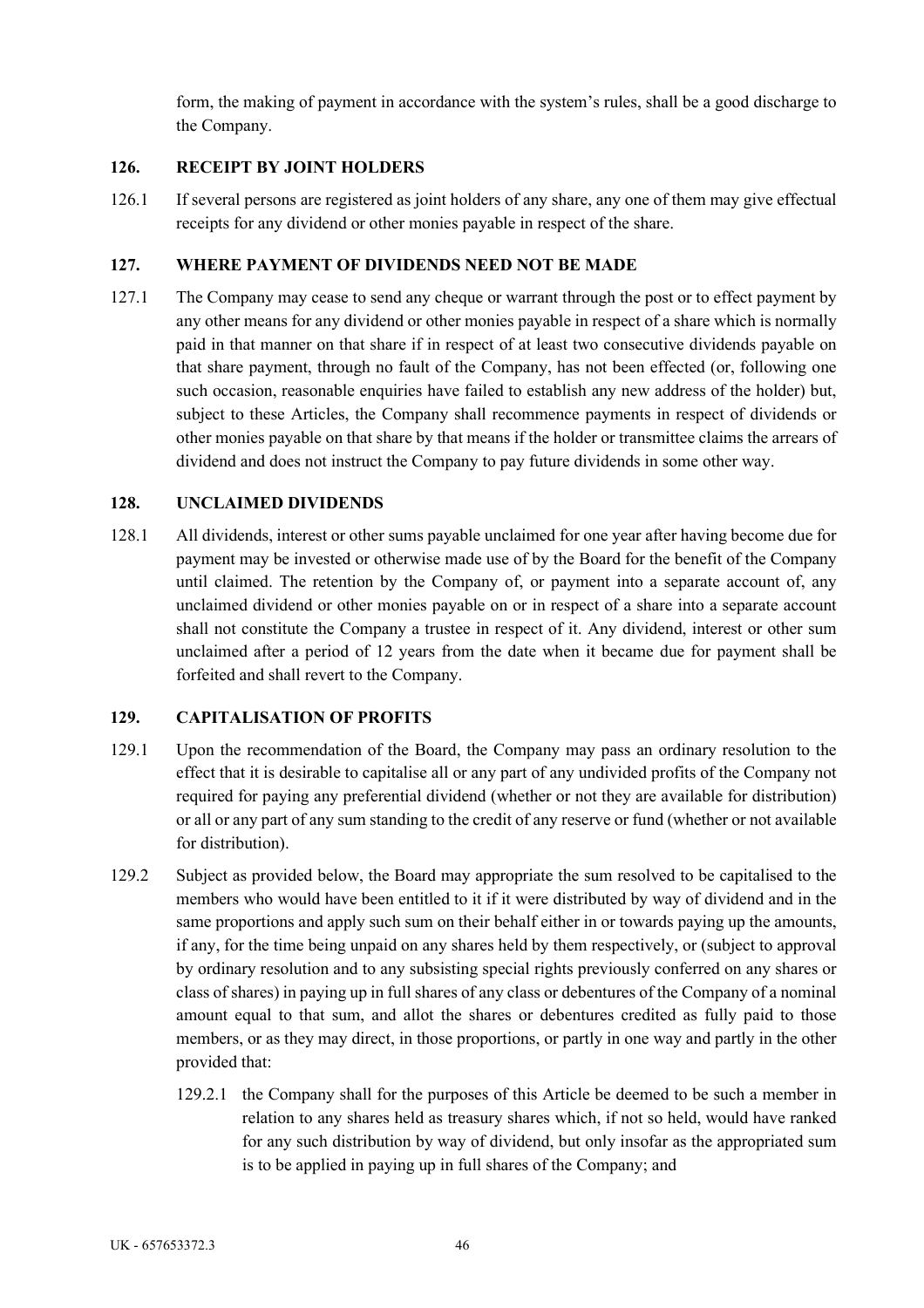form, the making of payment in accordance with the system's rules, shall be a good discharge to the Company.

# **126. RECEIPT BY JOINT HOLDERS**

126.1 If several persons are registered as joint holders of any share, any one of them may give effectual receipts for any dividend or other monies payable in respect of the share.

## **127. WHERE PAYMENT OF DIVIDENDS NEED NOT BE MADE**

127.1 The Company may cease to send any cheque or warrant through the post or to effect payment by any other means for any dividend or other monies payable in respect of a share which is normally paid in that manner on that share if in respect of at least two consecutive dividends payable on that share payment, through no fault of the Company, has not been effected (or, following one such occasion, reasonable enquiries have failed to establish any new address of the holder) but, subject to these Articles, the Company shall recommence payments in respect of dividends or other monies payable on that share by that means if the holder or transmittee claims the arrears of dividend and does not instruct the Company to pay future dividends in some other way.

## **128. UNCLAIMED DIVIDENDS**

128.1 All dividends, interest or other sums payable unclaimed for one year after having become due for payment may be invested or otherwise made use of by the Board for the benefit of the Company until claimed. The retention by the Company of, or payment into a separate account of, any unclaimed dividend or other monies payable on or in respect of a share into a separate account shall not constitute the Company a trustee in respect of it. Any dividend, interest or other sum unclaimed after a period of 12 years from the date when it became due for payment shall be forfeited and shall revert to the Company.

### **129. CAPITALISATION OF PROFITS**

- 129.1 Upon the recommendation of the Board, the Company may pass an ordinary resolution to the effect that it is desirable to capitalise all or any part of any undivided profits of the Company not required for paying any preferential dividend (whether or not they are available for distribution) or all or any part of any sum standing to the credit of any reserve or fund (whether or not available for distribution).
- 129.2 Subject as provided below, the Board may appropriate the sum resolved to be capitalised to the members who would have been entitled to it if it were distributed by way of dividend and in the same proportions and apply such sum on their behalf either in or towards paying up the amounts, if any, for the time being unpaid on any shares held by them respectively, or (subject to approval by ordinary resolution and to any subsisting special rights previously conferred on any shares or class of shares) in paying up in full shares of any class or debentures of the Company of a nominal amount equal to that sum, and allot the shares or debentures credited as fully paid to those members, or as they may direct, in those proportions, or partly in one way and partly in the other provided that:
	- 129.2.1 the Company shall for the purposes of this Article be deemed to be such a member in relation to any shares held as treasury shares which, if not so held, would have ranked for any such distribution by way of dividend, but only insofar as the appropriated sum is to be applied in paying up in full shares of the Company; and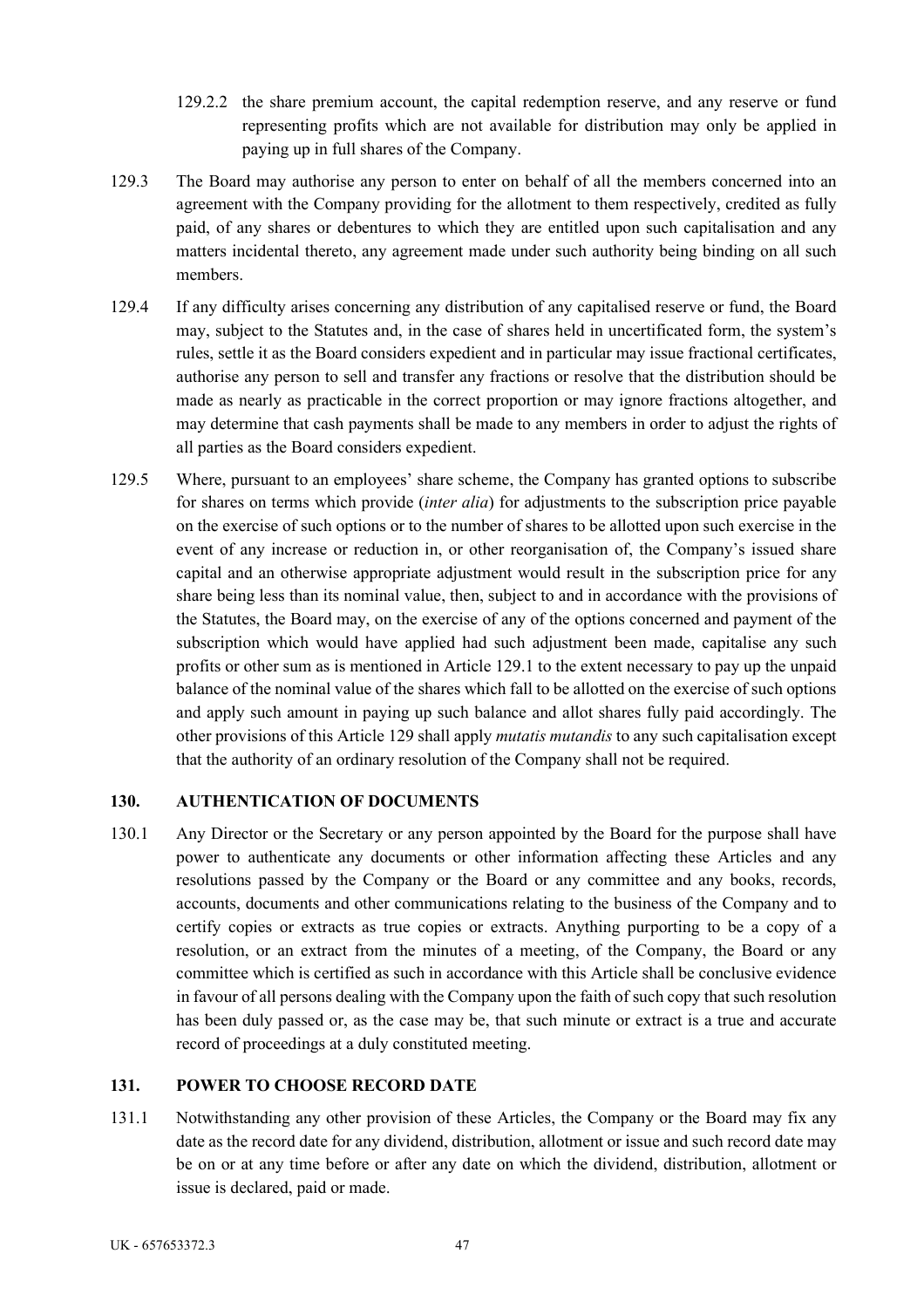- 129.2.2 the share premium account, the capital redemption reserve, and any reserve or fund representing profits which are not available for distribution may only be applied in paying up in full shares of the Company.
- 129.3 The Board may authorise any person to enter on behalf of all the members concerned into an agreement with the Company providing for the allotment to them respectively, credited as fully paid, of any shares or debentures to which they are entitled upon such capitalisation and any matters incidental thereto, any agreement made under such authority being binding on all such members.
- 129.4 If any difficulty arises concerning any distribution of any capitalised reserve or fund, the Board may, subject to the Statutes and, in the case of shares held in uncertificated form, the system's rules, settle it as the Board considers expedient and in particular may issue fractional certificates, authorise any person to sell and transfer any fractions or resolve that the distribution should be made as nearly as practicable in the correct proportion or may ignore fractions altogether, and may determine that cash payments shall be made to any members in order to adjust the rights of all parties as the Board considers expedient.
- 129.5 Where, pursuant to an employees' share scheme, the Company has granted options to subscribe for shares on terms which provide (*inter alia*) for adjustments to the subscription price payable on the exercise of such options or to the number of shares to be allotted upon such exercise in the event of any increase or reduction in, or other reorganisation of, the Company's issued share capital and an otherwise appropriate adjustment would result in the subscription price for any share being less than its nominal value, then, subject to and in accordance with the provisions of the Statutes, the Board may, on the exercise of any of the options concerned and payment of the subscription which would have applied had such adjustment been made, capitalise any such profits or other sum as is mentioned in Article 129.1 to the extent necessary to pay up the unpaid balance of the nominal value of the shares which fall to be allotted on the exercise of such options and apply such amount in paying up such balance and allot shares fully paid accordingly. The other provisions of this Article 129 shall apply *mutatis mutandis* to any such capitalisation except that the authority of an ordinary resolution of the Company shall not be required.

### **130. AUTHENTICATION OF DOCUMENTS**

130.1 Any Director or the Secretary or any person appointed by the Board for the purpose shall have power to authenticate any documents or other information affecting these Articles and any resolutions passed by the Company or the Board or any committee and any books, records, accounts, documents and other communications relating to the business of the Company and to certify copies or extracts as true copies or extracts. Anything purporting to be a copy of a resolution, or an extract from the minutes of a meeting, of the Company, the Board or any committee which is certified as such in accordance with this Article shall be conclusive evidence in favour of all persons dealing with the Company upon the faith of such copy that such resolution has been duly passed or, as the case may be, that such minute or extract is a true and accurate record of proceedings at a duly constituted meeting.

# **131. POWER TO CHOOSE RECORD DATE**

131.1 Notwithstanding any other provision of these Articles, the Company or the Board may fix any date as the record date for any dividend, distribution, allotment or issue and such record date may be on or at any time before or after any date on which the dividend, distribution, allotment or issue is declared, paid or made.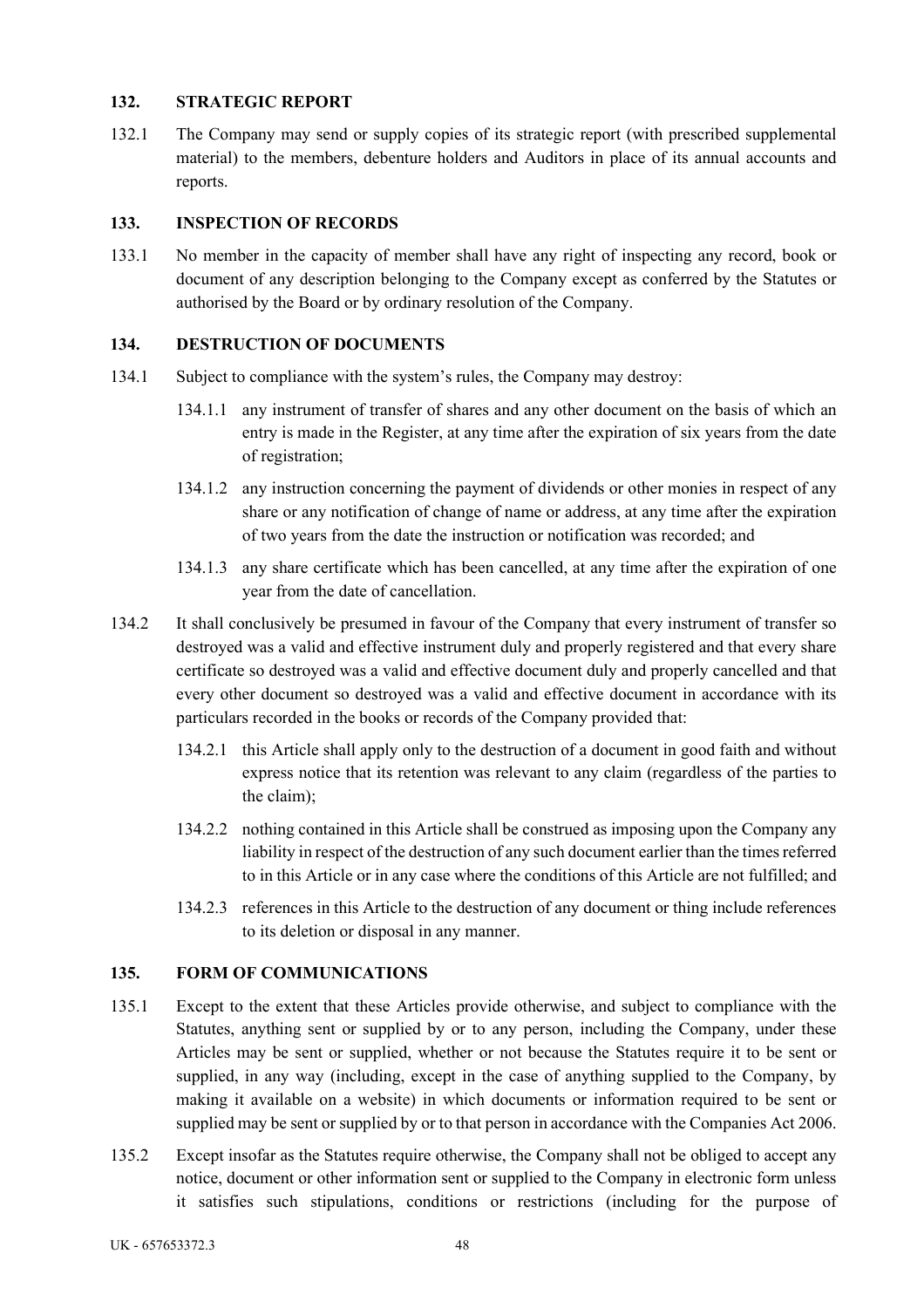### **132. STRATEGIC REPORT**

132.1 The Company may send or supply copies of its strategic report (with prescribed supplemental material) to the members, debenture holders and Auditors in place of its annual accounts and reports.

## **133. INSPECTION OF RECORDS**

133.1 No member in the capacity of member shall have any right of inspecting any record, book or document of any description belonging to the Company except as conferred by the Statutes or authorised by the Board or by ordinary resolution of the Company.

## **134. DESTRUCTION OF DOCUMENTS**

- 134.1 Subject to compliance with the system's rules, the Company may destroy:
	- 134.1.1 any instrument of transfer of shares and any other document on the basis of which an entry is made in the Register, at any time after the expiration of six years from the date of registration;
	- 134.1.2 any instruction concerning the payment of dividends or other monies in respect of any share or any notification of change of name or address, at any time after the expiration of two years from the date the instruction or notification was recorded; and
	- 134.1.3 any share certificate which has been cancelled, at any time after the expiration of one year from the date of cancellation.
- 134.2 It shall conclusively be presumed in favour of the Company that every instrument of transfer so destroyed was a valid and effective instrument duly and properly registered and that every share certificate so destroyed was a valid and effective document duly and properly cancelled and that every other document so destroyed was a valid and effective document in accordance with its particulars recorded in the books or records of the Company provided that:
	- 134.2.1 this Article shall apply only to the destruction of a document in good faith and without express notice that its retention was relevant to any claim (regardless of the parties to the claim);
	- 134.2.2 nothing contained in this Article shall be construed as imposing upon the Company any liability in respect of the destruction of any such document earlier than the times referred to in this Article or in any case where the conditions of this Article are not fulfilled; and
	- 134.2.3 references in this Article to the destruction of any document or thing include references to its deletion or disposal in any manner.

### **135. FORM OF COMMUNICATIONS**

- 135.1 Except to the extent that these Articles provide otherwise, and subject to compliance with the Statutes, anything sent or supplied by or to any person, including the Company, under these Articles may be sent or supplied, whether or not because the Statutes require it to be sent or supplied, in any way (including, except in the case of anything supplied to the Company, by making it available on a website) in which documents or information required to be sent or supplied may be sent or supplied by or to that person in accordance with the Companies Act 2006.
- 135.2 Except insofar as the Statutes require otherwise, the Company shall not be obliged to accept any notice, document or other information sent or supplied to the Company in electronic form unless it satisfies such stipulations, conditions or restrictions (including for the purpose of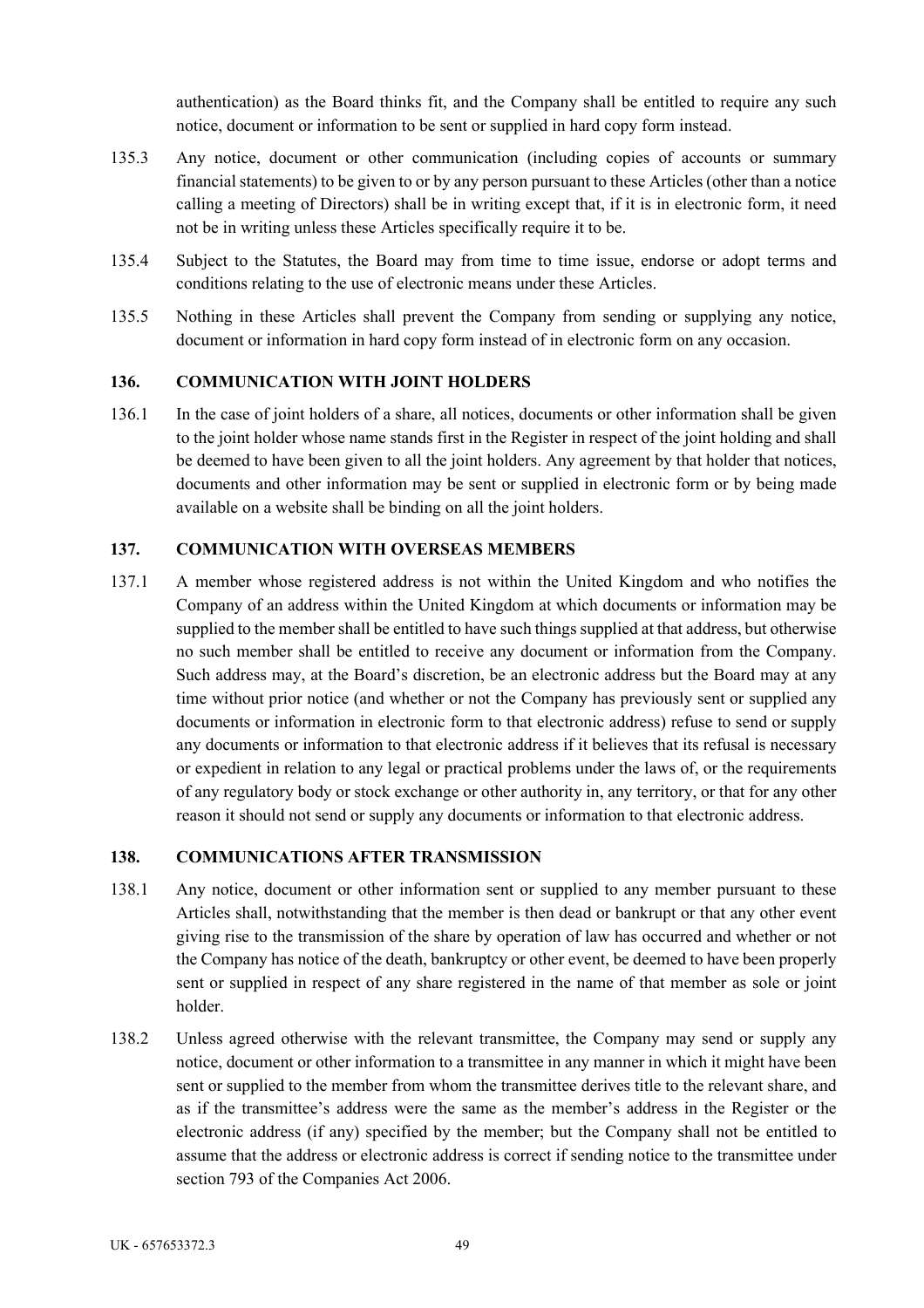authentication) as the Board thinks fit, and the Company shall be entitled to require any such notice, document or information to be sent or supplied in hard copy form instead.

- 135.3 Any notice, document or other communication (including copies of accounts or summary financial statements) to be given to or by any person pursuant to these Articles (other than a notice calling a meeting of Directors) shall be in writing except that, if it is in electronic form, it need not be in writing unless these Articles specifically require it to be.
- 135.4 Subject to the Statutes, the Board may from time to time issue, endorse or adopt terms and conditions relating to the use of electronic means under these Articles.
- 135.5 Nothing in these Articles shall prevent the Company from sending or supplying any notice, document or information in hard copy form instead of in electronic form on any occasion.

## **136. COMMUNICATION WITH JOINT HOLDERS**

136.1 In the case of joint holders of a share, all notices, documents or other information shall be given to the joint holder whose name stands first in the Register in respect of the joint holding and shall be deemed to have been given to all the joint holders. Any agreement by that holder that notices, documents and other information may be sent or supplied in electronic form or by being made available on a website shall be binding on all the joint holders.

### **137. COMMUNICATION WITH OVERSEAS MEMBERS**

137.1 A member whose registered address is not within the United Kingdom and who notifies the Company of an address within the United Kingdom at which documents or information may be supplied to the member shall be entitled to have such things supplied at that address, but otherwise no such member shall be entitled to receive any document or information from the Company. Such address may, at the Board's discretion, be an electronic address but the Board may at any time without prior notice (and whether or not the Company has previously sent or supplied any documents or information in electronic form to that electronic address) refuse to send or supply any documents or information to that electronic address if it believes that its refusal is necessary or expedient in relation to any legal or practical problems under the laws of, or the requirements of any regulatory body or stock exchange or other authority in, any territory, or that for any other reason it should not send or supply any documents or information to that electronic address.

### **138. COMMUNICATIONS AFTER TRANSMISSION**

- 138.1 Any notice, document or other information sent or supplied to any member pursuant to these Articles shall, notwithstanding that the member is then dead or bankrupt or that any other event giving rise to the transmission of the share by operation of law has occurred and whether or not the Company has notice of the death, bankruptcy or other event, be deemed to have been properly sent or supplied in respect of any share registered in the name of that member as sole or joint holder.
- 138.2 Unless agreed otherwise with the relevant transmittee, the Company may send or supply any notice, document or other information to a transmittee in any manner in which it might have been sent or supplied to the member from whom the transmittee derives title to the relevant share, and as if the transmittee's address were the same as the member's address in the Register or the electronic address (if any) specified by the member; but the Company shall not be entitled to assume that the address or electronic address is correct if sending notice to the transmittee under section 793 of the Companies Act 2006.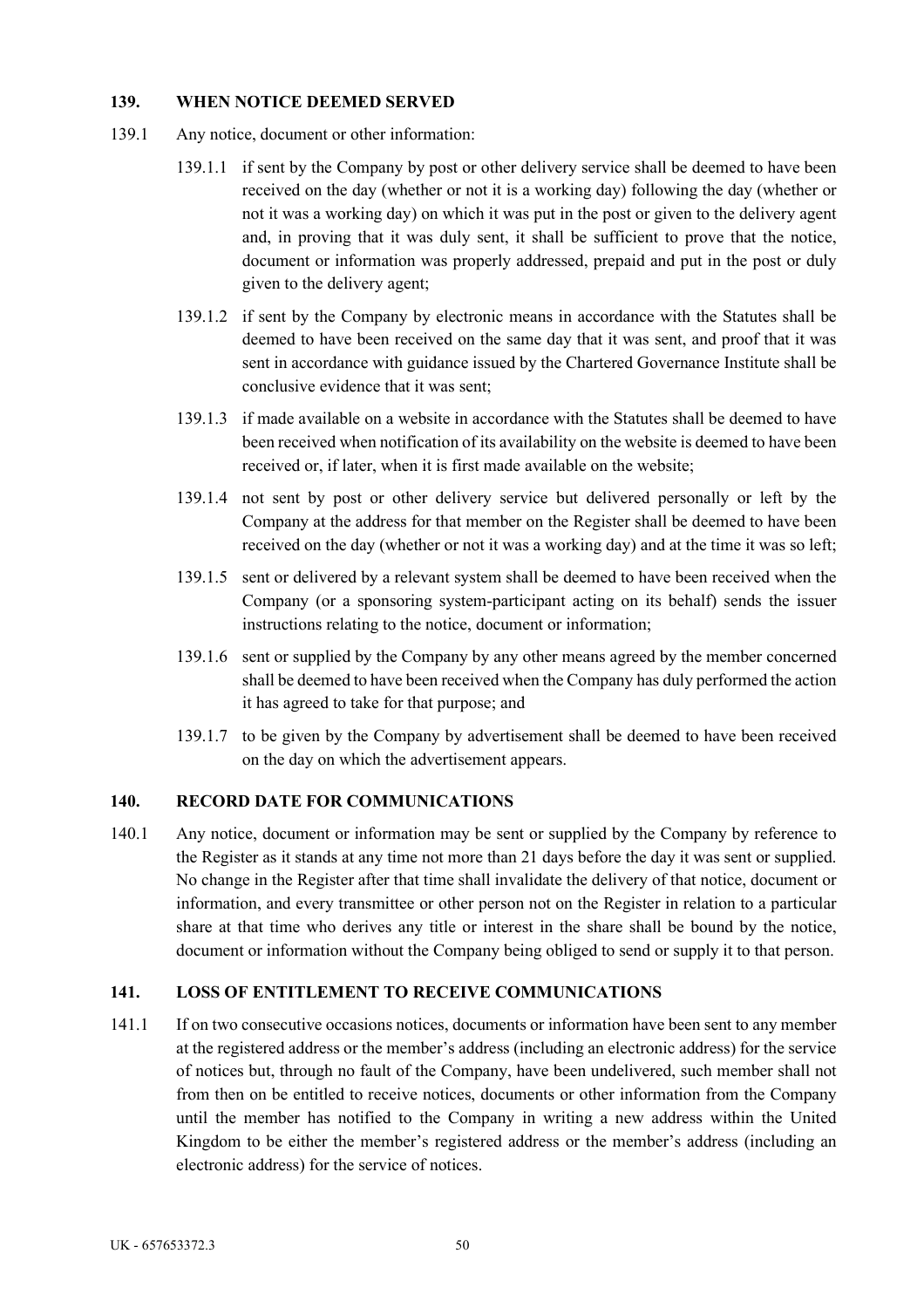### **139. WHEN NOTICE DEEMED SERVED**

- 139.1 Any notice, document or other information:
	- 139.1.1 if sent by the Company by post or other delivery service shall be deemed to have been received on the day (whether or not it is a working day) following the day (whether or not it was a working day) on which it was put in the post or given to the delivery agent and, in proving that it was duly sent, it shall be sufficient to prove that the notice, document or information was properly addressed, prepaid and put in the post or duly given to the delivery agent;
	- 139.1.2 if sent by the Company by electronic means in accordance with the Statutes shall be deemed to have been received on the same day that it was sent, and proof that it was sent in accordance with guidance issued by the Chartered Governance Institute shall be conclusive evidence that it was sent;
	- 139.1.3 if made available on a website in accordance with the Statutes shall be deemed to have been received when notification of its availability on the website is deemed to have been received or, if later, when it is first made available on the website;
	- 139.1.4 not sent by post or other delivery service but delivered personally or left by the Company at the address for that member on the Register shall be deemed to have been received on the day (whether or not it was a working day) and at the time it was so left;
	- 139.1.5 sent or delivered by a relevant system shall be deemed to have been received when the Company (or a sponsoring system-participant acting on its behalf) sends the issuer instructions relating to the notice, document or information;
	- 139.1.6 sent or supplied by the Company by any other means agreed by the member concerned shall be deemed to have been received when the Company has duly performed the action it has agreed to take for that purpose; and
	- 139.1.7 to be given by the Company by advertisement shall be deemed to have been received on the day on which the advertisement appears.

### **140. RECORD DATE FOR COMMUNICATIONS**

140.1 Any notice, document or information may be sent or supplied by the Company by reference to the Register as it stands at any time not more than 21 days before the day it was sent or supplied. No change in the Register after that time shall invalidate the delivery of that notice, document or information, and every transmittee or other person not on the Register in relation to a particular share at that time who derives any title or interest in the share shall be bound by the notice, document or information without the Company being obliged to send or supply it to that person.

### **141. LOSS OF ENTITLEMENT TO RECEIVE COMMUNICATIONS**

141.1 If on two consecutive occasions notices, documents or information have been sent to any member at the registered address or the member's address (including an electronic address) for the service of notices but, through no fault of the Company, have been undelivered, such member shall not from then on be entitled to receive notices, documents or other information from the Company until the member has notified to the Company in writing a new address within the United Kingdom to be either the member's registered address or the member's address (including an electronic address) for the service of notices.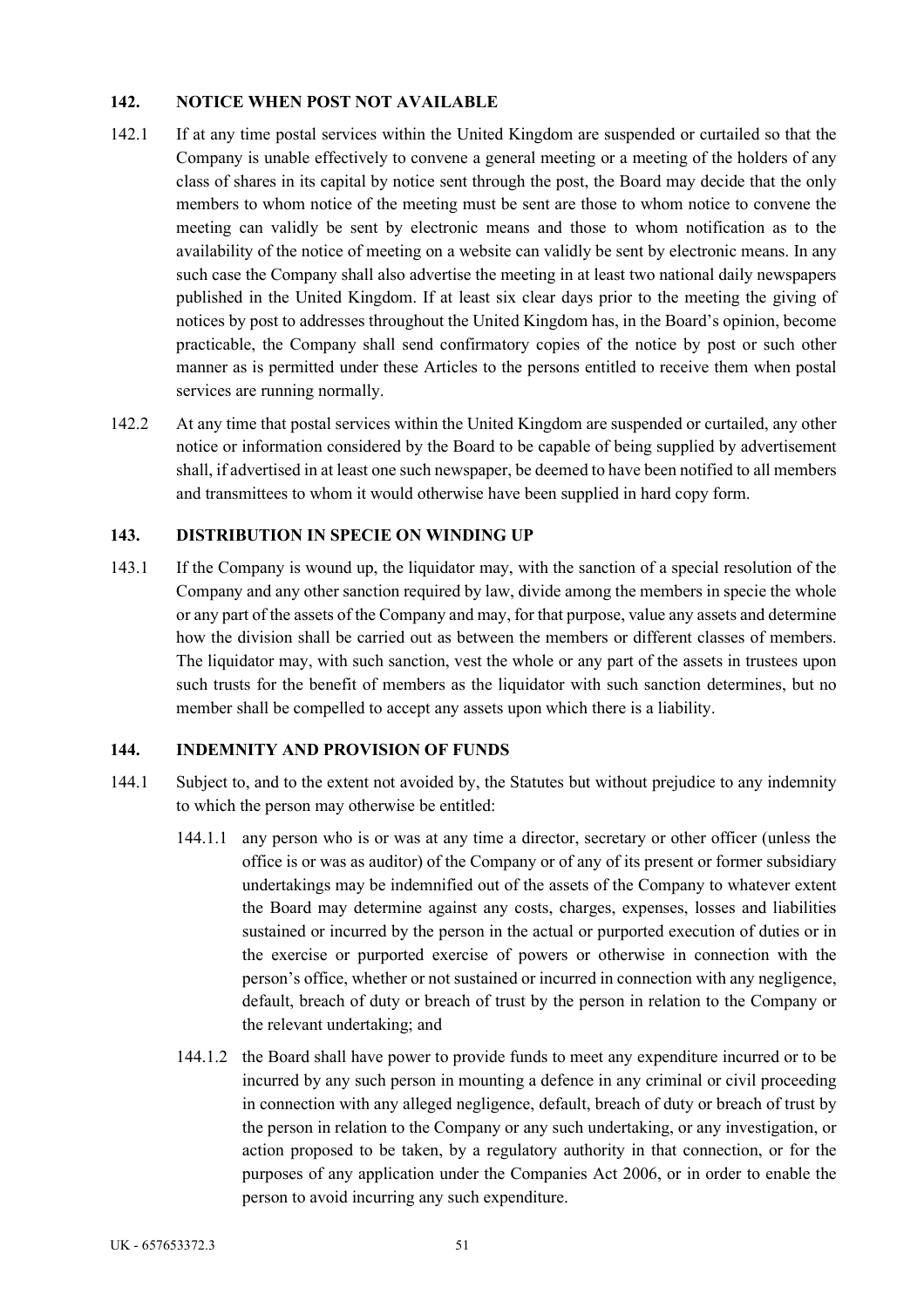### **142. NOTICE WHEN POST NOT AVAILABLE**

- 142.1 If at any time postal services within the United Kingdom are suspended or curtailed so that the Company is unable effectively to convene a general meeting or a meeting of the holders of any class of shares in its capital by notice sent through the post, the Board may decide that the only members to whom notice of the meeting must be sent are those to whom notice to convene the meeting can validly be sent by electronic means and those to whom notification as to the availability of the notice of meeting on a website can validly be sent by electronic means. In any such case the Company shall also advertise the meeting in at least two national daily newspapers published in the United Kingdom. If at least six clear days prior to the meeting the giving of notices by post to addresses throughout the United Kingdom has, in the Board's opinion, become practicable, the Company shall send confirmatory copies of the notice by post or such other manner as is permitted under these Articles to the persons entitled to receive them when postal services are running normally.
- 142.2 At any time that postal services within the United Kingdom are suspended or curtailed, any other notice or information considered by the Board to be capable of being supplied by advertisement shall, if advertised in at least one such newspaper, be deemed to have been notified to all members and transmittees to whom it would otherwise have been supplied in hard copy form.

# **143. DISTRIBUTION IN SPECIE ON WINDING UP**

143.1 If the Company is wound up, the liquidator may, with the sanction of a special resolution of the Company and any other sanction required by law, divide among the members in specie the whole or any part of the assets of the Company and may, for that purpose, value any assets and determine how the division shall be carried out as between the members or different classes of members. The liquidator may, with such sanction, vest the whole or any part of the assets in trustees upon such trusts for the benefit of members as the liquidator with such sanction determines, but no member shall be compelled to accept any assets upon which there is a liability.

### **144. INDEMNITY AND PROVISION OF FUNDS**

- 144.1 Subject to, and to the extent not avoided by, the Statutes but without prejudice to any indemnity to which the person may otherwise be entitled:
	- 144.1.1 any person who is or was at any time a director, secretary or other officer (unless the office is or was as auditor) of the Company or of any of its present or former subsidiary undertakings may be indemnified out of the assets of the Company to whatever extent the Board may determine against any costs, charges, expenses, losses and liabilities sustained or incurred by the person in the actual or purported execution of duties or in the exercise or purported exercise of powers or otherwise in connection with the person's office, whether or not sustained or incurred in connection with any negligence, default, breach of duty or breach of trust by the person in relation to the Company or the relevant undertaking; and
	- 144.1.2 the Board shall have power to provide funds to meet any expenditure incurred or to be incurred by any such person in mounting a defence in any criminal or civil proceeding in connection with any alleged negligence, default, breach of duty or breach of trust by the person in relation to the Company or any such undertaking, or any investigation, or action proposed to be taken, by a regulatory authority in that connection, or for the purposes of any application under the Companies Act 2006, or in order to enable the person to avoid incurring any such expenditure.